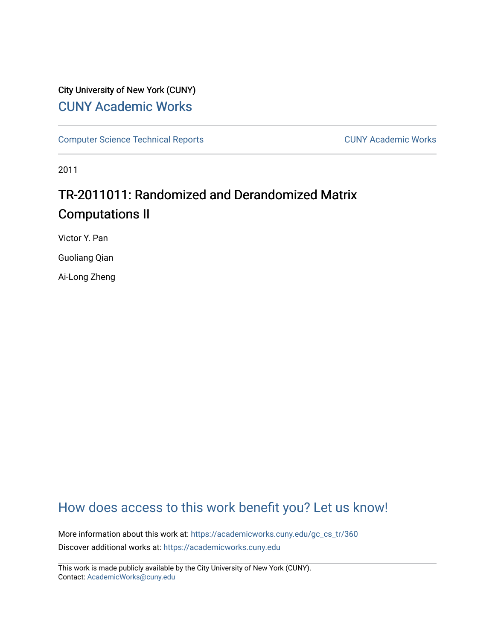# City University of New York (CUNY) [CUNY Academic Works](https://academicworks.cuny.edu/)

[Computer Science Technical Reports](https://academicworks.cuny.edu/gc_cs_tr) **CUNY Academic Works** CUNY Academic Works

2011

# TR-2011011: Randomized and Derandomized Matrix Computations II

Victor Y. Pan

Guoliang Qian

Ai-Long Zheng

# [How does access to this work benefit you? Let us know!](http://ols.cuny.edu/academicworks/?ref=https://academicworks.cuny.edu/gc_cs_tr/360)

More information about this work at: [https://academicworks.cuny.edu/gc\\_cs\\_tr/360](https://academicworks.cuny.edu/gc_cs_tr/360)  Discover additional works at: [https://academicworks.cuny.edu](https://academicworks.cuny.edu/?)

This work is made publicly available by the City University of New York (CUNY). Contact: [AcademicWorks@cuny.edu](mailto:AcademicWorks@cuny.edu)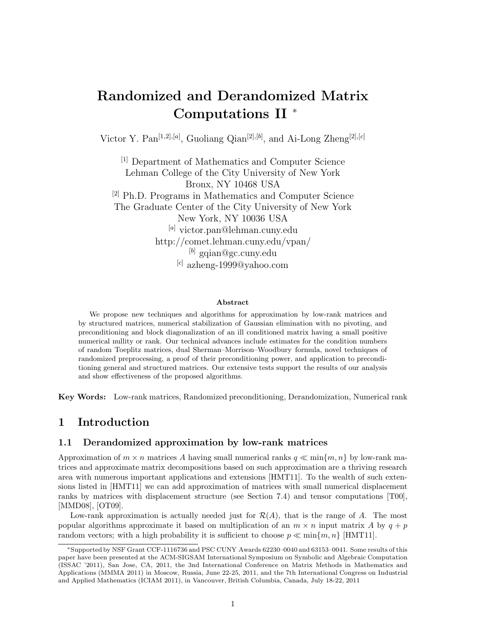# **Randomized and Derandomized Matrix Computations II** <sup>∗</sup>

Victor Y. Pan[1*,*2]*,*[*a*] , Guoliang Qian[2]*,*[*b*] , and Ai-Long Zheng[2]*,*[*c*]

[1] Department of Mathematics and Computer Science Lehman College of the City University of New York Bronx, NY 10468 USA [2] Ph.D. Programs in Mathematics and Computer Science The Graduate Center of the City University of New York New York, NY 10036 USA [*a*] victor.pan@lehman.cuny.edu http://comet.lehman.cuny.edu/vpan/ [*b*] gqian@gc.cuny.edu [*c*] azheng-1999@yahoo.com

#### **Abstract**

We propose new techniques and algorithms for approximation by low-rank matrices and by structured matrices, numerical stabilization of Gaussian elimination with no pivoting, and preconditioning and block diagonalization of an ill conditioned matrix having a small positive numerical nullity or rank. Our technical advances include estimates for the condition numbers of random Toeplitz matrices, dual Sherman–Morrison–Woodbury formula, novel techniques of randomized preprocessing, a proof of their preconditioning power, and application to preconditioning general and structured matrices. Our extensive tests support the results of our analysis and show effectiveness of the proposed algorithms.

**Key Words:** Low-rank matrices, Randomized preconditioning, Derandomization, Numerical rank

## **1 Introduction**

## **1.1 Derandomized approximation by low-rank matrices**

Approximation of  $m \times n$  matrices A having small numerical ranks  $q \ll \min\{m, n\}$  by low-rank matrices and approximate matrix decompositions based on such approximation are a thriving research area with numerous important applications and extensions [HMT11]. To the wealth of such extensions listed in [HMT11] we can add approximation of matrices with small numerical displacement ranks by matrices with displacement structure (see Section 7.4) and tensor computations [T00], [MMD08], [OT09].

Low-rank approximation is actually needed just for  $\mathcal{R}(A)$ , that is the range of  $A$ . The most popular algorithms approximate it based on multiplication of an  $m \times n$  input matrix A by  $q + p$ random vectors; with a high probability it is sufficient to choose  $p \ll \min\{m, n\}$  [HMT11].

<sup>∗</sup>Supported by NSF Grant CCF-1116736 and PSC CUNY Awards 62230–0040 and 63153–0041. Some results of this paper have been presented at the ACM-SIGSAM International Symposium on Symbolic and Algebraic Computation (ISSAC '2011), San Jose, CA, 2011, the 3nd International Conference on Matrix Methods in Mathematics and Applications (MMMA 2011) in Moscow, Russia, June 22-25, 2011, and the 7th International Congress on Industrial and Applied Mathematics (ICIAM 2011), in Vancouver, British Columbia, Canada, July 18-22, 2011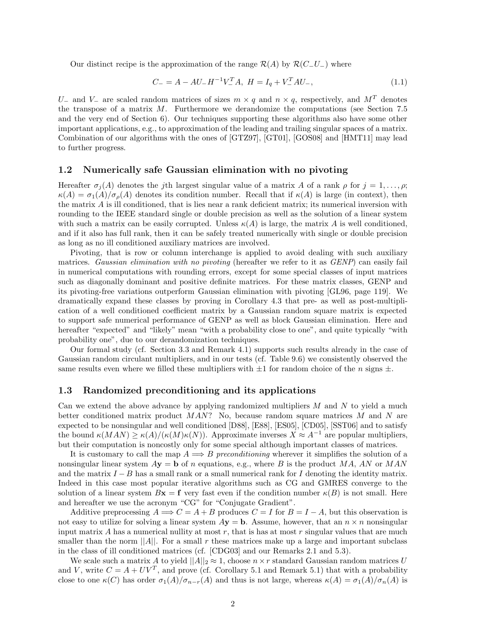Our distinct recipe is the approximation of the range  $\mathcal{R}(A)$  by  $\mathcal{R}(C_-\mathcal{U}_-)$  where

$$
C_{-} = A - AU_{-}H^{-1}V_{-}^{T}A, H = I_{q} + V_{-}^{T}AU_{-},
$$
\n(1.1)

*U*<sub>−</sub> and *V*<sub>−</sub> are scaled random matrices of sizes  $m \times q$  and  $n \times q$ , respectively, and  $M<sup>T</sup>$  denotes the transpose of a matrix *M*. Furthermore we derandomize the computations (see Section 7.5 and the very end of Section 6). Our techniques supporting these algorithms also have some other important applications, e.g., to approximation of the leading and trailing singular spaces of a matrix. Combination of our algorithms with the ones of [GTZ97], [GT01], [GOS08] and [HMT11] may lead to further progress.

## **1.2 Numerically safe Gaussian elimination with no pivoting**

Hereafter  $\sigma_i(A)$  denotes the *j*th largest singular value of a matrix *A* of a rank  $\rho$  for  $j = 1, \ldots, \rho$ ;  $\kappa(A) = \sigma_1(A)/\sigma_0(A)$  denotes its condition number. Recall that if  $\kappa(A)$  is large (in context), then the matrix *A* is ill conditioned, that is lies near a rank deficient matrix; its numerical inversion with rounding to the IEEE standard single or double precision as well as the solution of a linear system with such a matrix can be easily corrupted. Unless  $\kappa(A)$  is large, the matrix A is well conditioned, and if it also has full rank, then it can be safely treated numerically with single or double precision as long as no ill conditioned auxiliary matrices are involved.

Pivoting, that is row or column interchange is applied to avoid dealing with such auxiliary matrices. *Gaussian elimination with no pivoting* (hereafter we refer to it as *GENP*) can easily fail in numerical computations with rounding errors, except for some special classes of input matrices such as diagonally dominant and positive definite matrices. For these matrix classes, GENP and its pivoting-free variations outperform Gaussian elimination with pivoting [GL96, page 119]. We dramatically expand these classes by proving in Corollary 4.3 that pre- as well as post-multiplication of a well conditioned coefficient matrix by a Gaussian random square matrix is expected to support safe numerical performance of GENP as well as block Gaussian elimination. Here and hereafter "expected" and "likely" mean "with a probability close to one", and quite typically "with probability one", due to our derandomization techniques.

Our formal study (cf. Section 3.3 and Remark 4.1) supports such results already in the case of Gaussian random circulant multipliers, and in our tests (cf. Table 9.6) we consistently observed the same results even where we filled these multipliers with  $\pm 1$  for random choice of the *n* signs  $\pm$ .

## **1.3 Randomized preconditioning and its applications**

Can we extend the above advance by applying randomized multipliers *M* and *N* to yield a much better conditioned matrix product *MAN*? No, because random square matrices *M* and *N* are expected to be nonsingular and well conditioned [D88], [E88], [ES05], [CD05], [SST06] and to satisfy the bound  $\kappa(MAN) \geq \kappa(A)/(\kappa(M)\kappa(N))$ . Approximate inverses  $X \approx A^{-1}$  are popular multipliers, but their computation is noncostly only for some special although important classes of matrices.

It is customary to call the map  $A \Longrightarrow B$  *preconditioning* wherever it simplifies the solution of a nonsingular linear system *A***y** = **b** of *n* equations, e.g., where *B* is the product *MA*, *AN* or *MAN* and the matrix *I* − *B* has a small rank or a small numerical rank for *I* denoting the identity matrix. Indeed in this case most popular iterative algorithms such as CG and GMRES converge to the solution of a linear system  $B$ **x** = **f** very fast even if the condition number  $\kappa(B)$  is not small. Here and hereafter we use the acronym "CG" for "Conjugate Gradient".

Additive preprocessing  $A \Longrightarrow C = A + B$  produces  $C = I$  for  $B = I - A$ , but this observation is not easy to utilize for solving a linear system  $A$ **y** = **b**. Assume, however, that an  $n \times n$  nonsingular input matrix *A* has a numerical nullity at most *r*, that is has at most *r* singular values that are much smaller than the norm  $||A||$ . For a small  $r$  these matrices make up a large and important subclass in the class of ill conditioned matrices (cf. [CDG03] and our Remarks 2.1 and 5.3).

We scale such a matrix *A* to yield  $||A||_2 \approx 1$ , choose  $n \times r$  standard Gaussian random matrices *U* and *V*, write  $C = A + UV^T$ , and prove (cf. Corollary 5.1 and Remark 5.1) that with a probability close to one  $\kappa(C)$  has order  $\sigma_1(A)/\sigma_{n-r}(A)$  and thus is not large, whereas  $\kappa(A) = \sigma_1(A)/\sigma_n(A)$  is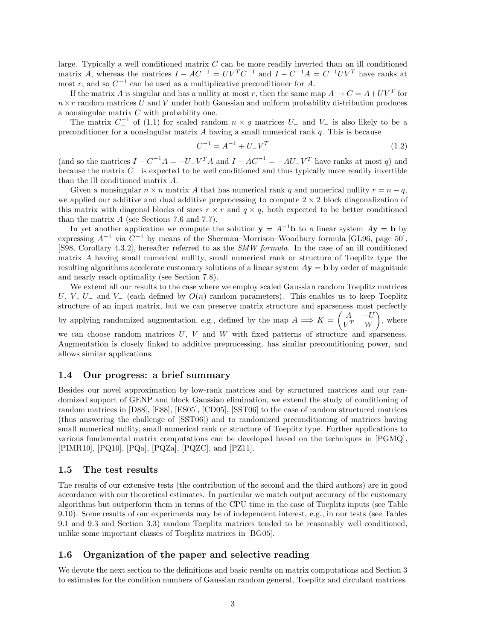large. Typically a well conditioned matrix *C* can be more readily inverted than an ill conditioned matrix *A*, whereas the matrices  $I - AC^{-1} = UV^TC^{-1}$  and  $I - C^{-1}A = C^{-1}UV^T$  have ranks at most *r*, and so  $C^{-1}$  can be used as a multiplicative preconditioner for *A*.

If the matrix *A* is singular and has a nullity at most *r*, then the same map  $A \rightarrow C = A + UV^T$  for  $n \times r$  random matrices *U* and *V* under both Gaussian and uniform probability distribution produces a nonsingular matrix *C* with probability one.

The matrix  $C^{-1}$  of (1.1) for scaled random  $n \times q$  matrices  $U_{-}$  and  $V_{-}$  is also likely to be a preconditioner for a nonsingular matrix *A* having a small numerical rank *q*. This is because

$$
C_{-}^{-1} = A^{-1} + U_{-}V_{-}^{T}
$$
\n(1.2)

(and so the matrices  $I - C^{-1}A = -U - V^{-1}A$  and  $I - AC^{-1} = -AU - V^{-1}A$  have ranks at most *q*) and because the matrix *C*<sup>−</sup> is expected to be well conditioned and thus typically more readily invertible than the ill conditioned matrix *A*.

Given a nonsingular  $n \times n$  matrix A that has numerical rank q and numerical nullity  $r = n - q$ , we applied our additive and dual additive preprocessing to compute  $2 \times 2$  block diagonalization of this matrix with diagonal blocks of sizes  $r \times r$  and  $q \times q$ , both expected to be better conditioned than the matrix *A* (see Sections 7.6 and 7.7).

In yet another application we compute the solution  $y = A^{-1}b$  to a linear system  $Ay = b$  by expressing  $A^{-1}$  via  $C^{-1}$  by means of the Sherman–Morrison–Woodbury formula [GL96, page 50], [S98, Corollary 4.3.2], hereafter referred to as the *SMW formula*. In the case of an ill conditioned matrix *A* having small numerical nullity, small numerical rank or structure of Toeplitz type the resulting algorithms accelerate customary solutions of a linear system *A***y** = **b** by order of magnitude and nearly reach optimality (see Section 7.8).

We extend all our results to the case where we employ scaled Gaussian random Toeplitz matrices *U*, *V*, *U*<sub>−</sub> and *V*<sub>−</sub> (each defined by *O*(*n*) random parameters). This enables us to keep Toeplitz structure of an input matrix, but we can preserve matrix structure and sparseness most perfectly

by applying randomized augmentation, e.g., defined by the map  $A \implies K = \begin{pmatrix} A & -U \\ V^T & W \end{pmatrix}$  $V^T$  *W*  $\int$ , where we can choose random matrices *U*, *V* and *W* with fixed patterns of structure and sparseness.

Augmentation is closely linked to additive preprocessing, has similar preconditioning power, and allows similar applications.

### **1.4 Our progress: a brief summary**

Besides our novel approximation by low-rank matrices and by structured matrices and our randomized support of GENP and block Gaussian elimination, we extend the study of conditioning of random matrices in [D88], [E88], [ES05], [CD05], [SST06] to the case of random structured matrices (thus answering the challenge of [SST06]) and to randomized preconditioning of matrices having small numerical nullity, small numerical rank or structure of Toeplitz type. Further applications to various fundamental matrix computations can be developed based on the techniques in [PGMQ], [PIMR10], [PQ10], [PQa], [PQZa], [PQZC], and [PZ11].

#### **1.5 The test results**

The results of our extensive tests (the contribution of the second and the third authors) are in good accordance with our theoretical estimates. In particular we match output accuracy of the customary algorithms but outperform them in terms of the CPU time in the case of Toeplitz inputs (see Table 9.10). Some results of our experiments may be of independent interest, e.g., in our tests (see Tables 9.1 and 9.3 and Section 3.3) random Toeplitz matrices tended to be reasonably well conditioned, unlike some important classes of Toeplitz matrices in [BG05].

## **1.6 Organization of the paper and selective reading**

We devote the next section to the definitions and basic results on matrix computations and Section 3 to estimates for the condition numbers of Gaussian random general, Toeplitz and circulant matrices.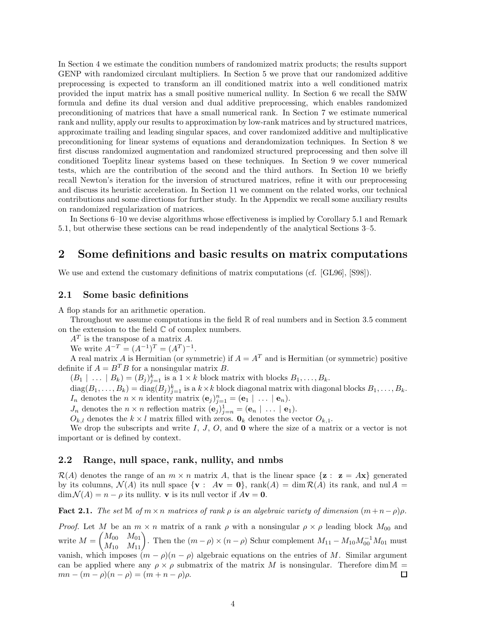In Section 4 we estimate the condition numbers of randomized matrix products; the results support GENP with randomized circulant multipliers. In Section 5 we prove that our randomized additive preprocessing is expected to transform an ill conditioned matrix into a well conditioned matrix provided the input matrix has a small positive numerical nullity. In Section 6 we recall the SMW formula and define its dual version and dual additive preprocessing, which enables randomized preconditioning of matrices that have a small numerical rank. In Section 7 we estimate numerical rank and nullity, apply our results to approximation by low-rank matrices and by structured matrices, approximate trailing and leading singular spaces, and cover randomized additive and multiplicative preconditioning for linear systems of equations and derandomization techniques. In Section 8 we first discuss randomized augmentation and randomized structured preprocessing and then solve ill conditioned Toeplitz linear systems based on these techniques. In Section 9 we cover numerical tests, which are the contribution of the second and the third authors. In Section 10 we briefly recall Newton's iteration for the inversion of structured matrices, refine it with our preprocessing and discuss its heuristic acceleration. In Section 11 we comment on the related works, our technical contributions and some directions for further study. In the Appendix we recall some auxiliary results on randomized regularization of matrices.

In Sections 6–10 we devise algorithms whose effectiveness is implied by Corollary 5.1 and Remark 5.1, but otherwise these sections can be read independently of the analytical Sections 3–5.

## **2 Some definitions and basic results on matrix computations**

We use and extend the customary definitions of matrix computations (cf. [GL96], [S98]).

## **2.1 Some basic definitions**

A flop stands for an arithmetic operation.

Throughout we assume computations in the field  $\mathbb R$  of real numbers and in Section 3.5 comment on the extension to the field  $\mathbb C$  of complex numbers.

*A<sup>T</sup>* is the transpose of a matrix *A*.

We write  $A^{-T} = (A^{-1})^T = (A^T)^{-1}$ .

A real matrix *A* is Hermitian (or symmetric) if  $A = A<sup>T</sup>$  and is Hermitian (or symmetric) positive definite if  $A = B^T B$  for a nonsingular matrix *B*.

 $(B_1 \mid \ldots \mid B_k) = (B_j)_{j=1}^k$  is a  $1 \times k$  block matrix with blocks  $B_1, \ldots, B_k$ .

 $\text{diag}(B_1,\ldots,B_k) = \text{diag}(B_j)_{j=1}^k$  is a  $k \times k$  block diagonal matrix with diagonal blocks  $B_1,\ldots,B_k$ . *I<sub>n</sub>* denotes the  $n \times n$  identity matrix  $(\mathbf{e}_j)_{j=1}^n = (\mathbf{e}_1 \mid \ldots \mid \mathbf{e}_n)$ .

*J<sub>n</sub>* denotes the  $n \times n$  reflection matrix  $(\mathbf{e}_j)_{j=n}^1 = (\mathbf{e}_n \mid \ldots \mid \mathbf{e}_1)$ .

 $O_{k,l}$  denotes the  $k \times l$  matrix filled with zeros.  $\mathbf{0}_k$  denotes the vector  $O_{k,1}$ .

We drop the subscripts and write *I*, *J*, *O*, and **0** where the size of a matrix or a vector is not important or is defined by context.

## **2.2 Range, null space, rank, nullity, and nmbs**

 $\mathcal{R}(A)$  denotes the range of an  $m \times n$  matrix A, that is the linear space  $\{z : z = Ax\}$  generated by its columns,  $\mathcal{N}(A)$  its null space  $\{ \mathbf{v} : A\mathbf{v} = \mathbf{0} \}$ , rank $(A) = \dim \mathcal{R}(A)$  its rank, and nul  $A =$  $\dim \mathcal{N}(A) = n - \rho$  its nullity. **v** is its null vector if  $A$ **v** = **0**.

**Fact 2.1.** *The set*  $\mathbb{M}$  *of*  $m \times n$  *matrices of rank*  $\rho$  *is an algebraic variety of dimension*  $(m+n-\rho)\rho$ *.* 

*Proof.* Let *M* be an  $m \times n$  matrix of a rank  $\rho$  with a nonsingular  $\rho \times \rho$  leading block  $M_{00}$  and  $\begin{pmatrix} M_{00} & M_{01} \\ M_{10} & M_{11} \end{pmatrix}$ . Then the  $(m - \rho) \times (n - \rho)$  Schur complement  $M_{11} - M_{10} M_{00}^{-1} M_{01}$  must  $\text{write } M =$ vanish, which imposes  $(m - \rho)(n - \rho)$  algebraic equations on the entries of *M*. Similar argument can be applied where any  $\rho \times \rho$  submatrix of the matrix M is nonsingular. Therefore dim M =  $mn - (m - \rho)(n - \rho) = (m + n - \rho)\rho.$ ◻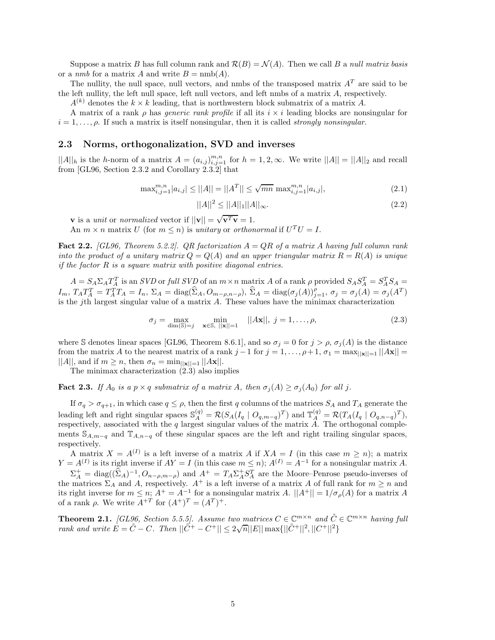Suppose a matrix *B* has full column rank and  $\mathcal{R}(B) = \mathcal{N}(A)$ . Then we call *B* a *null matrix basis* or a *nmb* for a matrix *A* and write  $B = \text{nmb}(A)$ .

The nullity, the null space, null vectors, and nmbs of the transposed matrix  $A<sup>T</sup>$  are said to be the left nullity, the left null space, left null vectors, and left nmbs of a matrix *A*, respectively.

 $A^{(k)}$  denotes the  $k \times k$  leading, that is northwestern block submatrix of a matrix *A*.

A matrix of a rank *ρ* has *generic rank profile* if all its *i* × *i* leading blocks are nonsingular for  $i = 1, \ldots, \rho$ . If such a matrix is itself nonsingular, then it is called *strongly nonsingular*.

#### **2.3 Norms, orthogonalization, SVD and inverses**

 $||A||_h$  is the *h*-norm of a matrix  $A = (a_{i,j})_{i,j=1}^{m,n}$  for  $h = 1, 2, \infty$ . We write  $||A|| = ||A||_2$  and recall from [GL96, Section 2.3.2 and Corollary 2.3.2] that

$$
\max_{i,j=1}^{m,n} |a_{i,j}| \le ||A|| = ||A^T|| \le \sqrt{mn} \max_{i,j=1}^{m,n} |a_{i,j}|,\tag{2.1}
$$

$$
||A||^2 \le ||A||_1 ||A||_{\infty}.
$$
\n(2.2)

**v** is a *unit* or *normalized* vector if  $||\mathbf{v}|| = \sqrt{\mathbf{v}^T \mathbf{v}} = 1$ .

An  $m \times n$  matrix *U* (for  $m \leq n$ ) is *unitary* or *orthonormal* if  $U^T U = I$ .

**Fact 2.2.** *[GL96, Theorem 5.2.2]. QR factorization A* = *QR of a matrix A having full column rank into the product of a unitary matrix*  $Q = Q(A)$  *and an upper triangular matrix*  $R = R(A)$  *is unique if the factor R is a square matrix with positive diagonal entries.*

 $A = S_A \Sigma_A T_A^T$  is an *SVD* or full *SVD* of an  $m \times n$  matrix *A* of a rank  $\rho$  provided  $S_A S_A^T = S_A^T S_A =$  $I_m$ ,  $T_A T_A^T = T_A^T T_A = I_n$ ,  $\Sigma_A = \text{diag}(\widehat{\Sigma}_A, O_{m-\rho,n-\rho}),$   $\widehat{\Sigma}_A = \text{diag}(\sigma_j(A))_{j=1}^{\rho}, \sigma_j = \sigma_j(A) = \sigma_j(A^T)$ is the *j*th largest singular value of a matrix *A*. These values have the minimax characterization

$$
\sigma_j = \max_{\dim(\mathbb{S}) = j} \quad \min_{\mathbf{x} \in \mathbb{S}, \ |\mathbf{x}\| = 1} \quad ||A\mathbf{x}||, \ j = 1, \dots, \rho,
$$
\n(2.3)

where S denotes linear spaces [GL96, Theorem 8.6.1], and so  $\sigma_j = 0$  for  $j > \rho$ ,  $\sigma_j(A)$  is the distance from the matrix *A* to the nearest matrix of a rank  $j-1$  for  $j = 1, \ldots, \rho+1$ ,  $\sigma_1 = \max_{\vert\vert \mathbf{x} \vert\vert = 1} \vert\vert \mathbf{Ax} \vert\vert = 1$  $||A||$ , and if  $m \geq n$ , then  $\sigma_n = \min_{\vert \vert \mathbf{x} \vert \vert = 1} \vert |A\mathbf{x}||$ .

The minimax characterization (2.3) also implies

**Fact 2.3.** *If*  $A_0$  *is a*  $p \times q$  *submatrix of a matrix*  $A$ *, then*  $\sigma_j(A) \geq \sigma_j(A_0)$  *for all j*.

If  $\sigma_q > \sigma_{q+1}$ , in which case  $q \leq \rho$ , then the first *q* columns of the matrices  $S_A$  and  $T_A$  generate the leading left and right singular spaces  $\mathbb{S}_{A}^{(q)} = \mathcal{R}(S_A(I_q \mid O_{q,m-q})^T)$  and  $\mathbb{T}_{A}^{(q)} = \mathcal{R}(T_A(I_q \mid O_{q,n-q})^T)$ , respectively, associated with the *q* largest singular values of the matrix *A*. The orthogonal complements  $\mathbb{S}_{A,m-q}$  and  $\mathbb{T}_{A,n-q}$  of these singular spaces are the left and right trailing singular spaces, respectively.

A matrix  $X = A^{(I)}$  is a left inverse of a matrix A if  $XA = I$  (in this case  $m \ge n$ ); a matrix *Y* =  $A^{(I)}$  is its right inverse if  $AY = I$  (in this case  $m \leq n$ );  $A^{(I)} = A^{-1}$  for a nonsingular matrix *A*.

 $\Sigma_A^+$  = diag( $(\hat{\Sigma}_A)^{-1}$ ,  $O_{n-\rho,m-\rho}$ ) and  $A^+$  =  $T_A \Sigma_A^+ S_A^T$  are the Moore–Penrose pseudo-inverses of the matrices  $\Sigma_A$  and *A*, respectively.  $A^+$  is a left inverse of a matrix *A* of full rank for  $m \ge n$  and its right inverse for  $m \leq n$ ;  $A^+ = A^{-1}$  for a nonsingular matrix *A*.  $||A^+|| = 1/\sigma_\rho(A)$  for a matrix *A* of a rank *ρ*. We write  $A^{+T}$  for  $(A^{+})^{T} = (A^{T})^{+}$ .

**Theorem 2.1.** *[GL96, Section 5.5.5]. Assume two matrices*  $C \in \mathbb{C}^{m \times n}$  *and*  $\tilde{C} \in \mathbb{C}^{m \times n}$  *having full rank and write*  $E = \tilde{C} - C$ *. Then*  $||\tilde{C}^{+} - C^{+}|| \leq 2\sqrt{n}||E|| \max\{||\tilde{C}^{+}||^{2}, ||C^{+}||^{2}\}$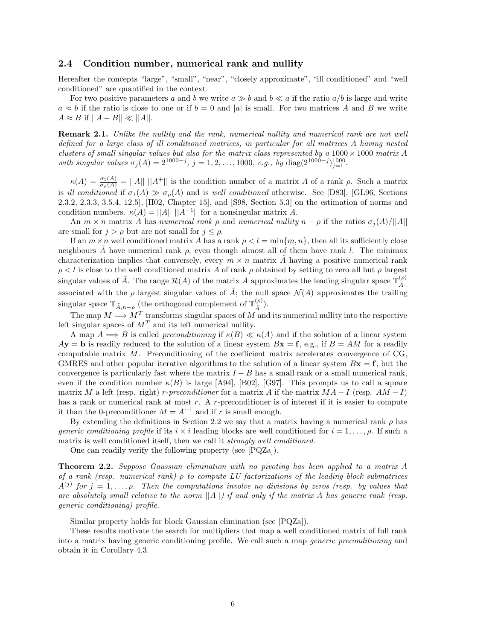### **2.4 Condition number, numerical rank and nullity**

Hereafter the concepts "large", "small", "near", "closely approximate", "ill conditioned" and "well conditioned" are quantified in the context.

For two positive parameters a and b we write  $a \gg b$  and  $b \ll a$  if the ratio  $a/b$  is large and write  $a \approx b$  if the ratio is close to one or if  $b = 0$  and |*a*| is small. For two matrices *A* and *B* we write  $A \approx B$  if  $||A - B|| \ll ||A||$ .

**Remark 2.1.** *Unlike the nullity and the rank, numerical nullity and numerical rank are not well defined for a large class of ill conditioned matrices, in particular for all matrices A having nested clusters of small singular values but also for the matrix class represented by a*  $1000 \times 1000$  *matrix A with singular values*  $\sigma_j(A) = 2^{1000-j}$ ,  $j = 1, 2, ..., 1000$ , *e.g.*, *by* diag( $2^{1000-j}$ )<sub>j=1</sub>.

 $\kappa(A) = \frac{\sigma_1(A)}{\sigma_\rho(A)} = ||A|| \, ||A^+||$  is the condition number of a matrix *A* of a rank *ρ*. Such a matrix is *ill conditioned* if  $\sigma_1(A) \gg \sigma_\rho(A)$  and is *well conditioned* otherwise. See [D83], [GL96, Sections 2.3.2, 2.3.3, 3.5.4, 12.5], [H02, Chapter 15], and [S98, Section 5.3] on the estimation of norms and condition numbers.  $\kappa(A) = ||A|| ||A^{-1}||$  for a nonsingular matrix *A*.

An  $m \times n$  matrix *A* has *numerical rank*  $\rho$  and *numerical nullity*  $n - \rho$  if the ratios  $\sigma_i(A)/||A||$ are small for  $j > \rho$  but are not small for  $j \leq \rho$ .

If an  $m \times n$  well conditioned matrix *A* has a rank  $\rho < l = \min\{m, n\}$ , then all its sufficiently close neighbours *A* have numerical rank  $\rho$ , even though almost all of them have rank *l*. The minimax characterization implies that conversely, every  $m \times n$  matrix A having a positive numerical rank  $\rho < l$  is close to the well conditioned matrix *A* of rank *ρ* obtained by setting to zero all but *ρ* largest singular values of  $\tilde{A}$ . The range  $\mathcal{R}(A)$  of the matrix  $A$  approximates the leading singular space  $\mathbb{T}_{\tilde{A}}^{(\rho)}$ associated with the *ρ* largest singular values of  $\tilde{A}$ ; the null space  $\mathcal{N}(A)$  approximates the trailing singular space  $\mathbb{T}_{\tilde{A},n-\rho}$  (the orthogonal complement of  $\mathbb{T}_{\tilde{A}}^{(\rho)}$ ).

The map  $M \Longrightarrow M^T$  transforms singular spaces of  $\overrightarrow{M}$  and its numerical nullity into the respective left singular spaces of  $M<sup>T</sup>$  and its left numerical nullity.

A map  $A \implies B$  is called *preconditioning* if  $\kappa(B) \ll \kappa(A)$  and if the solution of a linear system  $A$ **y** = **b** is readily reduced to the solution of a linear system  $B$ **x** = **f**, e.g., if  $B = AM$  for a readily computable matrix *M*. Preconditioning of the coefficient matrix accelerates convergence of CG, GMRES and other popular iterative algorithms to the solution of a linear system  $Bx = f$ , but the convergence is particularly fast where the matrix  $I - B$  has a small rank or a small numerical rank, even if the condition number  $\kappa(B)$  is large [A94], [B02], [G97]. This prompts us to call a square matrix *M* a left (resp. right) *r*-preconditioner for a matrix *A* if the matrix  $MA - I$  (resp.  $AM - I$ ) has a rank or numerical rank at most *r*. A *r*-preconditioner is of interest if it is easier to compute it than the 0-preconditioner  $M = A^{-1}$  and if *r* is small enough.

By extending the definitions in Section 2.2 we say that a matrix having a numerical rank  $\rho$  has *generic conditioning profile* if its  $i \times i$  leading blocks are well conditioned for  $i = 1, \ldots, \rho$ . If such a matrix is well conditioned itself, then we call it *strongly well conditioned*.

One can readily verify the following property (see [PQZa]).

**Theorem 2.2.** *Suppose Gaussian elimination with no pivoting has been applied to a matrix A of a rank (resp. numerical rank) ρ to compute LU factorizations of the leading block submatrices*  $A^{(j)}$  *for*  $j = 1, \ldots, \rho$ *. Then the computations involve no divisions by zeros (resp. by values that are absolutely small relative to the norm* ||*A*||*) if and only if the matrix A has generic rank (resp. generic conditioning) profile.*

Similar property holds for block Gaussian elimination (see [PQZa]).

These results motivate the search for multipliers that map a well conditioned matrix of full rank into a matrix having generic conditioning profile. We call such a map *generic preconditioning* and obtain it in Corollary 4.3.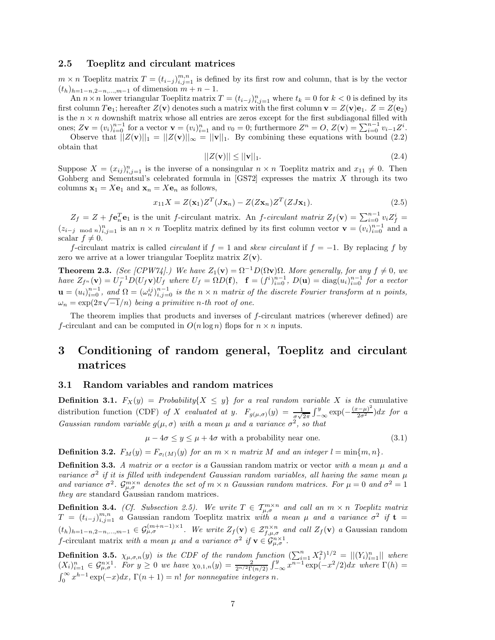#### **2.5 Toeplitz and circulant matrices**

 $m \times n$  Toeplitz matrix  $T = (t_{i-j})_{i,j=1}^{m,n}$  is defined by its first row and column, that is by the vector  $(t_h)_{h=1-n,2-n,...,m-1}$  of dimension  $m+n-1$ .

An  $n \times n$  lower triangular Toeplitz matrix  $T = (t_{i-j})_{i,j=1}^n$  where  $t_k = 0$  for  $k < 0$  is defined by its first column  $T\mathbf{e}_1$ ; hereafter  $Z(\mathbf{v})$  denotes such a matrix with the first column  $\mathbf{v} = Z(\mathbf{v})\mathbf{e}_1$ .  $Z = Z(\mathbf{e}_2)$ is the  $n \times n$  downshift matrix whose all entries are zeros except for the first subdiagonal filled with ones;  $Z\mathbf{v} = (v_i)_{i=0}^{n-1}$  for a vector  $\mathbf{v} = (v_i)_{i=1}^n$  and  $v_0 = 0$ ; furthermore  $Z^n = O$ ,  $Z(\mathbf{v}) = \sum_{i=0}^{n-1} v_{i-1} Z^i$ .

Observe that  $||Z(\mathbf{v})||_1 = ||Z(\mathbf{v})||_{\infty} = ||\mathbf{v}||_1$ . By combining these equations with bound (2.2) obtain that

$$
||Z(\mathbf{v})|| \le ||\mathbf{v}||_1. \tag{2.4}
$$

Suppose  $X = (x_{ij})_{i,j=1}^n$  is the inverse of a nonsingular  $n \times n$  Toeplitz matrix and  $x_{11} \neq 0$ . Then Gohberg and Sementsul's celebrated formula in [GS72] expresses the matrix *X* through its two columns  $\mathbf{x}_1 = X\mathbf{e}_1$  and  $\mathbf{x}_n = X\mathbf{e}_n$  as follows,

$$
x_{11}X = Z(\mathbf{x}_1)Z^T(J\mathbf{x}_n) - Z(Z\mathbf{x}_n)Z^T(ZJ\mathbf{x}_1).
$$
\n(2.5)

 $Z_f = Z + f \mathbf{e}_n^T \mathbf{e}_1$  is the unit f-circulant matrix. An f-circulant matrix  $Z_f(\mathbf{v}) = \sum_{i=0}^{n-1} v_i Z_f^i$  $(z_{i-j \mod n})_{i,j=1}^n$  is an  $n \times n$  Toeplitz matrix defined by its first column vector  $\mathbf{v} = (v_i)_{i=0}^{n-1}$  and a scalar  $f \neq 0$ .

*f*-circulant matrix is called *circulant* if  $f = 1$  and *skew circulant* if  $f = -1$ . By replacing *f* by zero we arrive at a lower triangular Toeplitz matrix  $Z(\mathbf{v})$ .

**Theorem 2.3.** *(See [CPW74].) We have*  $Z_1(\mathbf{v}) = \Omega^{-1}D(\Omega \mathbf{v})\Omega$ *. More generally, for any*  $f \neq 0$ *, we* have  $Z_{f^n}(\mathbf{v}) = U_f^{-1} D(U_f \mathbf{v}) U_f$  where  $U_f = \Omega D(\mathbf{f}), \quad \mathbf{f} = (f^i)_{i=0}^{n-1}, D(\mathbf{u}) = \text{diag}(u_i)_{i=0}^{n-1}$  for a vector  $\mathbf{u} = (u_i)_{i=0}^{n-1}$ , and  $\Omega = (\omega_n^{ij})_{i,j=0}^{n-1}$  is the  $n \times n$  matrix of the discrete Fourier transform at n points,  $\omega_n = \frac{u_{n+1}}{e}$ , and  $\omega_n = \omega_n$  *i*,  $j=0$  is the  $n \times n$  matrix of  $\omega_n = \exp(2\pi\sqrt{-1}/n)$  being a primitive *n*-th root of one.

The theorem implies that products and inverses of *f*-circulant matrices (wherever defined) are *f*-circulant and can be computed in  $O(n \log n)$  flops for  $n \times n$  inputs.

## **3 Conditioning of random general, Toeplitz and circulant matrices**

#### **3.1 Random variables and random matrices**

**Definition 3.1.**  $F_X(y) =$  *Probability*{ $X \leq y$ } *for a real random variable X is the* cumulative distribution function (CDF) *of X evaluated at y*.  $F_{g(\mu,\sigma)}(y) = \frac{1}{g\sqrt{2\pi}} \int_{-\infty}^{y} \exp(-\frac{(x-\mu)^2}{2\sigma^2}) dx$  for a *Gaussian random variable*  $g(\mu, \sigma)$  *with a mean*  $\mu$  *and a variance*  $\sigma^2$ *, so that* 

 $\mu - 4\sigma \leq y \leq \mu + 4\sigma$  with a probability near one. (3.1)

**Definition 3.2.**  $F_M(y) = F_{\sigma_l(M)}(y)$  *for an*  $m \times n$  *matrix M and an integer*  $l = \min\{m, n\}$ *.* 

**Definition 3.3.** *A matrix or a vector is a* Gaussian random matrix or vector *with a mean µ and a variance*  $\sigma^2$  *if it is filled with independent Gaussian random variables, all having the same mean*  $\mu$ *and variance*  $\sigma^2$ .  $\mathcal{G}_{\mu,\sigma}^{m\times n}$  *denotes the set of*  $m \times n$  *Gaussian random matrices. For*  $\mu = 0$  *and*  $\sigma^2 = 1$ *they are* standard Gaussian random matrices*.*

**Definition 3.4.** *(Cf. Subsection 2.5). We write*  $T \in \mathcal{T}_{\mu,\sigma}^{m \times n}$  *and call an*  $m \times n$  *Toeplitz matrix*  $T = (t_{i-j})_{i,j=1}^{m,n}$  *a* Gaussian random Toeplitz matrix *with a mean µ and a variance*  $\sigma^2$  *if* **t** =  $(t_h)_{h=1-n,2-n,\dots,m-1} \in \mathcal{G}_{\mu,\sigma}^{(m+n-1)\times 1}$ . We write  $Z_f(\mathbf{v}) \in \mathcal{Z}_{f,\mu,\sigma}^{n\times n}$  and call  $Z_f(\mathbf{v})$  a Gaussian random *f*-circulant matrix *with a mean*  $\mu$  *and a variance*  $\sigma^2$  *if*  $\mathbf{v} \in \mathcal{G}_{\mu,\sigma}^{n \times 1}$ .

**Definition 3.5.**  $\chi_{\mu,\sigma,n}(y)$  is the CDF of the random function  $\left(\sum_{i=1}^{n} X_i^2\right)^{1/2} = ||(Y_i)_{i=1}^n||$  where  $(X_i)_{i=1}^n \in \mathcal{G}_{\mu,\sigma}^{n\times 1}$ . For  $y \ge 0$  we have  $\chi_{0,1,n}(y) = \frac{2}{2^{n/2}\Gamma(n/2)} \int_{-\infty}^y x^{n-1} \exp(-x^2/2) dx$  where  $\Gamma(h) =$  $\int_0^\infty x^{h-1} \exp(-x) dx$ ,  $\Gamma(n+1) = n!$  *for nonnegative integers n.*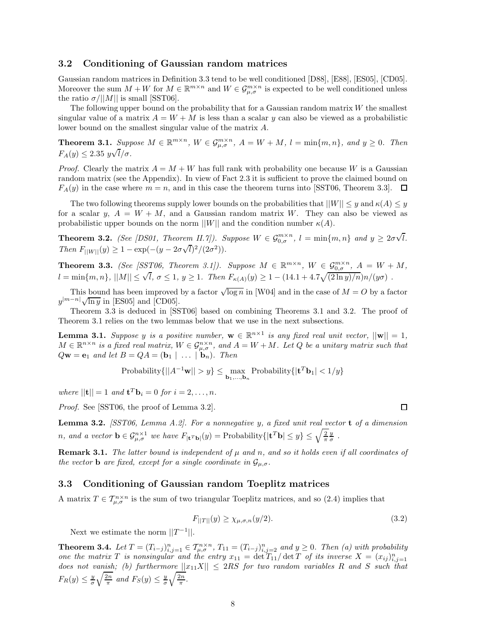### **3.2 Conditioning of Gaussian random matrices**

Gaussian random matrices in Definition 3.3 tend to be well conditioned [D88], [E88], [ES05], [CD05]. Moreover the sum  $M + W$  for  $M \in \mathbb{R}^{m \times n}$  and  $W \in \mathcal{G}_{\mu,\sigma}^{m \times n}$  is expected to be well conditioned unless the ratio  $\sigma/||M||$  is small [SST06].

The following upper bound on the probability that for a Gaussian random matrix *W* the smallest singular value of a matrix  $A = W + M$  is less than a scalar *y* can also be viewed as a probabilistic lower bound on the smallest singular value of the matrix *A*.

**Theorem 3.1.** Suppose  $M \in \mathbb{R}^{m \times n}$ ,  $W \in \mathcal{G}_{\mu,\sigma}^{m \times n}$ ,  $A = W + M$ ,  $l = \min\{m,n\}$ , and  $y \geq 0$ . Then  $F_A(y) \leq 2.35 \ y\sqrt{l}/\sigma$ .

*Proof.* Clearly the matrix  $A = M + W$  has full rank with probability one because W is a Gaussian random matrix (see the Appendix). In view of Fact 2.3 it is sufficient to prove the claimed bound on  $F_A(y)$  in the case where  $m = n$ , and in this case the theorem turns into [SST06, Theorem 3.3].  $\Box$ 

The two following theorems supply lower bounds on the probabilities that  $||W|| \leq y$  and  $\kappa(A) \leq y$ for a scalar *y*,  $A = W + M$ , and a Gaussian random matrix *W*. They can also be viewed as probabilistic upper bounds on the norm  $||W||$  and the condition number  $\kappa(A)$ .

**Theorem 3.2.** *(See [DS01, Theorem II.7]). Suppose*  $W \in \mathcal{G}_{0,\sigma}^{m \times n}$ ,  $l = \min\{m,n\}$  and  $y \geq 2\sigma\sqrt{n}$ *lem II.7]). Suppose*  $W \in \mathcal{G}_{0,\sigma}^{m \times n}$ *,*  $l = \min\{m,n\}$  and  $y \geq 2\sigma\sqrt{l}$ *.*  $\sqrt{2\pi}$ *Then*  $F_{\vert\vert W\vert\vert}(y) \geq 1 - \exp(-(y - 2\sigma\sqrt{l})^2/(2\sigma^2)).$ 

**Theorem 3.3.** (See [SST06, Theorem 3.1]). Suppose  $M \in \mathbb{R}^{m \times n}$ ,  $W \in \mathcal{G}_{0,\sigma}^{m \times n}$ ,  $A = W + M$ ,  $l = \min\{m, n\}$ ,  $||M|| \leq \sqrt{l}$ ,  $\sigma \leq 1$ ,  $y \geq 1$ . Then  $F_{\kappa(A)}(y) \geq 1 - (14.1 + 4.7\sqrt{(2 \ln y)/n})n/(y\sigma)$ .

This bound has been improved by a factor  $\sqrt{\log n}$  in [W04] and in the case of  $M = O$  by a factor  $y^{|m-n|}\sqrt{\ln y}$  in [ES05] and [CD05].

Theorem 3.3 is deduced in [SST06] based on combining Theorems 3.1 and 3.2. The proof of Theorem 3.1 relies on the two lemmas below that we use in the next subsections.

**Lemma 3.1.** *Suppose y is a positive number,*  $\mathbf{w} \in \mathbb{R}^{n \times 1}$  *is any fixed real unit vector,*  $||\mathbf{w}|| = 1$ *,*  $M \in \mathbb{R}^{n \times n}$  *is a fixed real matrix,*  $W \in \mathcal{G}_{\mu,\sigma}^{n \times n}$ *, and*  $A = W + M$ *. Let Q be a unitary matrix such that*  $Q$ **w** = **e**<sub>1</sub> *and let*  $B = QA = (\mathbf{b}_1 \mid \dots \mid \mathbf{b}_n)$ *. Then* 

$$
\text{Probability}\{||A^{-1}\mathbf{w}|| > y\} \leq \max_{\mathbf{b}_1,\dots,\mathbf{b}_n} \text{Probability}\{|\mathbf{t}^T\mathbf{b}_1| < 1/y\}
$$

 $where$   $||{\bf{t}}|| = 1$  *and*  ${\bf{t}}^T {\bf{b}}_i = 0$  *for*  $i = 2, ..., n$ *.* 

*Proof.* See [SST06, the proof of Lemma 3.2].

**Lemma 3.2.** *[SST06, Lemma A.2]. For a nonnegative y, a fixed unit real vector* **t** *of a dimension n*, and a vector  $\mathbf{b} \in \mathcal{G}_{\mu,\sigma}^{n\times 1}$  we have  $F_{|\mathbf{t}^T\mathbf{b}|}(y) = \text{Probability}\{|\mathbf{t}^T\mathbf{b}| \leq y\} \leq \sqrt{\frac{2}{\pi}}\frac{y}{\sigma}$ .

**Remark 3.1.** *The latter bound is independent of µ and n, and so it holds even if all coordinates of the vector* **b** *are fixed, except for a single coordinate in*  $\mathcal{G}_{\mu,\sigma}$ *.* 

### **3.3 Conditioning of Gaussian random Toeplitz matrices**

A matrix  $T \in \mathcal{T}_{\mu,\sigma}^{n \times n}$  is the sum of two triangular Toeplitz matrices, and so (2.4) implies that

$$
F_{||T||}(y) \ge \chi_{\mu,\sigma,n}(y/2). \tag{3.2}
$$

Next we estimate the norm  $||T^{-1}||$ .

**Theorem 3.4.** Let  $T = (T_{i-j})_{i,j=1}^n \in \mathcal{T}_{\mu,\sigma}^{n \times n}$ ,  $T_{11} = (T_{i-j})_{i,j=2}^n$  and  $y \ge 0$ . Then (a) with probability *one the matrix T is nonsingular and the entry*  $x_{11} = \det T_{11}/\det T$  *of its inverse*  $X = (x_{ij})_{i,j=1}^n$ *does not vanish; (b) furthermore*  $||x_{11}X|| \leq 2RS$  *for two random variables R and S such that*  $F_R(y) \leq \frac{y}{\sigma} \sqrt{\frac{2n}{\pi}}$  and  $F_S(y) \leq \frac{y}{\sigma} \sqrt{\frac{2n}{\pi}}$ .

口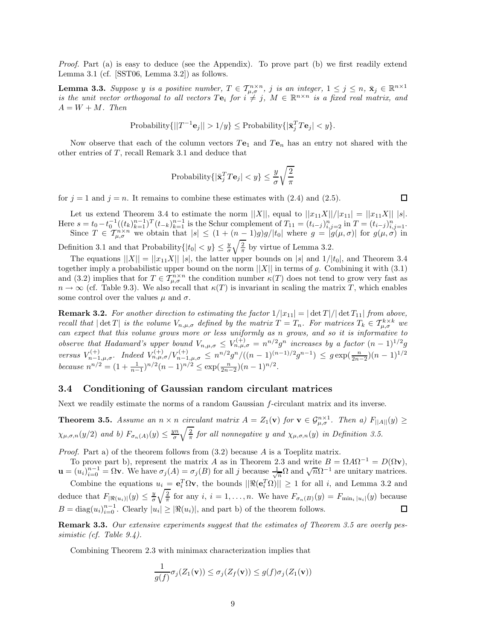*Proof.* Part (a) is easy to deduce (see the Appendix). To prove part (b) we first readily extend Lemma 3.1 (cf. [SST06, Lemma 3.2]) as follows.

**Lemma 3.3.** Suppose y is a positive number,  $T \in \mathcal{T}_{\mu,\sigma}^{n \times n}$ , j is an integer,  $1 \leq j \leq n$ ,  $\bar{\mathbf{x}}_j \in \mathbb{R}^{n \times 1}$ *is the unit vector orthogonal to all vectors*  $Te_i$  *for*  $i \neq j$ ,  $M \in \mathbb{R}^{n \times n}$  *is a fixed real matrix, and*  $A = W + M$ *. Then* 

Probability
$$
Probability \{ ||T^{-1} \mathbf{e}_j|| > 1/y \} \leq Probability \{ |\bar{\mathbf{x}}_j^T \mathbf{P} \mathbf{e}_j| < y \}.
$$

Now observe that each of the column vectors  $Te_1$  and  $Te_n$  has an entry not shared with the other entries of *T*, recall Remark 3.1 and deduce that

$$
\text{Probability}\{|\bar{\mathbf{x}}_j^T T \mathbf{e}_j| < y\} \leq \frac{y}{\sigma}\sqrt{\frac{2}{\pi}}
$$

for  $j = 1$  and  $j = n$ . It remains to combine these estimates with  $(2.4)$  and  $(2.5)$ .

 $\Box$ 

Let us extend Theorem 3.4 to estimate the norm  $||X||$ , equal to  $||x_{11}X||/|x_{11}| = ||x_{11}X|| |s|$ . Here  $s = t_0 - t_0^{-1}((t_k)_{k=1}^{n-1})^T (t_{-k})_{k=1}^{n-1}$  is the Schur complement of  $T_{11} = (t_{i-j})_{i,j=2}^n$  in  $T = (t_{i-j})_{i,j=1}^n$ . Since  $T \in \mathcal{T}_{\mu,\sigma}^{n \times n}$  we obtain that  $|s| \leq (1 + (n-1)g)g/|t_0|$  where  $g = |g(\mu,\sigma)|$  for  $g(\mu,\sigma)$  in

Definition 3.1 and that Probability $\{|t_0| < y\} \leq \frac{y}{\sigma}$  $\sqrt{\frac{2}{\pi}}$  by virtue of Lemma 3.2.

The equations  $||X|| = ||x_{11}X||$  |s|, the latter upper bounds on |s| and  $1/|t_0|$ , and Theorem 3.4 together imply a probabilistic upper bound on the norm  $||X||$  in terms of g. Combining it with (3.1) and (3.2) implies that for  $T \in \mathcal{T}_{\mu,\sigma}^{n \times n}$  the condition number  $\kappa(T)$  does not tend to grow very fast as  $n \to \infty$  (cf. Table 9.3). We also recall that  $\kappa(T)$  is invariant in scaling the matrix *T*, which enables some control over the values  $\mu$  and  $\sigma$ .

**Remark 3.2.** For another direction to estimating the factor  $1/|x_{11}| = |\det T|/|\det T_{11}|$  from above, *recall that*  $|\det T|$  *is the volume*  $V_{n,\mu,\sigma}$  *defined by the matrix*  $T = T_n$ *. For matrices*  $T_k \in \mathcal{T}_{\mu,\sigma}^{k \times k}$  *we can expect that this volume grows more or less uniformly as n grows, and so it is informative to observe that Hadamard's upper bound*  $V_{n,\mu,\sigma} \leq V_{n,\mu,\sigma}^{(+)} = n^{n/2}g^n$  *increases by a factor*  $(n-1)^{1/2}g$ versus  $V_{n-1,\mu,\sigma}^{(+)}$ . Indeed  $V_{n,\mu,\sigma}^{(+)}/V_{n-1,\mu,\sigma}^{(+)} \leq n^{n/2} g^n/((n-1)^{(n-1)/2} g^{n-1}) \leq g \exp(\frac{n}{2n-2})(n-1)^{1/2}$ *because*  $n^{n/2} = (1 + \frac{1}{n-1})^{n/2} (n-1)^{n/2} \le \exp(\frac{n}{2n-2}) (n-1)^{n/2}$ .

## **3.4 Conditioning of Gaussian random circulant matrices**

Next we readily estimate the norms of a random Gaussian *f*-circulant matrix and its inverse.

**Theorem 3.5.** *Assume an*  $n \times n$  *circulant matrix*  $A = Z_1(\mathbf{v})$  *for*  $\mathbf{v} \in \mathcal{G}_{\mu,\sigma}^{n \times 1}$ *. Then a)*  $F_{\vert A \vert \vert}(y) \geq$  $\chi_{\mu,\sigma,n}(y/2)$  *and b)*  $F_{\sigma_n(A)}(y) \leq \frac{yn}{\sigma}$  $\sqrt{\frac{2}{\pi}}$  *for all nonnegative y and*  $\chi_{\mu,\sigma,n}(y)$  *in Definition 3.5.* 

*Proof.* Part a) of the theorem follows from (3.2) because *A* is a Toeplitz matrix.

To prove part b), represent the matrix *A* as in Theorem 2.3 and write  $B = \Omega A \Omega^{-1} = D(\Omega \mathbf{v}),$ **u** =  $(u_i)_{i=0}^{n-1} = \Omega v$ . We have  $\sigma_j(A) = \sigma_j(B)$  for all *j* because  $\frac{1}{\sqrt{n}}\Omega$  and  $\sqrt{n}\Omega^{-1}$  are unitary matrices. Combine the equations  $u_i = e_i^T \Omega v$ , the bounds  $||\Re(e_i^T \Omega)|| \ge 1$  for all *i*, and Lemma 3.2 and

 $\sqrt{\frac{2}{\pi}}$  for any *i*, *i* = 1, ..., *n*. We have  $F_{\sigma_n(B)}(y) = F_{\min_i |u_i|}(y)$  because deduce that  $F_{|\Re(u_i)|}(y) \leq \frac{y}{\sigma}$  $B = \text{diag}(u_i)_{i=0}^{n-1}$ . Clearly  $|u_i| \geq |\Re(u_i)|$ , and part b) of the theorem follows. □

**Remark 3.3.** *Our extensive experiments suggest that the estimates of Theorem 3.5 are overly pessimistic (cf. Table 9.4).*

Combining Theorem 2.3 with minimax characterization implies that

$$
\frac{1}{g(f)}\sigma_j(Z_1(\mathbf{v})) \le \sigma_j(Z_f(\mathbf{v})) \le g(f)\sigma_j(Z_1(\mathbf{v}))
$$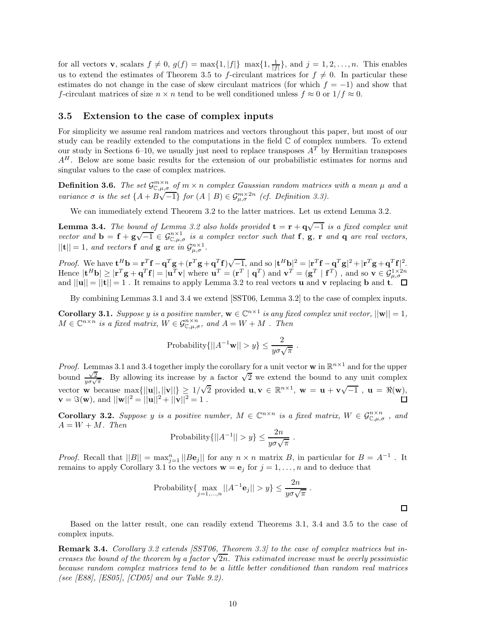for all vectors **v**, scalars  $f \neq 0$ ,  $g(f) = \max\{1, |f|\} \max\{1, \frac{1}{|f|}\}$ , and  $j = 1, 2, ..., n$ . This enables us to extend the estimates of Theorem 3.5 to *f*-circulant matrices for  $f \neq 0$ . In particular these estimates do not change in the case of skew circulant matrices (for which  $f = -1$ ) and show that *f*-circulant matrices of size  $n \times n$  tend to be well conditioned unless  $f \approx 0$  or  $1/f \approx 0$ .

#### **3.5 Extension to the case of complex inputs**

For simplicity we assume real random matrices and vectors throughout this paper, but most of our study can be readily extended to the computations in the field  $\mathbb C$  of complex numbers. To extend our study in Sections 6–10, we usually just need to replace transposes  $A<sup>T</sup>$  by Hermitian transposes *A<sup>H</sup>* . Below are some basic results for the extension of our probabilistic estimates for norms and singular values to the case of complex matrices.

**Definition 3.6.** The set  $\mathcal{G}^{m \times n}_{\mathbb{C},\mu,\sigma}$  of  $m \times n$  complex Gaussian random matrices with a mean  $\mu$  and a variance  $\sigma$  is the set  $\{A + B\sqrt{-1}\}$  for  $(A | B) \in \mathcal{G}^{m \times 2n}_{\mu,\sigma}$  (cf. Definition 3.3).

We can immediately extend Theorem 3.2 to the latter matrices. Let us extend Lemma 3.2.

**Lemma 3.4.** *The bound of Lemma 3.2 also holds provided*  $\mathbf{t} = \mathbf{r} + \mathbf{q}\sqrt{-1}$  *is a fixed complex unit vector and*  $\mathbf{b} = \mathbf{f} + \mathbf{g}\sqrt{-1} \in \mathcal{G}_{\mathbb{C},\mu,\sigma}^{n\times1}$  *is a complex vector such that* **f**, **g**, **r** *and* **q** *are real vectors,*  $||\mathbf{t}|| = 1$ *, and vectors* **f** *and* **g** *are in*  $\mathcal{G}_{\mu,\sigma}^{n\times1}$ *.* 

*Proof.* We have  $\mathbf{t}^H \mathbf{b} = \mathbf{r}^T \mathbf{f} - \mathbf{q}^T \mathbf{g} + (\mathbf{r}^T \mathbf{g} + \mathbf{q}^T \mathbf{f}) \sqrt{-1}$ , and so  $|\mathbf{t}^H \mathbf{b}|^2 = |\mathbf{r}^T \mathbf{f} - \mathbf{q}^T \mathbf{g}|^2 + |\mathbf{r}^T \mathbf{g} + \mathbf{q}^T \mathbf{f}|^2$ . Hence  $|\mathbf{t}^H \mathbf{b}| \geq |\mathbf{r}^T \mathbf{g} + \mathbf{q}^T \mathbf{f}| = |\mathbf{u}^T \mathbf{v}|$  where  $\mathbf{u}^T = (\mathbf{r}^T \mid \mathbf{q}^T)$  and  $\mathbf{v}^T = (\mathbf{g}^T \mid \mathbf{f}^T)$ , and so  $\mathbf{v} \in \mathcal{G}_{\mu, \sigma}^{1 \times 2n}$ and  $||\mathbf{u}|| = ||\mathbf{t}|| = 1$ . It remains to apply Lemma 3.2 to real vectors **u** and **v** replacing **b** and **t**.

By combining Lemmas 3.1 and 3.4 we extend [SST06, Lemma 3.2] to the case of complex inputs.

**Corollary 3.1.** *Suppose y is a positive number,*  $\mathbf{w} \in \mathbb{C}^{n \times 1}$  *is any fixed complex unit vector,*  $||\mathbf{w}|| = 1$ *,*  $M \in \mathbb{C}^{n \times n}$  *is a fixed matrix,*  $W \in \mathcal{G}_{\mathbb{C},\mu,\sigma}^{n \times n}$ *, and*  $A = W + M$ *. Then* 

Probability
$$
\{||A^{-1}\mathbf{w}|| > y\} \le \frac{2}{y\sigma\sqrt{\pi}}
$$
.

*Proof.* Lemmas 3.1 and 3.4 together imply the corollary for a unit vector **w** in  $\mathbb{R}^{n \times 1}$  and for the upper bound  $\frac{\sqrt{2}}{y\sigma\sqrt{\pi}}$ . By allowing its increase by a factor  $\sqrt{2}$  we extend the bound to any unit complex vector **w** because  $\max\{||\mathbf{u}||, ||\mathbf{v}||\} \ge 1/\sqrt{2}$  provided  $\mathbf{u}, \mathbf{v} \in \mathbb{R}^{n \times 1}, \mathbf{w} = \mathbf{u} + \mathbf{v}\sqrt{-1}$ ,  $\mathbf{u} = \Re(\mathbf{w}),$  $\mathbf{v} = \Im(\mathbf{w})$ , and  $||\mathbf{w}||^2 = ||\mathbf{u}||^2 + ||\mathbf{v}||^2 = 1$ . П

**Corollary 3.2.** *Suppose y is a positive number,*  $M \in \mathbb{C}^{n \times n}$  *is a fixed matrix,*  $W \in \mathcal{G}_{\mathbb{C},\mu,\sigma}^{n \times n}$ , and  $A = W + M$ *. Then* 

Probability
$$
\{||A^{-1}|| > y\} \le \frac{2n}{y\sigma\sqrt{\pi}}
$$
.

*Proof.* Recall that  $||B|| = \max_{j=1}^{n} ||Be_j||$  for any  $n \times n$  matrix *B*, in particular for  $B = A^{-1}$ . It remains to apply Corollary 3.1 to the vectors  $\mathbf{w} = \mathbf{e}_j$  for  $j = 1, \ldots, n$  and to deduce that

Probability{
$$
\underset{j=1,...,n}{\max} ||A^{-1} \mathbf{e}_j|| > y
$$
}  $\leq \frac{2n}{y\sigma\sqrt{\pi}}$ .

 $\Box$ 

Based on the latter result, one can readily extend Theorems 3.1, 3.4 and 3.5 to the case of complex inputs.

**Remark 3.4.** *Corollary 3.2 extends [SST06, Theorem 3.3] to the case of complex matrices but in***creases the bound of the theorem by a factor** √2*n.* This estimated increase must be overly pessimistic creases the bound of the theorem by a factor √2*n.* This estimated increase must be overly pessimistic *because random complex matrices tend to be a little better conditioned than random real matrices (see [E88], [ES05], [CD05] and our Table 9.2).*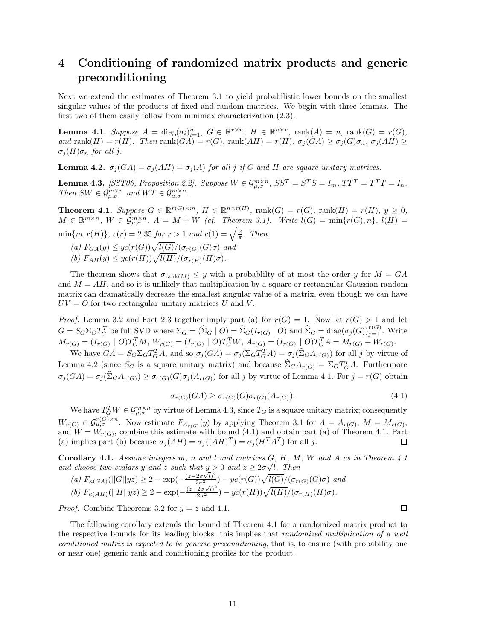## **4 Conditioning of randomized matrix products and generic preconditioning**

Next we extend the estimates of Theorem 3.1 to yield probabilistic lower bounds on the smallest singular values of the products of fixed and random matrices. We begin with three lemmas. The first two of them easily follow from minimax characterization (2.3).

**Lemma 4.1.** Suppose  $A = \text{diag}(\sigma_i)_{i=1}^n$ ,  $G \in \mathbb{R}^{r \times n}$ ,  $H \in \mathbb{R}^{n \times r}$ ,  $\text{rank}(A) = n$ ,  $\text{rank}(G) = r(G)$ , and rank $(H) = r(H)$ . Then rank $(GA) = r(G)$ , rank $(AH) = r(H)$ ,  $\sigma_j(GA) \geq \sigma_j(G)\sigma_n$ ,  $\sigma_j(AH) \geq$  $\sigma_j(H)\sigma_n$  *for all j.* 

**Lemma 4.2.**  $\sigma_j(GA) = \sigma_j(AH) = \sigma_j(A)$  for all *j* if *G* and *H* are square unitary matrices.

**Lemma 4.3.** [SST06, Proposition 2.2]. Suppose  $W \in \mathcal{G}_{\mu,\sigma}^{m \times n}$ ,  $SS^T = S^T S = I_m$ ,  $TT^T = T^T T = I_n$ . *Then*  $SW \in \mathcal{G}_{\mu,\sigma}^{m\times n}$  *and*  $WT \in \mathcal{G}_{\mu,\sigma}^{m\times n}$ .

**Theorem 4.1.** Suppose  $G \in \mathbb{R}^{r(G)\times m}$ ,  $H \in \mathbb{R}^{n \times r(H)}$ ,  $\text{rank}(G) = r(G)$ ,  $\text{rank}(H) = r(H)$ ,  $y \ge 0$ ,  $M \in \mathbb{R}^{m \times n}$ ,  $W \in \mathcal{G}_{\mu,\sigma}^{m \times n}$ ,  $A = M + W$  (cf. Theorem 3.1). Write  $l(G) = \min\{r(G), n\}$ ,  $l(H) =$  $\min\{m, r(H)\}, c(r) = 2.35$  *for*  $r > 1$  *and*  $c(1) = \sqrt{\frac{2}{\pi}}$ *. Then* 

 $(a)$   $F_{GA}(y) \leq yc(r(G))\sqrt{l(G)}/(\sigma_{r(G)}(G)\sigma)$  *and*  $f(b)$   $F_{AH}(y) \leq yc(r(H))\sqrt{l(H)}/(\sigma_{r(H)}(H)\sigma).$ 

The theorem shows that  $\sigma_{rank(M)} \leq y$  with a probability of at most the order *y* for  $M = GA$ and  $M = AH$ , and so it is unlikely that multiplication by a square or rectangular Gaussian random matrix can dramatically decrease the smallest singular value of a matrix, even though we can have  $UV = O$  for two rectangular unitary matrices  $U$  and  $V$ .

*Proof.* Lemma 3.2 and Fact 2.3 together imply part (a) for  $r(G) = 1$ . Now let  $r(G) > 1$  and let  $G = S_G \Sigma_G T_G^T$  be full SVD where  $\Sigma_G = (\widehat{\Sigma}_G \mid O) = \widehat{\Sigma}_G (I_{r(G)} \mid O)$  and  $\widehat{\Sigma}_G = \text{diag}(\sigma_j(G))_{j=1}^{r(G)}$ . Write  $M_{r(G)} = (I_{r(G)} \mid O)T_G^T M$ ,  $W_{r(G)} = (I_{r(G)} \mid O)T_G^T W$ ,  $A_{r(G)} = (I_{r(G)} \mid O)T_G^T A = M_{r(G)} + W_{r(G)}$ .

We have  $GA = S_G \Sigma_G T_G^T A$ , and so  $\sigma_j(GA) = \sigma_j(\Sigma_G T_G^T A) = \sigma_j(\Sigma_G A_{r(G)})$  for all j by virtue of Lemma 4.2 (since  $S_G$  is a square unitary matrix) and because  $\hat{\Sigma}_G A_{r(G)} = \Sigma_G T_G^T A$ . Furthermore  $\sigma_j(GA) = \sigma_j(\hat{\Sigma}_G A_{r(G)}) \geq \sigma_{r(G)}(G) \sigma_j(A_{r(G)})$  for all j by virtue of Lemma 4.1. For  $j = r(G)$  obtain

$$
\sigma_{r(G)}(GA) \ge \sigma_{r(G)}(G)\sigma_{r(G)}(A_{r(G)}).
$$
\n(4.1)

We have  $T_G^T W \in \mathcal{G}_{\mu,\sigma}^{m \times n}$  by virtue of Lemma 4.3, since  $T_G$  is a square unitary matrix; consequently  $W_{r(G)} \in \mathcal{G}_{\mu,\sigma}^{r(G)\times n}$ . Now estimate  $F_{A_{r(G)}}(y)$  by applying Theorem 3.1 for  $A = A_{r(G)}$ ,  $M = M_{r(G)}$ , and  $W = W_{r(G)}$ , combine this estimate with bound (4.1) and obtain part (a) of Theorem 4.1. Part (a) implies part (b) because  $\sigma_j(AH) = \sigma_j((AH)^T) = \sigma_j(H^T A^T)$  for all *j*. 口

**Corollary 4.1.** *Assume integers m, n and l and matrices G, H, M, W and A as in Theorem 4.1 and choose two scalars**y**and**z**such that* $y > 0$ *and* $z \ge 2\sigma\sqrt{l}$ *. Then* 

(a) 
$$
F_{\kappa(GA)}(||G||yz) \ge 2 - \exp(-\frac{(z-2\sigma\sqrt{l})^2}{2\sigma^2}) - yc(r(G))\sqrt{l(G)}/(\sigma_{r(G)}(G)\sigma)
$$
 and  
(b)  $F_{\kappa(AH)}(||H||yz) \ge 2 - \exp(-\frac{(z-2\sigma\sqrt{l})^2}{2\sigma^2}) - yc(r(H))\sqrt{l(H)}/(\sigma_{r(H)}(H)\sigma).$ 

*Proof.* Combine Theorems 3.2 for  $y = z$  and 4.1.

The following corollary extends the bound of Theorem 4.1 for a randomized matrix product to the respective bounds for its leading blocks; this implies that *randomized multiplication of a well conditioned matrix is expected to be generic preconditioning*, that is, to ensure (with probability one or near one) generic rank and conditioning profiles for the product.

 $\Box$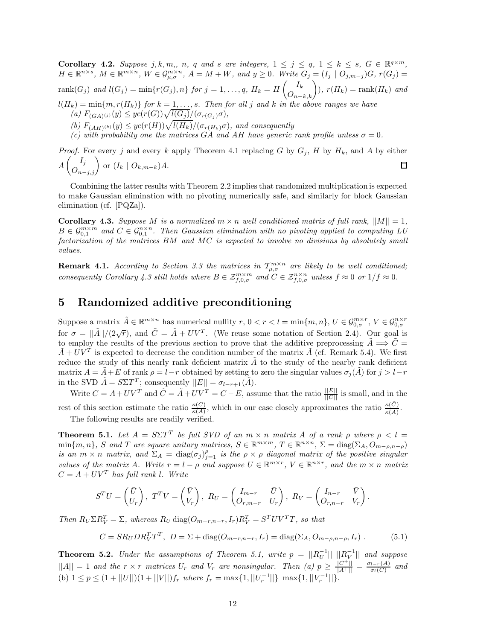**Corollary 4.2.** Suppose j, k, m,, n, q and s are integers,  $1 \le j \le q$ ,  $1 \le k \le s$ ,  $G \in \mathbb{R}^{q \times m}$ ,  $H \in \mathbb{R}^{n \times s}$ ,  $M \in \mathbb{R}^{m \times n}$ ,  $W \in \mathcal{G}_{\mu,\sigma}^{m \times n}$ ,  $A = M + W$ , and  $y \ge 0$ . Write  $G_j = (I_j \mid O_{j,m-j})G$ ,  $r(G_j) =$ rank $(G_j)$  and  $l(G_j) = \min\{r(G_j), n\}$  for  $j = 1, ..., q$ ,  $H_k = H\left(\begin{matrix} I_k \\ O_{n-k,k} \end{matrix}\right)$ ,  $r(H_k) = \text{rank}(H_k)$  and  $l(H_k) = \min\{m, r(H_k)\}$  for  $k = 1, \ldots, s$ *. Then for all j* and *k* in the above ranges we have  $(n)$   $F_{(GA)(j)}(y) \leq yc(r(G))\sqrt{l(G_j)/(\sigma_{r(G_j)}\sigma)},$ (b)  $F_{(AH)^{(k)}}(y) \leq yc(r(H))\sqrt{l(H_k)}/(\sigma_{r(H_k)}\sigma)$ , and consequently *(c)* with probability one the matrices  $G\overrightarrow{A}$  and  $\overrightarrow{AH}$  have generic rank profile unless  $\sigma = 0$ .

*Proof.* For every *j* and every *k* apply Theorem 4.1 replacing *G* by  $G_j$ , *H* by  $H_k$ , and *A* by either  $A\left(\bigcirc_{n-j,j}^{I_j}\right)$  or  $(I_k \mid O_{k,m-k})A$ . 口

Combining the latter results with Theorem 2.2 implies that randomized multiplication is expected to make Gaussian elimination with no pivoting numerically safe, and similarly for block Gaussian elimination (cf. [PQZa]).

**Corollary 4.3.** *Suppose M is a normalized*  $m \times n$  *well conditioned matrix of full rank,*  $||M|| = 1$ *,*  $B \in \mathcal{G}_{0,1}^{m \times m}$  and  $C \in \mathcal{G}_{0,1}^{n \times n}$ . Then Gaussian elimination with no pivoting applied to computing LU *factorization of the matrices BM and MC is expected to involve no divisions by absolutely small values.*

**Remark 4.1.** *According to Section 3.3 the matrices in*  $T_{\mu,\sigma}^{m\times n}$  *are likely to be well conditioned*; *consequently Corollary 4.3 still holds where*  $B \in \mathcal{Z}_{f,0,\sigma}^{m \times m}$  *and*  $C \in \mathcal{Z}_{f,0,\sigma}^{n \times n}$  *unless*  $f \approx 0$  *or*  $1/f \approx 0$ *.* 

## **5 Randomized additive preconditioning**

Suppose a matrix  $\tilde{A} \in \mathbb{R}^{m \times n}$  has numerical nullity  $r, 0 < r < l = \min\{m, n\}, U \in \mathcal{G}_{0,\sigma}^{m \times r}, V \in \mathcal{G}_{0,\sigma}^{n \times r}$ for  $\sigma = ||\tilde{A}||/(2\sqrt{r})$ , and  $\tilde{C} = \tilde{A} + UV^T$ . (We reuse some notation of Section 2.4). Our goal is to employ the results of the previous section to prove that the additive preprocessing  $\tilde{A} \implies \tilde{C} =$  $\tilde{A} + UV^T$  is expected to decrease the condition number of the matrix  $\tilde{A}$  (cf. Remark 5.4). We first reduce the study of this nearly rank deficient matrix *A* to the study of the nearby rank deficient matrix  $A = A + E$  of rank  $\rho = l - r$  obtained by setting to zero the singular values  $\sigma_j(A)$  for  $j > l - r$ in the SVD  $\tilde{A} = S\Sigma T^{T}$ ; consequently  $||E|| = \sigma_{l-r+1}(\tilde{A})$ .

Write  $C = A + UV^T$  and  $\tilde{C} = \tilde{A} + UV^T = C - E$ , assume that the ratio  $\frac{||E||}{||C||}$  is small, and in the rest of this section estimate the ratio  $\frac{\kappa(C)}{\kappa(A)}$ , which in our case closely approximates the ratio  $\frac{\kappa(\tilde{C})}{\kappa(A)}$ . The following results are readily verified.

**Theorem 5.1.** *Let*  $A = S\Sigma T^T$  *be full SVD of an*  $m \times n$  *matrix*  $A$  *of a rank*  $\rho$  *where*  $\rho < l$  $\min\{m, n\}$ , *S* and *T* are square unitary matrices,  $S \in \mathbb{R}^{m \times m}$ ,  $T \in \mathbb{R}^{n \times n}$ ,  $\Sigma = \text{diag}(\Sigma_A, O_{m-\rho,n-\rho})$ *is an*  $m \times n$  *matrix, and*  $\Sigma_A = \text{diag}(\sigma_j)_{j=1}^{\rho}$  *is the*  $\rho \times \rho$  *diagonal matrix of the positive singular values of the matrix A. Write*  $r = l - \rho$  *and suppose*  $U \in \mathbb{R}^{m \times r}$ ,  $V \in \mathbb{R}^{n \times r}$ , and the  $m \times n$  matrix  $C = A + UV^T$  *has full rank l. Write* 

$$
S^{T}U = \begin{pmatrix} \bar{U} \\ U_{r} \end{pmatrix}, T^{T}V = \begin{pmatrix} \bar{V} \\ V_{r} \end{pmatrix}, R_{U} = \begin{pmatrix} I_{m-r} & \bar{U} \\ O_{r,m-r} & U_{r} \end{pmatrix}, R_{V} = \begin{pmatrix} I_{n-r} & \bar{V} \\ O_{r,n-r} & V_{r} \end{pmatrix}.
$$

Then  $R_U \Sigma R_V^T = \Sigma$ , whereas  $R_U \text{diag}(O_{m-r,n-r}, I_r) R_V^T = S^T UV^T T$ , so that

$$
C = SR_U DR_V^T T^T, \ D = \Sigma + \text{diag}(O_{m-r,n-r}, I_r) = \text{diag}(\Sigma_A, O_{m-\rho,n-\rho}, I_r) \ . \tag{5.1}
$$

**Theorem 5.2.** *Under the assumptions of Theorem 5.1, write*  $p = ||R_U^{-1}|| \, ||R_V^{-1}||$  *and suppose*  $||A|| = 1$  and the  $r \times r$  matrices  $U_r$  and  $V_r$  are nonsingular. Then (a)  $p \geq \frac{||C^+||}{||A^+||} = \frac{\sigma_{l-r}(A)}{\sigma_l(C)}$  and (b)  $1 \leq p \leq (1 + ||U||)(1 + ||V||)f_r$  where  $f_r = \max\{1, ||U_r^{-1}||\}$   $\max\{1, ||V_r^{-1}||\}$ .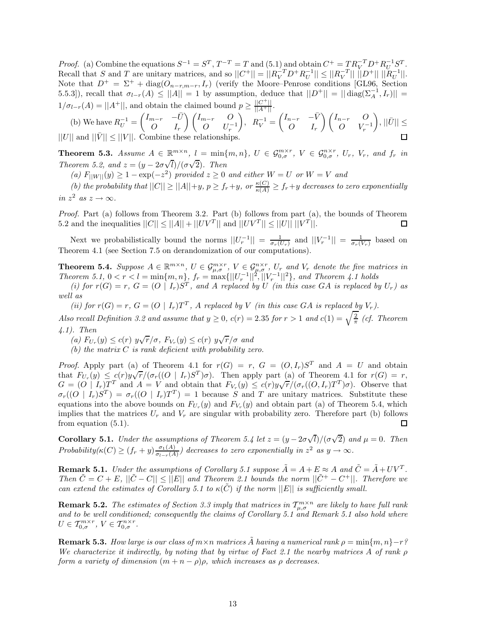*Proof.* (a) Combine the equations  $S^{-1} = S^T$ ,  $T^{-T} = T$  and  $(5.1)$  and obtain  $C^+ = TR_V^{-T}D^+R_U^{-1}S^T$ . Recall that *S* and *T* are unitary matrices, and so  $||C^+|| = ||R_V^{-T}D^+R_U^{-1}|| \le ||R_V^{-T}|| ||D^+|| ||R_U^{-1}||.$ Note that  $D^+ = \Sigma^+ + \text{diag}(O_{n-r,m-r}, I_r)$  (verify the Moore–Penrose conditions [GL96, Section 5.5.3]), recall that  $\sigma_{l-r}(A) \leq ||A|| = 1$  by assumption, deduce that  $||D^+|| = ||\operatorname{diag}(\Sigma_A^{-1}, I_r)||$  $1/\sigma_{l-r}(A) = ||A^+||$ , and obtain the claimed bound  $p \ge \frac{||C^+||}{||A^+||}$ .

(b) We have 
$$
R_U^{-1} = \begin{pmatrix} I_{m-r} & -\bar{U} \\ O & I_r \end{pmatrix} \begin{pmatrix} I_{m-r} & O \\ O & U_r^{-1} \end{pmatrix}
$$
,  $R_V^{-1} = \begin{pmatrix} I_{n-r} & -\bar{V} \\ O & I_r \end{pmatrix} \begin{pmatrix} I_{n-r} & O \\ O & V_r^{-1} \end{pmatrix}$ ,  $||\bar{U}|| \le ||U||$  and  $||\bar{V}|| \le ||V||$ . Combine these relationships.

**Theorem 5.3.** Assume  $A \in \mathbb{R}^{m \times n}$ ,  $l = \min\{m, n\}$ ,  $U \in \mathcal{G}_{0,\sigma}^{m \times r}$ ,  $V \in \mathcal{G}_{0,\sigma}^{n \times r}$ ,  $U_r$ ,  $V_r$ , and  $f_r$  in *Theorem 5.2, and*  $z = (y - 2\sigma)$ √  $\frac{d}{d}$ )*/*( $\sigma\sqrt{2}$ ). Then

*(a)*  $F_{\text{I}|\text{I}|\text{I}|\text{I}|\text{I}|\text{I}|\text{I}|\text{I}}(y) > 1 - \exp(-z^2)$  *provided*  $z > 0$  *and either*  $W = U$  *or*  $W = V$  *and* 

(b) the probability that  $||C|| \ge ||A||+y, p \ge f_r+y$ , or  $\frac{\kappa(C)}{\kappa(A)} \ge f_r+y$  decreases to zero exponentially *in*  $z^2$  *as*  $z \to \infty$ *.* 

*Proof.* Part (a) follows from Theorem 3.2. Part (b) follows from part (a), the bounds of Theorem 5.2 and the inequalities  $||C|| \le ||A|| + ||UV^T||$  and  $||UV^T|| \le ||U|| ||V^T||$ . □

Next we probabilistically bound the norms  $||U_r^{-1}|| = \frac{1}{\sigma_r(U_r)}$  and  $||V_r^{-1}|| = \frac{1}{\sigma_r(V_r)}$  based on Theorem 4.1 (see Section 7.5 on derandomization of our computations).

**Theorem 5.4.** Suppose  $A \in \mathbb{R}^{m \times n}$ ,  $U \in \mathcal{G}_{\mu,\sigma}^{m \times r}$ ,  $V \in \mathcal{G}_{\mu,\sigma}^{n \times r}$ ,  $U_r$  and  $V_r$  denote the five matrices in *Theorem 5.1,*  $0 < r < l = \min\{m, n\}$ ,  $f_r = \max\{||U_r^{-1}||^2, ||V_r^{-1}||^2\}$ , and Theorem 4.1 holds

(i) for  $r(G) = r$ ,  $G = (O | I_r)S^T$ , and A replaced by U (in this case GA is replaced by  $U_r$ ) as *well as*

(ii) for  $r(G) = r$ ,  $G = (O | I_r)T^T$ , A replaced by V (in this case GA is replaced by  $V_r$ ).

*Also recall Definition 3.2 and assume that*  $y \ge 0$ ,  $c(r) = 2.35$  *for*  $r > 1$  *and*  $c(1) = \sqrt{\frac{2}{\pi}}$  *(cf. Theorem 4.1). Then*

*(a)*  $F_{U_r}(y) \le c(r)$   $y\sqrt{r}/\sigma$ ,  $F_{V_r}(y) \le c(r)$   $y\sqrt{r}/\sigma$  and

*(b) the matrix C is rank deficient with probability zero.*

*Proof.* Apply part (a) of Theorem 4.1 for  $r(G) = r$ ,  $G = (O, I_r)S^T$  and  $A = U$  and obtain *Proof.* Apply part (a) of Theorem 4.1 for  $r(G) = r$ ,  $G = (O, I_r)S$  and  $A = O$  and obtain<br>that  $F_{U_r}(y) \leq c(r)y\sqrt{r}/(\sigma_r((O \mid I_r)S^T)\sigma)$ . Then apply part (a) of Theorem 4.1 for  $r(G) = r$ , that  $P_{U_r}(y) \leq c(r)g\sqrt{r}/(\sigma_r((\mathcal{O} + I_r)\mathcal{O})))$ . Then apply part (a) of Theorem 4.1 for  $r(G) = r$ ,<br>  $G = (O \mid I_r)T^T$  and  $A = V$  and obtain that  $F_{V_r}(y) \leq c(r)y\sqrt{r}/(\sigma_r((O,I_r)T^T)\sigma)$ . Observe that  $\sigma_r((O \mid I_r)S^T) = \sigma_r((O \mid I_r)T^T) = 1$  because *S* and *T* are unitary matrices. Substitute these equations into the above bounds on  $F_{U_r}(y)$  and  $F_{V_r}(y)$  and obtain part (a) of Theorem 5.4, which implies that the matrices  $U_r$  and  $V_r$  are singular with probability zero. Therefore part (b) follows from equation (5.1). П

**Corollary 5.1.** *Under the assumptions of Theorem 5.4 let*  $z = (y - 2\sigma)$ √  $\overline{l}/(\sigma\sqrt{2})$  *and*  $\mu = 0$ *. Then Probability*( $\kappa$ (*C*)  $\geq$  ( $f_r$  + *y*)  $\frac{\sigma_1(A)}{\sigma_{1-r}(A)}$ ) decreases to zero exponentially in  $z^2$  *as*  $y \to \infty$ .

**Remark 5.1.** *Under the assumptions of Corollary 5.1 suppose*  $\tilde{A} = A + E \approx A$  *and*  $\tilde{C} = \tilde{A} + UV^T$ . *Then*  $\tilde{C} = C + E$ ,  $||\tilde{C} - C|| \leq ||E||$  and Theorem 2.1 bounds the norm  $||\tilde{C}^{+} - C^{+}||$ . Therefore we *can extend the estimates of Corollary 5.1 to*  $\kappa(\tilde{C})$  *if the norm*  $||E||$  *is sufficiently small.* 

**Remark 5.2.** *The estimates of Section 3.3 imply that matrices in*  $\mathcal{T}^{m\times n}_{\mu,\sigma}$  *are likely to have full rank and to be well conditioned; consequently the claims of Corollary 5.1 and Remark 5.1 also hold where*  $U \in \mathcal{T}_{0,\sigma}^{m \times r}, V \in \mathcal{T}_{0,\sigma}^{n \times r}.$ 

**Remark 5.3.** *How large is our class of*  $m \times n$  *matrices*  $\tilde{A}$  *having a numerical rank*  $\rho = \min\{m, n\} - r$ ? *We characterize it indirectly, by noting that by virtue of Fact 2.1 the nearby matrices A of rank ρ form a variety of dimension*  $(m + n - \rho)\rho$ *, which increases as*  $\rho$  *decreases.*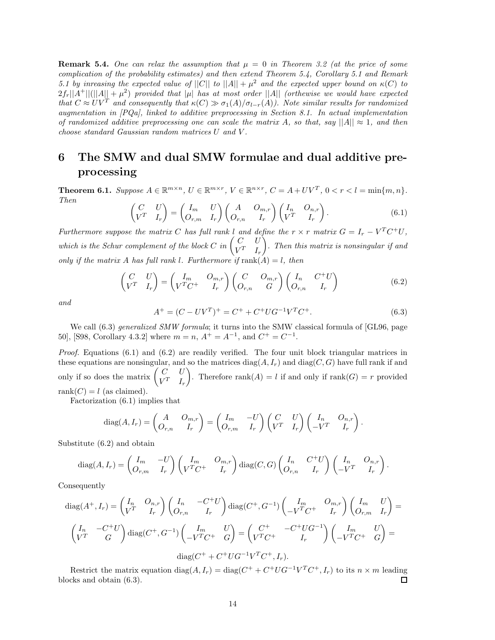**Remark 5.4.** One can relax the assumption that  $\mu = 0$  in Theorem 3.2 (at the price of some *complication of the probability estimates) and then extend Theorem 5.4, Corollary 5.1 and Remark 5.1 by inreasing the expected value of*  $||C||$  *to*  $||A|| + \mu^2$  *and the expected upper bound on*  $\kappa(C)$  *to*  $2f_r||A^+||(||A|| + \mu^2)$  provided that  $|\mu|$  has at most order  $||A||$  (orthewise we would have expected *that*  $C \approx UV^T$  *and consequently that*  $\kappa(C) \gg \sigma_1(A)/\sigma_{l-r}(A)$ *). Note similar results for randomized augmentation in [PQa], linked to additive preprocessing in Section 8.1. In actual implementation of randomized additive preprocessing one can scale the matrix A*, so that, say  $||A|| \approx 1$ , and then *choose standard Gaussian random matrices U and V .*

## **6 The SMW and dual SMW formulae and dual additive preprocessing**

**Theorem 6.1.** Suppose  $A \in \mathbb{R}^{m \times n}$ ,  $U \in \mathbb{R}^{m \times r}$ ,  $V \in \mathbb{R}^{n \times r}$ ,  $C = A + UV^T$ ,  $0 < r < l = \min\{m, n\}$ . *Then*

$$
\begin{pmatrix} C & U \\ V^T & I_r \end{pmatrix} = \begin{pmatrix} I_m & U \\ O_{r,m} & I_r \end{pmatrix} \begin{pmatrix} A & O_{m,r} \\ O_{r,n} & I_r \end{pmatrix} \begin{pmatrix} I_n & O_{n,r} \\ V^T & I_r \end{pmatrix}.
$$
 (6.1)

*Furthermore suppose the matrix C has full rank l* and define the  $r \times r$  *matrix*  $G = I_r - V^T C^+ U$ , *which is the Schur complement of the block*  $C$  *in*  $\begin{pmatrix} C & U \\ V^T & I_r \end{pmatrix}$ - *. Then this matrix is nonsingular if and only if the matrix A has full rank l. Furthermore if*  $rank(A) = l$ *, then* 

$$
\begin{pmatrix}\nC & U \\
V^T & I_r\n\end{pmatrix} = \begin{pmatrix}\nI_m & O_{m,r} \\
V^T C^+ & I_r\n\end{pmatrix} \begin{pmatrix}\nC & O_{m,r} \\
O_{r,n} & G\n\end{pmatrix} \begin{pmatrix}\nI_n & C^+ U \\
O_{r,n} & I_r\n\end{pmatrix}
$$
\n(6.2)

*and*

$$
A^{+} = (C - UV^{T})^{+} = C^{+} + C^{+}UG^{-1}V^{T}C^{+}.
$$
\n(6.3)

We call (6.3) *generalized SMW formula*; it turns into the SMW classical formula of [GL96, page 50], [S98, Corollary 4.3.2] where  $m = n$ ,  $A^+ = A^{-1}$ , and  $C^+ = C^{-1}$ .

*Proof.* Equations (6.1) and (6.2) are readily verified. The four unit block triangular matrices in these equations are nonsingular, and so the matrices  $diag(A, I_r)$  and  $diag(C, G)$  have full rank if and only if so does the matrix  $\begin{pmatrix} C & U \\ V^T & I_r \end{pmatrix}$ Therefore rank $(A) = l$  if and only if rank $(G) = r$  provided rank $(C) = l$  (as claimed).

Factorization (6.1) implies that

$$
diag(A, I_r) = \begin{pmatrix} A & O_{m,r} \\ O_{r,n} & I_r \end{pmatrix} = \begin{pmatrix} I_m & -U \\ O_{r,m} & I_r \end{pmatrix} \begin{pmatrix} C & U \\ V^T & I_r \end{pmatrix} \begin{pmatrix} I_n & O_{n,r} \\ -V^T & I_r \end{pmatrix}.
$$

Substitute (6.2) and obtain

$$
\operatorname{diag}(A, I_r) = \begin{pmatrix} I_m & -U \\ O_{r,m} & I_r \end{pmatrix} \begin{pmatrix} I_m & O_{m,r} \\ V^T C^+ & I_r \end{pmatrix} \operatorname{diag}(C, G) \begin{pmatrix} I_n & C^+ U \\ O_{r,n} & I_r \end{pmatrix} \begin{pmatrix} I_n & O_{n,r} \\ -V^T & I_r \end{pmatrix}.
$$

Consequently

$$
\operatorname{diag}(A^{+}, I_{r}) = \begin{pmatrix} I_{n} & O_{n,r} \\ V^{T} & I_{r} \end{pmatrix} \begin{pmatrix} I_{n} & -C^{+}U \\ O_{r,n} & I_{r} \end{pmatrix} \operatorname{diag}(C^{+}, G^{-1}) \begin{pmatrix} I_{m} & O_{m,r} \\ -V^{T}C^{+} & I_{r} \end{pmatrix} \begin{pmatrix} I_{m} & U \\ O_{r,m} & I_{r} \end{pmatrix} = \begin{pmatrix} I_{n} & -C^{+}U \\ V^{T} & G \end{pmatrix} \operatorname{diag}(C^{+}, G^{-1}) \begin{pmatrix} I_{m} & U \\ -V^{T}C^{+} & G \end{pmatrix} = \begin{pmatrix} C^{+} & -C^{+}UG^{-1} \\ V^{T}C^{+} & I_{r} \end{pmatrix} \begin{pmatrix} I_{m} & U \\ -V^{T}C^{+} & G \end{pmatrix} = \operatorname{diag}(C^{+} + C^{+}UG^{-1}V^{T}C^{+}, I_{r}).
$$

Restrict the matrix equation diag( $A, I_r$ ) = diag( $C^+$  +  $C^+ U G^{-1} V^T C^+$ ,  $I_r$ ) to its  $n \times m$  leading blocks and obtain (6.3). 口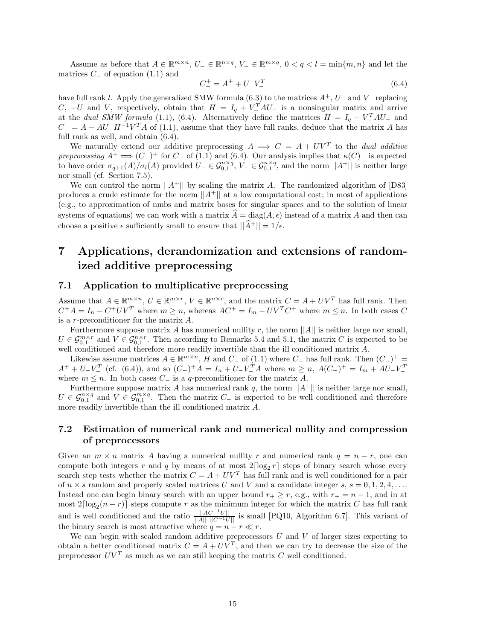Assume as before that  $A \in \mathbb{R}^{m \times n}$ ,  $U_{-} \in \mathbb{R}^{n \times q}$ ,  $V_{-} \in \mathbb{R}^{m \times q}$ ,  $0 < q < l = \min\{m, n\}$  and let the matrices  $C_$  of equation  $(1.1)$  and

$$
C_{-}^{+} = A^{+} + U_{-}V_{-}^{T}
$$
\n(6.4)

have full rank *<sup>l</sup>*. Apply the generalized SMW formula (6.3) to the matrices *<sup>A</sup>*+, *<sup>U</sup>*<sup>−</sup> and *<sup>V</sup>*<sup>−</sup> replacing *C*, −*U* and *V*, respectively, obtain that  $H = I_q + V_{-}^T A U_{-}$  is a nonsingular matrix and arrive at the *dual SMW formula* (1.1), (6.4). Alternatively define the matrices  $H = I_q + V_{-}^T A U_{-}$  and  $C_$  = *A* − *AU*<sub>−</sub>*H*<sup>−1</sup>*V*<sup>T</sup><sub>*A*</sub> of (1.1), assume that they have full ranks, deduce that the matrix *A* has full rank as well, and obtain (6.4).

We naturally extend our additive preprocessing  $A \implies C = A + UV^T$  to the *dual additive preprocessing*  $A^+ \implies (C^-)^+$  for  $C^-$  of (1.1) and (6.4). Our analysis implies that  $\kappa(C)$ − is expected to have order  $\sigma_{q+1}(A)/\sigma_l(A)$  provided  $U-\in \mathcal{G}_{0,1}^{n\times q}$ ,  $V-\in \mathcal{G}_{0,1}^{n\times q}$ , and the norm  $||A^+||$  is neither large nor small (cf. Section 7.5).

We can control the norm  $||A^+||$  by scaling the matrix A. The randomized algorithm of [D83] produces a crude estimate for the norm  $||A^+||$  at a low computational cost; in most of applications (e.g., to approximation of nmbs and matrix bases for singular spaces and to the solution of linear systems of equations) we can work with a matrix  $\hat{A} = \text{diag}(A, \epsilon)$  instead of a matrix A and then can choose a positive  $\epsilon$  sufficiently small to ensure that  $||\hat{A}^+|| = 1/\epsilon$ .

## **7 Applications, derandomization and extensions of randomized additive preprocessing**

## **7.1 Application to multiplicative preprocessing**

Assume that  $A \in \mathbb{R}^{m \times n}$ ,  $U \in \mathbb{R}^{m \times r}$ ,  $V \in \mathbb{R}^{n \times r}$ , and the matrix  $C = A + UV^T$  has full rank. Then  $C^+A = I_n - C^+UV^T$  where  $m \ge n$ , whereas  $AC^+ = I_m - UV^TC^+$  where  $m \le n$ . In both cases *C* is a *r*-preconditioner for the matrix *A*.

Furthermore suppose matrix *A* has numerical nullity *r*, the norm  $||A||$  is neither large nor small,  $U \in \mathcal{G}_{0,1}^{m \times r}$  and  $V \in \mathcal{G}_{0,1}^{n \times r}$ . Then according to Remarks 5.4 and 5.1, the matrix *C* is expected to be well conditioned and therefore more readily invertible than the ill conditioned matrix *A*.

Likewise assume matrices  $A \in \mathbb{R}^{m \times n}$ , *H* and  $C$ − of (1.1) where  $C$ − has full rank. Then  $(C_+)^+$  =  $A^+ + U^-V^-$  (cf. (6.4)), and so  $(C_-)^+A = I_n + U^-V^T_A$  where  $m \ge n$ ,  $A(C_-)^+ = I_m + AU^-V^T_A$ where  $m \leq n$ . In both cases  $C_{-}$  is a *q*-preconditioner for the matrix *A*.

Furthermore suppose matrix *A* has numerical rank  $q$ , the norm  $||A^+||$  is neither large nor small,  $U \in \mathcal{G}_{0,1}^{n \times q}$  and  $V \in \mathcal{G}_{0,1}^{m \times q}$ . Then the matrix  $C_{-}$  is expected to be well conditioned and therefore more readily invertible than the ill conditioned matrix *A*.

## **7.2 Estimation of numerical rank and numerical nullity and compression of preprocessors**

Given an  $m \times n$  matrix *A* having a numerical nullity *r* and numerical rank  $q = n - r$ , one can compute both integers r and q by means of at most  $2\lceil \log_2 r \rceil$  steps of binary search whose every search step tests whether the matrix  $C = A + UV^T$  has full rank and is well conditioned for a pair of  $n \times s$  random and properly scaled matrices *U* and *V* and a candidate integer  $s, s = 0, 1, 2, 4, \ldots$ Instead one can begin binary search with an upper bound  $r_+ \geq r$ , e.g., with  $r_+ = n - 1$ , and in at most  $2\lceil \log_2(n-r) \rceil$  steps compute *r* as the minimum integer for which the matrix *C* has full rank and is well conditioned and the ratio  $\frac{||AC^{-1}U||}{||A|| ||C^{-1}U||}$  is small [PQ10, Algorithm 6.7]. This variant of the binary search is most attractive where  $q = n - r \ll r$ .

We can begin with scaled random additive preprocessors *U* and *V* of larger sizes expecting to obtain a better conditioned matrix  $C = A + U\overline{V}^T$ , and then we can try to decrease the size of the preprocessor  $UV^T$  as much as we can still keeping the matrix  $C$  well conditioned.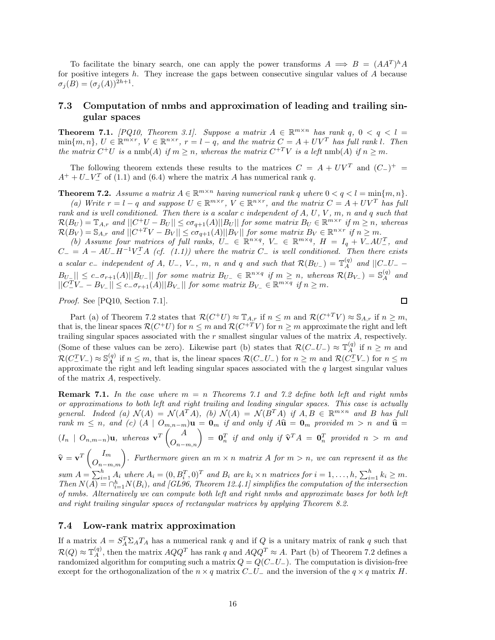To facilitate the binary search, one can apply the power transforms  $A \implies B = (AA^T)^h A$ for positive integers *h*. They increase the gaps between consecutive singular values of *A* because  $\sigma_i(B) = (\sigma_i(A))^{2h+1}$ .

## **7.3 Computation of nmbs and approximation of leading and trailing singular spaces**

**Theorem 7.1.** *[PQ10, Theorem 3.1]. Suppose a matrix*  $A \in \mathbb{R}^{m \times n}$  *has rank*  $q$ ,  $0 < q < l$  $\min\{m,n\},\ U\in\mathbb{R}^{m\times r},\ V\in\mathbb{R}^{n\times r},\ r=l-q,\ and\ the\ matrix\ C=A+UV^T\ has\ full\ rank\ l.$  Then *the matrix*  $C^+U$  *is a* nmb(*A*) *if*  $m \geq n$ *, whereas the matrix*  $C^{+T}V$  *is a left* nmb(*A*) *if*  $n \geq m$ *.* 

The following theorem extends these results to the matrices  $C = A + UV^T$  and  $(C_{-})^+$  $A^+ + U^-V^T_-$  of (1.1) and (6.4) where the matrix *A* has numerical rank *q*.

**Theorem 7.2.** *Assume a matrix*  $A \in \mathbb{R}^{m \times n}$  *having numerical rank q where*  $0 < q < l = \min\{m, n\}$ *.* 

*(a) Write*  $r = l - q$  *and suppose*  $U \in \mathbb{R}^{m \times r}$ ,  $V \in \mathbb{R}^{n \times r}$ , *and the matrix*  $C = A + UV^T$  *has full rank and is well conditioned. Then there is a scalar c independent of A, U, V , m, n and q such that*  $\mathcal{R}(B_U) = \mathbb{T}_{A,r}$  and  $||C^+U - B_U|| \leq c\sigma_{q+1}(A)||B_U||$  for some matrix  $B_U \in \mathbb{R}^{m \times r}$  if  $m \geq n$ , whereas  $\mathcal{R}(B_V) = \mathbb{S}_{A,r}$  and  $||C^{+T}V - B_V|| \leq c\sigma_{q+1}(A)||B_V||$  for some matrix  $B_V \in \mathbb{R}^{n \times r}$  if  $n \geq m$ .

*(b)* Assume four matrices of full ranks,  $U_{-} \in \mathbb{R}^{n \times q}$ ,  $V_{-} \in \mathbb{R}^{m \times q}$ ,  $H = I_q + V_-AU_-^T$ , and  $C_-=A-AU_-H^{-1}V_-^T A$  (cf. (1.1)) where the matrix  $C_-$  is well conditioned. Then there exists a scalar  $c_-$  independent of A, U<sub>-</sub>, V<sub>-</sub>, m, n and q and such that  $\mathcal{R}(B_{U_-}) = \mathbb{T}_A^{(q)}$  and  $||C_U|$  $||B_{U_{-}}|| \leq c_{-}\sigma_{r+1}(A)||B_{U_{-}}||$  for some matrix  $B_{U_{-}} \in \mathbb{R}^{n \times q}$  if  $m \geq n$ , whereas  $\mathcal{R}(B_{V_{-}}) = \mathbb{S}_{A}^{(q)}$  and  $||C_{-}^{T}V_{-} - B_{V_{-}}|| \leq c_{-}\sigma_{r+1}(A)||B_{V_{-}}||$  *for some matrix*  $B_{V_{-}} \in \mathbb{R}^{m \times q}$  *if*  $n \geq m$ *.* 

*Proof.* See [PQ10, Section 7.1].

 $\Box$ 

Part (a) of Theorem 7.2 states that  $\mathcal{R}(C^+U) \approx \mathbb{T}_{A,r}$  if  $n \leq m$  and  $\mathcal{R}(C^{+T}V) \approx \mathbb{S}_{A,r}$  if  $n \geq m$ , that is, the linear spaces  $\mathcal{R}(C^+U)$  for  $n \leq m$  and  $\mathcal{R}(C^{+T}V)$  for  $n \geq m$  approximate the right and left trailing singular spaces associated with the *r* smallest singular values of the matrix *A*, respectively. (Some of these values can be zero). Likewise part (b) states that  $\mathcal{R}(C-U-)\approx \mathbb{T}_A^{(q)}$  if  $n \geq m$  and  $\mathcal{R}(C^T_-V_-) \approx \mathbb{S}^{(q)}_A$  if  $n \leq m$ , that is, the linear spaces  $\mathcal{R}(C_-U_-)$  for  $n \geq m$  and  $\mathcal{R}(C^T_-V_-)$  for  $n \leq m$  approximate the right and left leading singular spaces associated with the q largest singular of the matrix *A*, respectively.

**Remark 7.1.** *In the case where m* = *n Theorems 7.1 and 7.2 define both left and right nmbs or approximations to both left and right trailing and leading singular spaces. This case is actually general.* Indeed (a)  $\mathcal{N}(A) = \mathcal{N}(A^T A)$ , (b)  $\mathcal{N}(A) = \mathcal{N}(B^T A)$  if  $A, B \in \mathbb{R}^{m \times n}$  and B has full  $r\{rank\}m \leq n$ , and (c)  $(A \mid O_{m,n-m})\mathbf{u} = \mathbf{0}_m$  *if and only if*  $A\mathbf{\hat{u}} = \mathbf{0}_m$  *provided*  $m > n$  *and*  $\mathbf{\hat{u}} = \mathbf{0}_m$  $(I_n \mid O_{n,m-n})$ **u**, whereas  $\mathbf{v}^T\begin{pmatrix} A \\ O_{n-m,n} \end{pmatrix} = \mathbf{0}_n^T$  if and only if  $\widehat{\mathbf{v}}^T A = \mathbf{0}_n^T$  provided  $n > m$  and  $\widehat{\mathbf{v}} = \mathbf{v}^T \begin{pmatrix} I_m \\ O_{n-m,m} \end{pmatrix}$ *r*. Furthermore given an  $m \times n$  matrix A for  $m > n$ , we can represent it as the

sum  $A = \sum_{i=1}^{h} A_i$  where  $A_i = (0, B_i^T, 0)^T$  and  $B_i$  are  $k_i \times n$  matrices for  $i = 1, ..., h$ ,  $\sum_{i=1}^{h} k_i \ge m$ . *Then*  $N(A) = \bigcap_{i=1}^{h} N(B_i)$ , and [GL96, Theorem 12.4.1] simplifies the computation of the intersection *of nmbs. Alternatively we can compute both left and right nmbs and approximate bases for both left and right trailing singular spaces of rectangular matrices by applying Theorem 8.2.*

### **7.4 Low-rank matrix approximation**

If a matrix  $A = S_A^T \Sigma_A T_A$  has a numerical rank *q* and if *Q* is a unitary matrix of rank *q* such that  $\mathcal{R}(Q) \approx \mathbb{T}_A^{(q)}$ , then the matrix  $AQQ^T$  has rank *q* and  $AQQ^T \approx A$ . Part (b) of Theorem 7.2 defines a randomized algorithm for computing such a matrix  $Q = Q(C_{-}U_{-})$ . The computation is division-free except for the orthogonalization of the  $n \times q$  matrix  $C$ −*U*− and the inversion of the  $q \times q$  matrix *H*.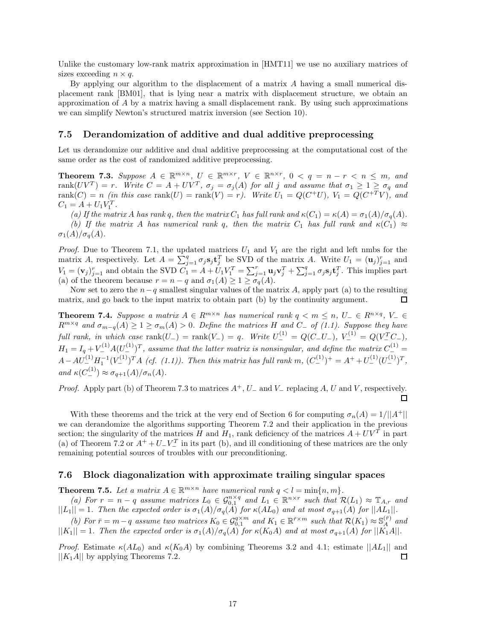Unlike the customary low-rank matrix approximation in [HMT11] we use no auxiliary matrices of sizes exceeding  $n \times q$ .

By applying our algorithm to the displacement of a matrix *A* having a small numerical displacement rank [BM01], that is lying near a matrix with displacement structure, we obtain an approximation of *A* by a matrix having a small displacement rank. By using such approximations we can simplify Newton's structured matrix inversion (see Section 10).

#### **7.5 Derandomization of additive and dual additive preprocessing**

Let us derandomize our additive and dual additive preprocessing at the computational cost of the same order as the cost of randomized additive preprocessing.

**Theorem 7.3.** Suppose  $A \in \mathbb{R}^{m \times n}$ ,  $U \in \mathbb{R}^{m \times r}$ ,  $V \in \mathbb{R}^{n \times r}$ ,  $0 < q = n - r < n \le m$ , and  $\text{rank}(UV^T) = r.$  Write  $C = A + UV^T$ ,  $\sigma_j = \sigma_j(A)$  for all j and assume that  $\sigma_1 \geq 1 \geq \sigma_q$  and  $\text{rank}(C) = n$  (in this case  $\text{rank}(U) = \text{rank}(V) = r$ ). Write  $U_1 = Q(C^+U)$ ,  $V_1 = Q(C^{+T}V)$ , and  $C_1 = A + U_1 V_1^T$ .

*(a)* If the matrix *A* has rank *q*, then the matrix  $C_1$  has full rank and  $\kappa(C_1) = \kappa(A) = \sigma_1(A)/\sigma_q(A)$ . *(b)* If the matrix *A* has numerical rank *q*, then the matrix  $C_1$  has full rank and  $\kappa(C_1) \approx$  $\sigma_1(A)/\sigma_q(A)$ .

*Proof.* Due to Theorem 7.1, the updated matrices  $U_1$  and  $V_1$  are the right and left nmbs for the matrix *A*, respectively. Let  $A = \sum_{j=1}^{q} \sigma_j s_j \mathbf{t}_j^T$  be SVD of the matrix *A*. Write  $U_1 = (\mathbf{u}_j)_{j=1}^r$  and  $V_1 = (\mathbf{v}_j)_{j=1}^r$  and obtain the SVD  $C_1 = A + U_1 V_1^T = \sum_{j=1}^r \mathbf{u}_j \mathbf{v}_j^T + \sum_{j=1}^q \sigma_j \mathbf{s}_j \mathbf{t}_j^T$ . This implies part (a) of the theorem because  $r = n - q$  and  $\sigma_1(A) \geq 1 \geq \sigma_q(A)$ .

Now set to zero the  $n-q$  smallest singular values of the matrix *A*, apply part (a) to the resulting matrix, and go back to the input matrix to obtain part (b) by the continuity argument. □

**Theorem 7.4.** *Suppose a matrix*  $A \in \mathbb{R}^{m \times n}$  *has numerical rank*  $q < m \leq n$ ,  $U_{-} \in \mathbb{R}^{n \times q}$ ,  $V_{-} \in$  $R^{m \times q}$  *and*  $\sigma_{m-q}(A) \geq 1 \geq \sigma_m(A) > 0$ *. Define the matrices H and C*− *of (1.1). Suppose they have full rank, in which case*  $\text{rank}(U_{-}) = \text{rank}(V_{-}) = q$ *. Write*  $U_{-}^{(1)} = Q(C_{-}U_{-})$ *,*  $V_{-}^{(1)} = Q(V_{-}^{T}C_{-})$ *,*  $H_1 = I_q + V_1^{(1)} A (U_1^{(1)})^T$ , assume that the latter matrix is nonsingular, and define the matrix  $C_1^{(1)} =$  $A - AU^{-1}_{-} (U^{(1)}_{-})^T A$  (*cf.* (1.1)). Then this matrix has full rank  $m$ ,  $(C_{-}^{(1)})^+ = A^+ + U_{-}^{(1)} (U_{-}^{(1)})^T$ ,  $and \kappa(C_-^{(1)}) \approx \sigma_{q+1}(A)/\sigma_n(A).$ 

*Proof.* Apply part (b) of Theorem 7.3 to matrices  $A^+$ ,  $U^-$  and  $V^-$  replacing  $A$ ,  $U$  and  $V$ , respectively. □

With these theorems and the trick at the very end of Section 6 for computing  $\sigma_n(A) = 1/||A^+||$ we can derandomize the algorithms supporting Theorem 7.2 and their application in the previous section; the singularity of the matrices *H* and  $H_1$ , rank deficiency of the matrices  $A + UV^T$  in part (a) of Theorem 7.2 or  $A^+ + U^-V^T$  in its part (b), and ill conditioning of these matrices are the only remaining potential sources of troubles with our preconditioning.

### **7.6 Block diagonalization with approximate trailing singular spaces**

**Theorem 7.5.** Let a matrix  $A \in \mathbb{R}^{m \times n}$  have numerical rank  $q < l = \min\{n, m\}$ .

*(a)* For  $r = n - q$  assume matrices  $L_0 \in \mathcal{G}_{0,1}^{n \times q}$  and  $L_1 \in \mathbb{R}^{n \times r}$  such that  $\mathcal{R}(L_1) \approx \mathbb{T}_{A,r}$  and  $||L_1|| = 1$ . Then the expected order is  $\sigma_1(A)/\sigma_q(A)$  for  $\kappa(AL_0)$  and at most  $\sigma_{q+1}(A)$  for  $||AL_1||$ .

*(b)* For  $\bar{r} = m - q$  assume two matrices  $K_0 \in \mathcal{G}_{0,1}^{q \times m}$  and  $K_1 \in \mathbb{R}^{\bar{r} \times m}$  such that  $\mathcal{R}(K_1) \approx \mathbb{S}_A^{(\bar{r})}$  and  $||K_1|| = 1$ . Then the expected order is  $\sigma_1(A)/\sigma_q(A)$  for  $\kappa(K_0A)$  and at most  $\sigma_{q+1}(A)$  for  $||K_1A||$ .

*Proof.* Estimate  $\kappa(AL_0)$  and  $\kappa(K_0A)$  by combining Theorems 3.2 and 4.1; estimate  $||AL_1||$  and  $||K_1A||$  by applying Theorems 7.2. П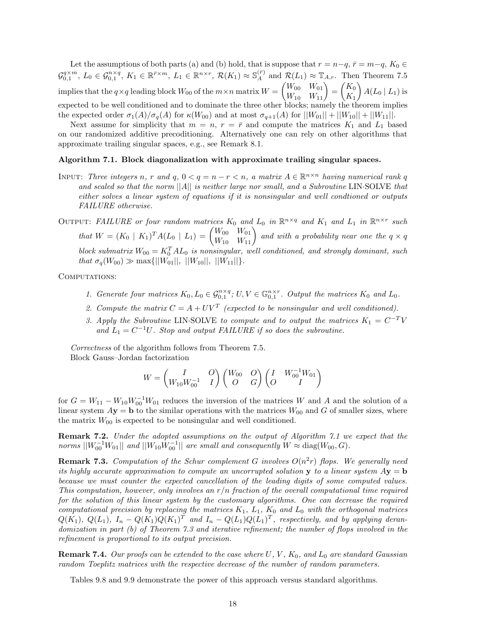Let the assumptions of both parts (a) and (b) hold, that is suppose that  $r = n - q$ ,  $\bar{r} = m - q$ ,  $K_0 \in$  $\mathcal{G}_{0,1}^{q \times m}$ ,  $L_0 \in \mathcal{G}_{0,1}^{n \times q}$ ,  $K_1 \in \mathbb{R}^{\bar{r} \times m}$ ,  $L_1 \in \mathbb{R}^{n \times r}$ ,  $\mathcal{R}(K_1) \approx \mathbb{S}_A^{(\bar{r})}$  and  $\mathcal{R}(L_1) \approx \mathbb{T}_{A,r}$ . Then Theorem 7.5 implies that the  $q \times q$  leading block  $W_{00}$  of the  $m \times n$  matrix  $W =$  $\begin{pmatrix} W_{00} & W_{01} \\ W_{10} & W_{11} \end{pmatrix} =$  $K_0$ *K*1  $\bigg)$   $A(L_0 | L_1)$  is expected to be well conditioned and to dominate the three other blocks; namely the theorem implies the expected order  $\sigma_1(A)/\sigma_q(A)$  for  $\kappa(W_{00})$  and at most  $\sigma_{q+1}(A)$  for  $||W_{01}|| + ||W_{10}|| + ||W_{11}||$ .

Next assume for simplicity that  $m = n$ ,  $r = \bar{r}$  and compute the matrices  $K_1$  and  $L_1$  based on our randomized additive precoditioning. Alternatively one can rely on other algorithms that approximate trailing singular spaces, e.g., see Remark 8.1.

#### **Algorithm 7.1. Block diagonalization with approximate trailing singular spaces.**

INPUT: Three integers *n*, *r* and *q*,  $0 < q = n - r < n$ , a matrix  $A \in \mathbb{R}^{n \times n}$  having numerical rank *q and scaled so that the norm* ||*A*|| *is neither large nor small, and a Subroutine* LIN·SOLVE *that either solves a linear system of equations if it is nonsingular and well condtioned or outputs FAILURE otherwise.*

OUTPUT: FAILURE or four random matrices  $K_0$  and  $L_0$  in  $\mathbb{R}^{n \times q}$  and  $K_1$  and  $L_1$  in  $\mathbb{R}^{n \times r}$  such *that*  $W = (K_0 \mid K_1)^T A (L_0 \mid L_1) = \begin{pmatrix} W_{00} & W_{01} \\ W_{10} & W_{11} \end{pmatrix}$  and with a probability near one the  $q \times q$ *block submatrix*  $W_{00} = K_0^T A L_0$  *is nonsingular, well conditioned, and strongly dominant, such*  $that \sigma_q(W_{00}) \gg \max{\{||W_{01}||, ||W_{10}||, ||W_{11}||\}}.$ 

COMPUTATIONS:

- *1. Generate four matrices*  $K_0, L_0 \in \mathcal{G}_{0,1}^{n \times q}$ ;  $U, V \in \mathbb{G}_{0,1}^{n \times r}$ . Output the matrices  $K_0$  and  $L_0$ .
- 2. Compute the matrix  $C = A + UV^T$  (expected to be nonsingular and well conditioned).
- *3. Apply the Subroutine* LIN·SOLVE *to compute and to output the matrices*  $K_1 = C^{-T}V$ and  $L_1 = C^{-1}U$ *. Stop and output FAILURE if so does the subroutine.*

*Correctness* of the algorithm follows from Theorem 7.5. Block Gauss–Jordan factorization

$$
W=\begin{pmatrix} I & O \\ W_{10}W_{00}^{-1} & I\end{pmatrix}\begin{pmatrix} W_{00} & O \\ O & G\end{pmatrix}\begin{pmatrix} I & W_{00}^{-1}W_{01} \\ O & I\end{pmatrix}
$$

for  $G = W_{11} - W_{10}W_{00}^{-1}W_{01}$  reduces the inversion of the matrices *W* and *A* and the solution of a linear system  $A$ **y** = **b** to the similar operations with the matrices  $W_{00}$  and *G* of smaller sizes, where the matrix  $W_{00}$  is expected to be nonsingular and well conditioned.

**Remark 7.2.** *Under the adopted assumptions on the output of Algorithm 7.1 we expect that the*  $norms \, ||W_{00}^{-1}W_{01}||$  and  $||W_{10}W_{00}^{-1}||$  are small and consequently  $W \approx \text{diag}(W_{00}, G)$ .

**Remark 7.3.** Computation of the Schur complement G involves  $O(n^2r)$  flops. We generally need *its highly accurate approximation to compute an uncorrupted solution* **y** *to a linear system*  $Ay = b$ *because we must counter the expected cancellation of the leading digits of some computed values. This computation, however, only involves an r/n fraction of the overall computational time required for the solution of this linear system by the customary algorithms. One can decrease the required computational precision by replacing the matrices K*1*, L*1*, K*<sup>0</sup> *and L*<sup>0</sup> *with the orthogonal matrices*  $Q(K_1), Q(L_1), I_n - Q(K_1)Q(K_1)^T$  and  $I_n - Q(L_1)Q(L_1)^T$ , respectively, and by applying deran*domization in part (b) of Theorem 7.3 and iterative refinement; the number of flops involved in the refinement is proportional to its output precision.*

**Remark 7.4.** *Our proofs can be extended to the case where U, V , K*0*, and L*<sup>0</sup> *are standard Gaussian random Toeplitz matrices with the respective decrease of the number of random parameters.*

Tables 9.8 and 9.9 demonstrate the power of this approach versus standard algorithms.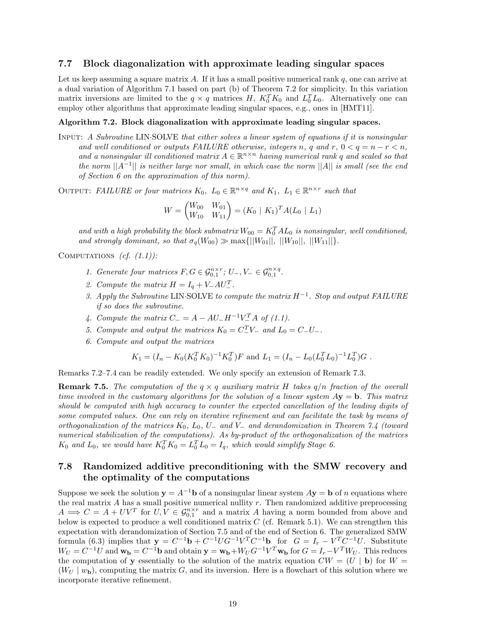### **7.7 Block diagonalization with approximate leading singular spaces**

Let us keep assuming a square matrix *A*. If it has a small positive numerical rank *q*, one can arrive at a dual variation of Algorithm 7.1 based on part (b) of Theorem 7.2 for simplicity. In this variation matrix inversions are limited to the  $q \times q$  matrices *H*,  $K_0^T K_0$  and  $L_0^T L_0$ . Alternatively one can employ other algorithms that approximate leading singular spaces, e.g., ones in [HMT11].

#### **Algorithm 7.2. Block diagonalization with approximate leading singular spaces.**

Input: *A Subroutine* LIN·SOLVE *that either solves a linear system of equations if it is nonsingular and well conditioned or outputs FAILURE otherwise, integers n, q and r,*  $0 < q = n - r < n$ , and a nonsingular ill conditioned matrix  $A \in \mathbb{R}^{n \times n}$  *having numerical rank q* and scaled so that *the norm* ||*A*−1|| *is neither large nor small, in which case the norm* ||*A*|| *is small (see the end of Section 6 on the approximation of this norm).*

OUTPUT: *FAILURE or four matrices*  $K_0$ ,  $L_0 \in \mathbb{R}^{n \times q}$  and  $K_1$ ,  $L_1 \in \mathbb{R}^{n \times r}$  such that

$$
W = \begin{pmatrix} W_{00} & W_{01} \\ W_{10} & W_{11} \end{pmatrix} = (K_0 \mid K_1)^T A (L_0 \mid L_1)
$$

and with a high probability the block submatrix  $W_{00} = K_0^T A L_0$  is nonsingular, well conditioned, *and strongly dominant, so that*  $\sigma_q(W_{00}) \gg \max\{||W_{01}||, ||W_{10}||, ||W_{11}||\}.$ 

Computations *(cf. (1.1)):*

- *1. Generate four matrices*  $F, G \in \mathcal{G}_{0,1}^{n \times r}$ ;  $U_-, V_- \in \mathcal{G}_{0,1}^{n \times q}$ .
- 2. Compute the matrix  $H = I_q + V_-AU_-^T$ .
- *3. Apply the Subroutine* LIN·SOLVE *to compute the matrix H*−<sup>1</sup>*. Stop and output FAILURE if so does the subroutine.*
- *4. Compute the matrix*  $C_{-} = A AU_{-}H^{-1}V_{-}^{T}A$  *of* (1.1).
- *5. Compute and output the matrices*  $K_0 = C_-^T V_-$  *and*  $L_0 = C_- U_-$ *.*
- *6. Compute and output the matrices*

$$
K_1 = (I_n - K_0(K_0^T K_0)^{-1} K_0^T) F
$$
 and  $L_1 = (I_n - L_0(L_0^T L_0)^{-1} L_0^T) G$ .

Remarks 7.2–7.4 can be readily extended. We only specify an extension of Remark 7.3.

**Remark 7.5.** The computation of the  $q \times q$  *auxiliary matrix H* takes  $q/n$  *fraction of the overall time involved in the customary algorithms for the solution of a linear system*  $Ay = b$ . This matrix *should be computed with high accuracy to counter the expected cancellation of the leading digits of some computed values. One can rely on iterative refinement and can facilitate the task by means of orthogonalization of the matrices K*0*, L*0*, U*<sup>−</sup> *and V*<sup>−</sup> *and derandomization in Theorem 7.4 (toward numerical stabilization of the computations). As by-product of the orthogonalization of the matrices K*<sub>0</sub> and *L*<sub>0</sub>, we would have  $K_0^T K_0 = L_0^T L_0 = I_q$ , which would simplify Stage 6.

## **7.8 Randomized additive preconditioning with the SMW recovery and the optimality of the computations**

Suppose we seek the solution  $y = A^{-1}b$  of a nonsingular linear system  $Ay = b$  of *n* equations where the real matrix *A* has a small positive numerical nullity *r*. Then randomized additive preprocessing  $A \implies C = A + UV^T$  for  $U, V \in \mathcal{G}_{0,1}^{n \times r}$  and a matrix *A* having a norm bounded from above and below is expected to produce a well conditioned matrix  $C$  (cf. Remark 5.1). We can strengthen this expectation with derandomization of Section 7.5 and of the end of Section 6. The generalized SMW formula (6.3) implies that  $\mathbf{y} = C^{-1}\mathbf{b} + C^{-1}UG^{-1}V^{T}C^{-1}\mathbf{b}$  for  $G = I_{r} - V^{T}C^{-1}U$ . Substitute  $W_U = C^{-1}U$  and  $\mathbf{w_b} = C^{-1}\mathbf{b}$  and obtain  $\mathbf{y} = \mathbf{w_b} + W_U G^{-1}V^T \mathbf{w_b}$  for  $G = I_r - V^T W_U$ . This reduces the computation of **y** essentially to the solution of the matrix equation  $CW = (U | \mathbf{b})$  for  $W =$  $(W_U | w_{\bf{b}})$ , computing the matrix *G*, and its inversion. Here is a flowchart of this solution where we incorporate iterative refinement.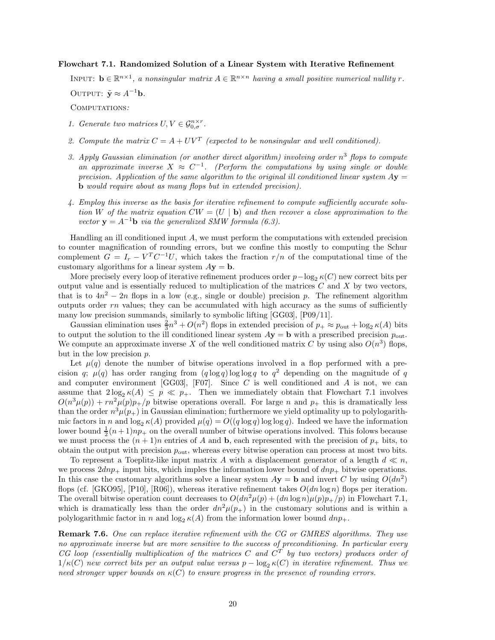#### **Flowchart 7.1. Randomized Solution of a Linear System with Iterative Refinement**

INPUT:  $\mathbf{b} \in \mathbb{R}^{n \times 1}$ , a nonsingular matrix  $A \in \mathbb{R}^{n \times n}$  having a small positive numerical nullity r.

OUTPUT:  $\tilde{\mathbf{y}} \approx A^{-1} \mathbf{b}$ *.* 

Computations*:*

- *1. Generate two matrices*  $U, V \in \mathcal{G}_{0,\sigma}^{n \times r}$ .
- 2. Compute the matrix  $C = A + UV^T$  (expected to be nonsingular and well conditioned).
- *3. Apply Gaussian elimination (or another direct algorithm) involving order n*<sup>3</sup> *flops to compute an approximate inverse*  $X \approx C^{-1}$ . (Perform the computations by using single or double *precision. Application of the same algorithm to the original ill conditioned linear system*  $Ay =$ **b** *would require about as many flops but in extended precision).*
- *4. Employ this inverse as the basis for iterative refinement to compute sufficiently accurate solution W of the matrix equation*  $CW = (U | \mathbf{b})$  *and then recover a close approximation to the vector*  $y = A^{-1}b$  *via the generalized SMW formula (6.3).*

Handling an ill conditioned input *A*, we must perform the computations with extended precision to counter magnification of rounding errors, but we confine this mostly to computing the Schur complement  $G = I_r - V^T C^{-1} U$ , which takes the fraction  $r/n$  of the computational time of the customary algorithms for a linear system  $A$ **y** = **b**.

More precisely every loop of iterative refinement produces order  $p-\log_2 \kappa(C)$  new correct bits per output value and is essentially reduced to multiplication of the matrices *C* and *X* by two vectors, that is to  $4n^2 - 2n$  flops in a low (e.g., single or double) precision *p*. The refinement algorithm outputs order  $rn$  values; they can be accumulated with high accuracy as the sums of sufficiently many low precision summands, similarly to symbolic lifting [GG03], [P09/11].

Gaussian elimination uses  $\frac{2}{3}n^3 + O(n^2)$  flops in extended precision of  $p_+ \approx p_{\text{out}} + \log_2 \kappa(A)$  bits to output the solution to the ill conditioned linear system  $A$ **y** = **b** with a prescribed precision  $p_{\text{out}}$ . We compute an approximate inverse X of the well conditioned matrix C by using also  $O(n^3)$  flops, but in the low precision *p*.

Let  $\mu(q)$  denote the number of bitwise operations involved in a flop performed with a precision *q*;  $\mu(q)$  has order ranging from  $(q \log q) \log \log q$  to  $q^2$  depending on the magnitude of *q* and computer environment [GG03], [F07]. Since *C* is well conditioned and *A* is not, we can assume that  $2\log_2 \kappa(A) \leq p \ll p_+$ . Then we immediately obtain that Flowchart 7.1 involves  $O(n^3 \mu(p)) + r n^2 \mu(p) p_+ / p$  bitwise operations overall. For large *n* and  $p_+$  this is dramatically less than the order  $n^3\mu(p_+)$  in Gaussian elimination; furthermore we yield optimality up to polylogarithmic factors in *n* and  $\log_2 \kappa(A)$  provided  $\mu(q) = O((q \log q) \log \log q)$ . Indeed we have the information lower bound  $\frac{1}{2}(n+1)np_+$  on the overall number of bitwise operations involved. This folows because we must process the  $(n + 1)n$  entries of *A* and **b**, each represented with the precision of  $p_+$  bits, to obtain the output with precision *p*out, whereas every bitwise operation can process at most two bits.

To represent a Toeplitz-like input matrix A with a displacement generator of a length  $d \ll n$ , we process  $2dnp_+$  input bits, which imples the information lower bound of  $dnp_+$  bitwise operations. In this case the customary algorithms solve a linear system  $A$ **y** = **b** and invert *C* by using  $O(dn^2)$ flops (cf. [GKO95], [P10], [R06]), whereas iterative refinement takes  $O(dn \log n)$  flops per iteration. The overall bitwise operation count decreases to  $O(dn^2\mu(p) + (dn \log n)\mu(p)p_+(p)$  in Flowchart 7.1, which is dramatically less than the order  $dn^2\mu(p_+)$  in the customary solutions and is within a polylogarithmic factor in *n* and  $\log_2 \kappa(A)$  from the information lower bound  $dnp_+$ .

**Remark 7.6.** *One can replace iterative refinement with the CG or GMRES algorithms. They use no approximate inverse but are more sensitive to the success of preconditioning. In particular every CG loop (essentially multiplication of the matrices C and C<sup>T</sup> by two vectors) produces order of*  $1/\kappa(C)$  new correct bits per an output value versus  $p - \log_2 \kappa(C)$  in iterative refinement. Thus we *need stronger upper bounds on κ*(*C*) *to ensure progress in the presence of rounding errors.*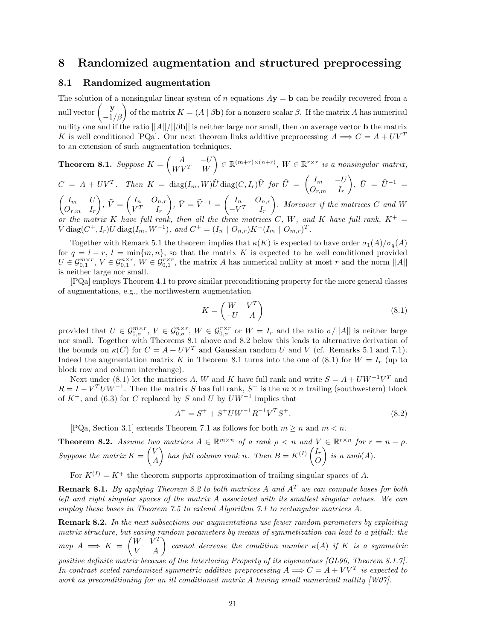## **8 Randomized augmentation and structured preprocessing**

#### **8.1 Randomized augmentation**

The solution of a nonsingular linear system of *n* equations  $A$ **y** = **b** can be readily recovered from a null vector  $\begin{pmatrix} \mathbf{y} \\ -1/\beta \end{pmatrix}$  of the matrix  $K = (A | \beta \mathbf{b})$  for a nonzero scalar  $\beta$ . If the matrix *A* has numerical nullity one and if the ratio ||*A*||*/*||*β***b**|| is neither large nor small, then on average vector **b** the matrix *K* is well conditioned [PQa]. Our next theorem links additive preprocessing  $A \implies C = A + UV^T$ to an extension of such augmentation techniques.

**Theorem 8.1.** Suppose 
$$
K = \begin{pmatrix} A & -U \\ WV^T & W \end{pmatrix} \in \mathbb{R}^{(m+r)\times(n+r)}
$$
,  $W \in \mathbb{R}^{r\times r}$  is a nonsingular matrix,  
\n $C = A + UV^T$ . Then  $K = \text{diag}(I_m, W)\hat{U} \text{diag}(C, I_r)\hat{V}$  for  $\hat{U} = \begin{pmatrix} I_m & -U \\ O_{r,m} & I_r \end{pmatrix}$ ,  $\bar{U} = \hat{U}^{-1} =$ 

 $\int I_m$  *U Or,m I<sup>r</sup>*  $\Big), \widehat{V} =$  $\int I_n$  *O*<sub>*n,r*</sub>  $V^T$  *I<sub>r</sub>*  $\left( \begin{array}{cc} \n\overline{V} & \n\overline{V} = \widehat{V}^{-1} = \begin{pmatrix} I_n & O_{n,r} \\ -V^T & I_n \end{pmatrix} \right)$  $-V^T$  *I<sub>r</sub>* - *. Moreover if the matrices C and W or the matrix K have full rank, then all the three matrices C*, *W*, and *K have full rank*,  $K^+$  =  $\bar{V}$  diag( $C^+$ ,  $I_r$ ) $\bar{U}$  diag( $I_m$ ,  $W^{-1}$ )*, and*  $C^+ = (I_n \mid O_{n,r})K^+(I_m \mid O_{m,r})^T$ .

Together with Remark 5.1 the theorem implies that *κ*(*K*) is expected to have order *σ*1(*A*)*/σq*(*A*) for  $q = l - r$ ,  $l = \min\{m, n\}$ , so that the matrix K is expected to be well conditioned provided  $U \in \mathcal{G}_{0,1}^{m \times r}$ ,  $V \in \mathcal{G}_{0,1}^{n \times r}$ ,  $W \in \mathcal{G}_{0,1}^{r \times r}$ , the matrix *A* has numerical nullity at most *r* and the norm  $||A||$ is neither large nor small.

[PQa] employs Theorem 4.1 to prove similar preconditioning property for the more general classes of augmentations, e.g., the northwestern augmentation

$$
K = \begin{pmatrix} W & V^T \\ -U & A \end{pmatrix} \tag{8.1}
$$

provided that  $U \in \mathcal{G}_{0,\sigma}^{m \times r}$ ,  $V \in \mathcal{G}_{0,\sigma}^{n \times r}$ ,  $W \in \mathcal{G}_{0,\sigma}^{r \times r}$  or  $W = I_r$  and the ratio  $\sigma/||A||$  is neither large nor small. Together with Theorems 8.1 above and 8.2 below this leads to alternative derivation of the bounds on  $\kappa(C)$  for  $C = A + UV^T$  and Gaussian random *U* and *V* (cf. Remarks 5.1 and 7.1). Indeed the augmentation matrix *K* in Theorem 8.1 turns into the one of (8.1) for  $W = I_r$  (up to block row and column interchange).

Next under (8.1) let the matrices *A*, *W* and *K* have full rank and write  $S = A + UW^{-1}V^{T}$  and  $R = I - V^T U W^{-1}$ . Then the matrix *S* has full rank,  $S^+$  is the  $m \times n$  trailing (southwestern) block of  $K^+$ , and (6.3) for *C* replaced by *S* and *U* by  $U W^{-1}$  implies that

$$
A^{+} = S^{+} + S^{+}UW^{-1}R^{-1}V^{T}S^{+}.
$$
\n(8.2)

[PQa, Section 3.1] extends Theorem 7.1 as follows for both  $m \geq n$  and  $m < n$ .

**Theorem 8.2.** Assume two matrices 
$$
A \in \mathbb{R}^{m \times n}
$$
 of a rank  $\rho < n$  and  $V \in \mathbb{R}^{r \times n}$  for  $r = n - \rho$ .  
Suppose the matrix  $K = \begin{pmatrix} V \\ A \end{pmatrix}$  has full column rank n. Then  $B = K^{(I)} \begin{pmatrix} I_r \\ O \end{pmatrix}$  is a nmb(A).

For  $K^{(I)} = K^+$  the theorem supports approximation of trailing singular spaces of A.

**Remark 8.1.** *By applying Theorem 8.2 to both matrices A and A<sup>T</sup> we can compute bases for both left and right singular spaces of the matrix A associated with its smallest singular values. We can employ these bases in Theorem 7.5 to extend Algorithm 7.1 to rectangular matrices A.*

**Remark 8.2.** *In the next subsections our augmentations use fewer random parameters by exploiting matrix structure, but saving random parameters by means of symmetization can lead to a pitfall: the*  $map A \implies K =$  $\begin{pmatrix} W & V^T \\ V & A \end{pmatrix}$  cannot decrease the condition number  $\kappa(A)$  if  $K$  is a symmetric *positive definite matrix because of the Interlacing Property of its eigenvalues [GL96, Theorem 8.1.7]. In contrast scaled randomized symmetric additive preprocessing*  $A \Longrightarrow C = A + V V^T$  *is expected to work as preconditioning for an ill conditioned matrix A having small numericall nullity [W07].*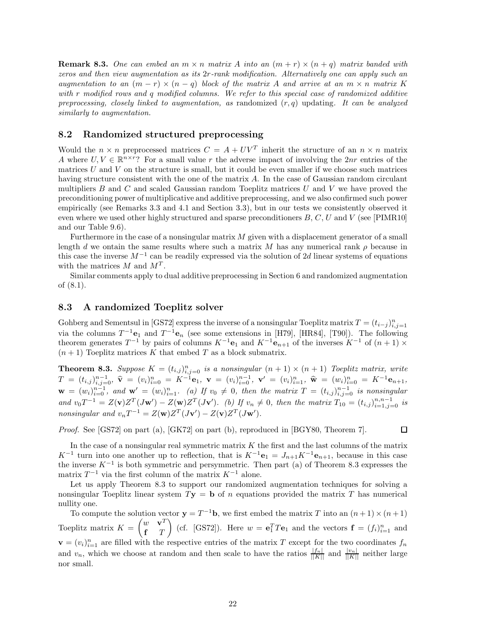**Remark 8.3.** One can embed an  $m \times n$  matrix A into an  $(m + r) \times (n + q)$  matrix banded with *zeros and then view augmentation as its* 2*r-rank modification. Alternatively one can apply such an augmentation to an*  $(m - r) \times (n - q)$  *block of the matrix A and arrive at an*  $m \times n$  *matrix K with r modified rows and q modified columns. We refer to this special case of randomized additive preprocessing, closely linked to augmentation, as* randomized (*r, q*) updating*. It can be analyzed similarly to augmentation.*

## **8.2 Randomized structured preprocessing**

Would the  $n \times n$  preprocessed matrices  $C = A + UV^T$  inherit the structure of an  $n \times n$  matrix *A* where  $U, V \in \mathbb{R}^{n \times r}$ ? For a small value *r* the adverse impact of involving the 2*nr* entries of the matrices *U* and *V* on the structure is small, but it could be even smaller if we choose such matrices having structure consistent with the one of the matrix *A*. In the case of Gaussian random circulant multipliers *B* and *C* and scaled Gaussian random Toeplitz matrices *U* and *V* we have proved the preconditioning power of multiplicative and additive preprocessing, and we also confirmed such power empirically (see Remarks 3.3 and 4.1 and Section 3.3), but in our tests we consistently observed it even where we used other highly structured and sparse preconditioners *B*, *C*, *U* and *V* (see [PIMR10] and our Table 9.6).

Furthermore in the case of a nonsingular matrix *M* given with a displacement generator of a small length *d* we ontain the same results where such a matrix *M* has any numerical rank  $\rho$  because in this case the inverse *M*−<sup>1</sup> can be readily expressed via the solution of 2*d* linear systems of equations with the matrices *M* and *M<sup>T</sup>* .

Similar comments apply to dual additive preprocessing in Section 6 and randomized augmentation of (8.1).

## **8.3 A randomized Toeplitz solver**

Gohberg and Sementsul in [GS72] express the inverse of a nonsingular Toeplitz matrix  $T = (t_{i-j})_{i,j=1}^n$  via the columns  $T^{-1}\mathbf{e}_1$  and  $T^{-1}\mathbf{e}_n$  (see some extensions in [H79], [HR84], [T90]). The following theorem generates  $T^{-1}$  by pairs of columns  $K^{-1}$ **e**<sub>1</sub> and  $K^{-1}$ **e**<sub>*n*+1</sub> of the inverses  $K^{-1}$  of  $(n + 1) \times$  $(n+1)$  Toeplitz matrices K that embed T as a block submatrix.

**Theorem 8.3.** Suppose  $K = (t_{i,j})_{i,j=0}^n$  is a nonsingular  $(n + 1) \times (n + 1)$  Toeplitz matrix, write  $T = (t_{i,j})_{i,j=0}^{n-1}, \; \widehat{\mathbf{v}} = (v_i)_{i=0}^n = K^{-1} \mathbf{e}_1, \; \mathbf{v} = (v_i)_{i=0}^{n-1}, \; \mathbf{v}' = (v_i)_{i=1}^n, \; \widehat{\mathbf{w}} = (w_i)_{i=0}^n = K^{-1} \mathbf{e}_{n+1},$  $\mathbf{w} = (w_i)_{i=0}^{n-1}$ , and  $\mathbf{w}' = (w_i)_{i=1}^n$ . (a) If  $v_0 \neq 0$ , then the matrix  $T = (t_{i,j})_{i,j=0}^{n-1}$  is nonsingular and  $v_0T^{-1} = Z(\mathbf{v})Z^{T}(J\mathbf{w}') - Z(\mathbf{w})Z^{T}(J\mathbf{v}')$ . (b) If  $v_n \neq 0$ , then the matrix  $T_{10} = (t_{i,j})_{i=1,j=0}^{n,n-1}$  is *nonsingular and*  $v_n T^{-1} = Z(\mathbf{w})Z^T(J\mathbf{v}') - Z(\mathbf{v})Z^T(J\mathbf{w}')$ .

*Proof.* See [GS72] on part (a), [GK72] on part (b), reproduced in [BGY80, Theorem 7].

In the case of a nonsingular real symmetric matrix *K* the first and the last columns of the matrix *K*<sup>−1</sup> turn into one another up to reflection, that is  $K^{-1}\mathbf{e}_1 = J_{n+1}K^{-1}\mathbf{e}_{n+1}$ , because in this case the inverse  $K^{-1}$  is both symmetric and persymmetric. Then part (a) of Theorem 8.3 expresses the matrix  $T^{-1}$  via the first column of the matrix  $K^{-1}$  alone.

Let us apply Theorem 8.3 to support our randomized augmentation techniques for solving a nonsingular Toeplitz linear system *T***y** = **b** of *n* equations provided the matrix *T* has numerical nullity one.

To compute the solution vector  $\mathbf{y} = T^{-1}\mathbf{b}$ , we first embed the matrix *T* into an  $(n+1) \times (n+1)$ Toeplitz matrix *K* =  $\int w \cdot \mathbf{v}^T$ **f** *T* (cf. [GS72]). Here  $w = e_1^T T e_1$  and the vectors  $\mathbf{f} = (f_i)_{i=1}^n$  and  $\mathbf{v} = (v_i)_{i=1}^n$  are filled with the respective entries of the matrix *T* except for the two coordinates  $f_n$ and  $v_n$ , which we choose at random and then scale to have the ratios  $\frac{|f_n|}{||K||}$  and  $\frac{|v_n|}{||K||}$  neither large nor small.

 $\Box$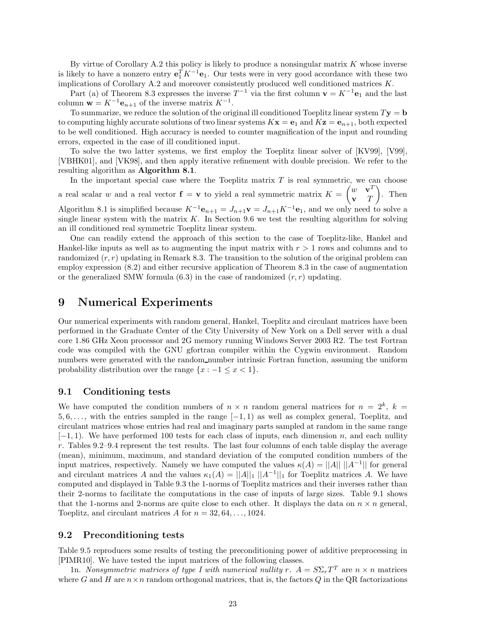By virtue of Corollary A.2 this policy is likely to produce a nonsingular matrix *K* whose inverse is likely to have a nonzero entry  $e_1^T K^{-1} e_1$ . Our tests were in very good accordance with these two implications of Corollary A.2 and moreover consistently produced well conditioned matrices *K*.

Part (a) of Theorem 8.3 expresses the inverse  $T^{-1}$  via the first column  $\mathbf{v} = K^{-1} \mathbf{e}_1$  and the last column **w** =  $K^{-1}$ **e**<sub>*n*+1</sub> of the inverse matrix  $K^{-1}$ .

To summarize, we reduce the solution of the original ill conditioned Toeplitz linear system  $T\mathbf{y} = \mathbf{b}$ to computing highly accurate solutions of two linear systems  $Kx = e_1$  and  $Kz = e_{n+1}$ , both expected to be well conditioned. High accuracy is needed to counter magnification of the input and rounding errors, expected in the case of ill conditioned input.

To solve the two latter systems, we first employ the Toeplitz linear solver of [KV99], [V99], [VBHK01], and [VK98], and then apply iterative refinement with double precision. We refer to the resulting algorithm as **Algorithm 8.1**.

In the important special case where the Toeplitz matrix  $T$  is real symmetric, we can choose a real scalar *w* and a real vector  $f = v$  to yield a real symmetric matrix  $K =$  $\left(w \times \mathbf{v}^T\right)$ **v** *T*  $\Big)$ . Then Algorithm 8.1 is simplified because  $K^{-1}\mathbf{e}_{n+1} = J_{n+1}\mathbf{v} = J_{n+1}K^{-1}\mathbf{e}_1$ , and we only need to solve a single linear system with the matrix  $K$ . In Section 9.6 we test the resulting algorithm for solving an ill conditioned real symmetric Toeplitz linear system.

One can readily extend the approach of this section to the case of Toeplitz-like, Hankel and Hankel-like inputs as well as to augmenting the input matrix with *r >* 1 rows and columns and to randomized  $(r, r)$  updating in Remark 8.3. The transition to the solution of the original problem can employ expression (8.2) and either recursive application of Theorem 8.3 in the case of augmentation or the generalized SMW formula  $(6.3)$  in the case of randomized  $(r, r)$  updating.

## **9 Numerical Experiments**

Our numerical experiments with random general, Hankel, Toeplitz and circulant matrices have been performed in the Graduate Center of the City University of New York on a Dell server with a dual core 1.86 GHz Xeon processor and 2G memory running Windows Server 2003 R2. The test Fortran code was compiled with the GNU gfortran compiler within the Cygwin environment. Random numbers were generated with the random number intrinsic Fortran function, assuming the uniform probability distribution over the range  $\{x : -1 \le x < 1\}.$ 

### **9.1 Conditioning tests**

We have computed the condition numbers of  $n \times n$  random general matrices for  $n = 2^k$ ,  $k =$ 5*,* 6*,...,* with the entries sampled in the range [−1*,* 1) as well as complex general, Toeplitz, and circulant matrices whose entries had real and imaginary parts sampled at random in the same range [−1*,* 1). We have performed 100 tests for each class of inputs, each dimension *n*, and each nullity *r*. Tables 9.2–9.4 represent the test results. The last four columns of each table display the average (mean), minimum, maximum, and standard deviation of the computed condition numbers of the input matrices, respectively. Namely we have computed the values  $\kappa(A) = ||A|| ||A^{-1}||$  for general and circulant matrices *A* and the values  $\kappa_1(A) = ||A||_1 ||A^{-1}||_1$  for Toeplitz matrices *A*. We have computed and displayed in Table 9.3 the 1-norms of Toeplitz matrices and their inverses rather than their 2-norms to facilitate the computations in the case of inputs of large sizes. Table 9.1 shows that the 1-norms and 2-norms are quite close to each other. It displays the data on  $n \times n$  general, Toeplitz, and circulant matrices  $A$  for  $n = 32, 64, \ldots, 1024$ .

## **9.2 Preconditioning tests**

Table 9.5 reproduces some results of testing the preconditioning power of additive preprocessing in [PIMR10]. We have tested the input matrices of the following classes.

1n. *Nonsymmetric matrices of type I with numerical nullity*  $r$ *.*  $A = S\Sigma_r T^T$  are  $n \times n$  matrices where *G* and *H* are  $n \times n$  random orthogonal matrices, that is, the factors *Q* in the QR factorizations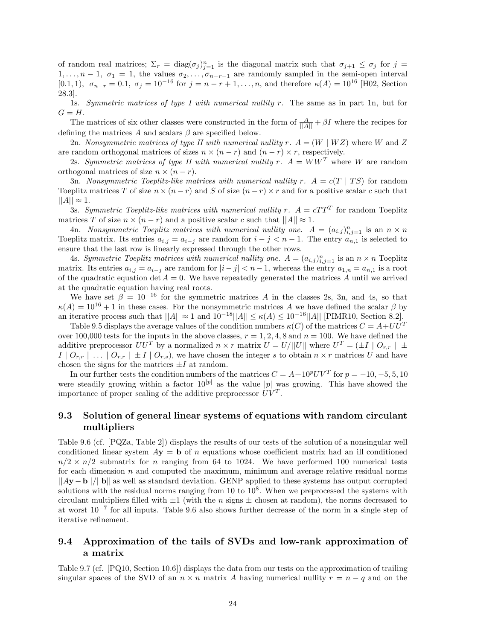of random real matrices;  $\Sigma_r = \text{diag}(\sigma_j)_{j=1}^n$  is the diagonal matrix such that  $\sigma_{j+1} \leq \sigma_j$  for  $j =$ 1,..., $n-1$ ,  $\sigma_1 = 1$ , the values  $\sigma_2, \ldots, \sigma_{n-r-1}$  are randomly sampled in the semi-open interval [0.1, 1],  $\sigma_{n-r} = 0.1$ ,  $\sigma_j = 10^{-16}$  for  $j = n-r+1, \ldots, n$ , and therefore  $\kappa(A) = 10^{16}$  [H02, Section 28.3].

1s. *Symmetric matrices of type I with numerical nullity r.* The same as in part 1n, but for  $G = H$ .

The matrices of six other classes were constructed in the form of  $\frac{A}{\|A\|} + \beta I$  where the recipes for defining the matrices *A* and scalars *β* are specified below.

2n. *Nonsymmetric matrices of type II with numerical nullity*  $r \cdot A = (W \mid WZ)$  where  $W$  and  $Z$ are random orthogonal matrices of sizes  $n \times (n - r)$  and  $(n - r) \times r$ , respectively.

2s. *Symmetric matrices of type II with numerical nullity*  $r$ *.*  $A = WW^T$  where W are random orthogonal matrices of size  $n \times (n - r)$ .

3n. *Nonsymmetric Toeplitz-like matrices with numerical nullity*  $r \cdot A = c(T | TS)$  *for random* Toeplitz matrices *T* of size  $n \times (n - r)$  and *S* of size  $(n - r) \times r$  and for a positive scalar *c* such that  $||A|| \approx 1.$ 

3s. *Symmetric Toeplitz-like matrices with numerical nullity*  $r$ *.*  $A = cTT^T$  for random Toeplitz matrices *T* of size  $n \times (n - r)$  and a positive scalar *c* such that  $||A|| \approx 1$ .

4n. *Nonsymmetric Toeplitz matrices with numerical nullity one.*  $A = (a_{i,j})_{i,j=1}^n$  is an  $n \times n$ Toeplitz matrix. Its entries  $a_{i,j} = a_{i-j}$  are random for  $i - j < n - 1$ . The entry  $a_{n,1}$  is selected to ensure that the last row is linearly expressed through the other rows.

4s. *Symmetric Toeplitz matrices with numerical nullity one.*  $A = (a_{i,j})_{i,j=1}^n$  is an  $n \times n$  Toeplitz matrix. Its entries  $a_{i,j} = a_{i-j}$  are random for  $|i-j| < n-1$ , whereas the entry  $a_{1,n} = a_{n,1}$  is a root of the quadratic equation det  $A = 0$ . We have repeatedly generated the matrices A until we arrived at the quadratic equation having real roots.

We have set  $\beta = 10^{-16}$  for the symmetric matrices A in the classes 2s, 3n, and 4s, so that  $\kappa(A) = 10^{16} + 1$  in these cases. For the nonsymmetric matrices *A* we have defined the scalar *β* by an iterative process such that  $||A|| \approx 1$  and  $10^{-18}||A|| \leq \kappa(A) \leq 10^{-16}||A||$  [PIMR10, Section 8.2].

Table 9.5 displays the average values of the condition numbers  $\kappa(C)$  of the matrices  $C = A + UU^T$ over 100,000 tests for the inputs in the above classes,  $r = 1, 2, 4, 8$  and  $n = 100$ . We have defined the additive preprocessor  $UU^T$  by a normalized  $n \times r$  matrix  $U = U/||U||$  where  $U^T = (\pm I \mid O_{r,r}) \pm \sqrt{O_{r,r}}$  $I \mid O_{r,r} \mid ... \mid O_{r,r} \mid \pm I \mid O_{r,s}$ , we have chosen the integer *s* to obtain  $n \times r$  matrices *U* and have chosen the signs for the matrices  $\pm I$  at random.

In our further tests the condition numbers of the matrices  $C = A + 10^p UV^T$  for  $p = -10, -5, 5, 10$ were steadily growing within a factor  $10^{|p|}$  as the value |p| was growing. This have showed the importance of proper scaling of the additive preprocessor  $UV<sup>T</sup>$ .

## **9.3 Solution of general linear systems of equations with random circulant multipliers**

Table 9.6 (cf. [PQZa, Table 2]) displays the results of our tests of the solution of a nonsingular well conditioned linear system  $A$ **y** = **b** of *n* equations whose coefficient matrix had an ill conditioned  $n/2 \times n/2$  submatrix for *n* ranging from 64 to 1024. We have performed 100 numerical tests for each dimension *n* and computed the maximum, minimum and average relative residual norms ||*A***y** − **b**||*/*||**b**|| as well as standard deviation. GENP applied to these systems has output corrupted solutions with the residual norms ranging from 10 to  $10^8$ . When we preprocessed the systems with circulant multipliers filled with  $\pm 1$  (with the *n* signs  $\pm$  chosen at random), the norms decreased to at worst 10−<sup>7</sup> for all inputs. Table 9.6 also shows further decrease of the norm in a single step of iterative refinement.

## **9.4 Approximation of the tails of SVDs and low-rank approximation of a matrix**

Table 9.7 (cf. [PQ10, Section 10.6]) displays the data from our tests on the approximation of trailing singular spaces of the SVD of an  $n \times n$  matrix A having numerical nullity  $r = n - q$  and on the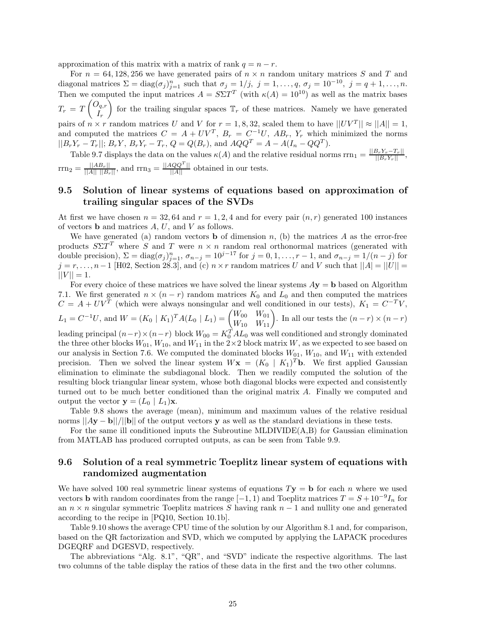approximation of this matrix with a matrix of rank  $q = n - r$ .

For  $n = 64,128,256$  we have generated pairs of  $n \times n$  random unitary matrices S and T and diagonal matrices  $\Sigma = \text{diag}(\sigma_j)_{j=1}^n$  such that  $\sigma_j = 1/j$ ,  $j = 1, \ldots, q$ ,  $\sigma_j = 10^{-10}$ ,  $j = q + 1, \ldots, n$ . Then we computed the input matrices  $A = S\Sigma T^T$  (with  $\kappa(A) = 10^{10}$ ) as well as the matrix bases *T<sup>r</sup>* = *T*  $\left(O_{q,r}\right)$ *Ir* for the trailing singular spaces  $\mathbb{T}_r$  of these matrices. Namely we have generated pairs of  $n \times r$  random matrices *U* and *V* for  $r = 1, 8, 32$ , scaled them to have  $||UV^T|| \approx ||A|| = 1$ , and computed the matrices  $C = A + UV^T$ ,  $B_r = C^{-1}U$ ,  $AB_r$ ,  $Y_r$  which minimized the norms  $||B_rY_r - T_r||$ ;  $B_rY$ ,  $B_rY_r - T_r$ ,  $Q = Q(B_r)$ , and  $AQQ^T = A - A(I_n - QQ^T)$ .

Table 9.7 displays the data on the values  $\kappa(A)$  and the relative residual norms  $\text{rrn}_1 = \frac{||B_r Y_r - T_r||}{||B_r Y_r||},$  $\text{rrn}_2 = \frac{||AB_r||}{||A|| ||B_r||}$ , and  $\text{rrn}_3 = \frac{||AQQ^T||}{||A||}$  obtained in our tests.

## **9.5 Solution of linear systems of equations based on approximation of trailing singular spaces of the SVDs**

At first we have chosen  $n = 32, 64$  and  $r = 1, 2, 4$  and for every pair  $(n, r)$  generated 100 instances of vectors **b** and matrices *A*, *U*, and *V* as follows.

We have generated (a) random vectors **b** of dimension  $n$ , (b) the matrices  $A$  as the error-free products  $S\Sigma T^T$  where *S* and *T* were  $n \times n$  random real orthonormal matrices (generated with double precision),  $\Sigma = \text{diag}(\sigma_j)_{j=1}^n$ ,  $\sigma_{n-j} = 10^{j-17}$  for  $j = 0, 1, \ldots, r-1$ , and  $\sigma_{n-j} = 1/(n-j)$  for *j* = *r*, ..., *n* − 1 [H02, Section 28.3], and (c) *n* × *r* random matrices *U* and *V* such that  $||A| = ||U||$  =  $||V|| = 1.$ 

For every choice of these matrices we have solved the linear systems *A***y** = **b** based on Algorithm 7.1. We first generated  $n \times (n - r)$  random matrices  $K_0$  and  $L_0$  and then computed the matrices  $C = A + UV^T$  (which were always nonsingular and well conditioned in our tests),  $K_1 = C^{-T}V$ ,  $L_1 = C^{-1}U$ , and  $W = (K_0 | K_1)^T A (L_0 | L_1) = \begin{pmatrix} W_{00} & W_{01} \\ W_{10} & W_{11} \end{pmatrix}$ . In all our tests the  $(n-r) \times (n-r)$ leading principal  $(n-r) \times (n-r)$  block  $W_{00} = K_0^T A L_0$  was well conditioned and strongly dominated the three other blocks  $W_{01}$ ,  $W_{10}$ , and  $W_{11}$  in the  $2\times 2$  block matrix *W*, as we expected to see based on our analysis in Section 7.6. We computed the dominated blocks  $W_{01}$ ,  $W_{10}$ , and  $W_{11}$  with extended precision. Then we solved the linear system  $W\mathbf{x} = (K_0 | K_1)^T\mathbf{b}$ . We first applied Gaussian elimination to eliminate the subdiagonal block. Then we readily computed the solution of the resulting block triangular linear system, whose both diagonal blocks were expected and consistently turned out to be much better conditioned than the original matrix *A*. Finally we computed and output the vector  $\mathbf{y} = (L_0 \mid L_1)\mathbf{x}$ .

Table 9.8 shows the average (mean), minimum and maximum values of the relative residual norms  $||Ay - b||/||b||$  of the output vectors **y** as well as the standard deviations in these tests.

For the same ill conditioned inputs the Subroutine MLDIVIDE(A,B) for Gaussian elimination from MATLAB has produced corrupted outputs, as can be seen from Table 9.9.

## **9.6 Solution of a real symmetric Toeplitz linear system of equations with randomized augmentation**

We have solved 100 real symmetric linear systems of equations  $T$ **y** = **b** for each *n* where we used vectors **b** with random coordinates from the range  $[-1, 1)$  and Toeplitz matrices  $T = S + 10^{-9}I_n$  for an *n* × *n* singular symmetric Toeplitz matrices *S* having rank *n* − 1 and nullity one and generated according to the recipe in [PQ10, Section 10.1b].

Table 9.10 shows the average CPU time of the solution by our Algorithm 8.1 and, for comparison, based on the QR factorization and SVD, which we computed by applying the LAPACK procedures DGEQRF and DGESVD, respectively.

The abbreviations "Alg. 8.1", "QR", and "SVD" indicate the respective algorithms. The last two columns of the table display the ratios of these data in the first and the two other columns.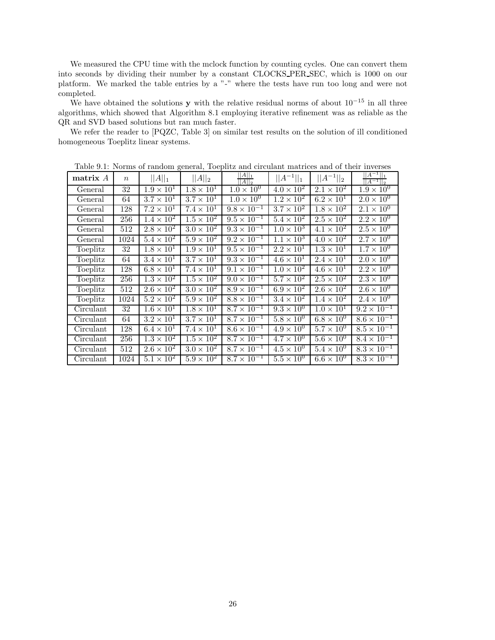We measured the CPU time with the mclock function by counting cycles. One can convert them into seconds by dividing their number by a constant CLOCKS PER SEC, which is 1000 on our platform. We marked the table entries by a "-" where the tests have run too long and were not completed.

We have obtained the solutions **y** with the relative residual norms of about  $10^{-15}$  in all three algorithms, which showed that Algorithm 8.1 employing iterative refinement was as reliable as the QR and SVD based solutions but ran much faster.

We refer the reader to [PQZC, Table 3] on similar test results on the solution of ill conditioned homogeneous Toeplitz linear systems.

| matrix A  | $\,n$ | $  A  _1$                    | $  A  _2$                    | $  A  _1$<br>$  A  _2$ | $  A^{-1}  _1$               | $  A^{-1}  _2$             | $  A^{-1}  _1$<br>$\overline{A^{-1}  _2}$ |
|-----------|-------|------------------------------|------------------------------|------------------------|------------------------------|----------------------------|-------------------------------------------|
| General   | 32    | $1.9 \times 10^{1}$          | $1.8 \times 10^1$            | $1.0 \times 10^{0}$    | $4.0 \times 10^2$            | $2.\overline{1\times10^2}$ | $1.9 \times 10^{0}$                       |
| General   | 64    | $3.7 \times 10^{1}$          | $3.7 \times 10^1$            | $1.0 \times 10^{0}$    | $1.2 \times 10^{2}$          | $6.2 \times 10^{1}$        | $2.0 \times 10^{0}$                       |
| General   | 128   | $7.2 \times 10^{1}$          | $7.4 \times 10^{1}$          | $9.8 \times 10^{-1}$   | $3.7 \times 10^2$            | $1.8 \times 10^2$          | $2.1 \times 10^{0}$                       |
| General   | 256   | $1.\overline{4 \times 10^2}$ | $1.5 \times 10^2$            | $9.5 \times 10^{-1}$   | $5.4 \times 10^2$            | $2.5 \times 10^2$          | $2.2 \times 10^{0}$                       |
| General   | 512   | $2.8 \times 10^2$            | $3.0 \times 10^{2}$          | $9.3 \times 10^{-1}$   | $1.0 \times 10^3$            | $4.1 \times 10^{2}$        | $2.5 \times 10^{0}$                       |
| General   | 1024  | $5.4 \times 10^{2}$          | $5.9 \times 10^{2}$          | $9.2 \times 10^{-1}$   | $1.1 \times 10^{3}$          | $4.0 \times 10^{2}$        | $2.7 \times 10^{0}$                       |
| Toeplitz  | 32    | $1.8 \times 10^{1}$          | $1.9 \times 10^{1}$          | $9.5 \times 10^{-1}$   | $2.2 \times 10^{1}$          | $1.3 \times 10^{1}$        | $1.7 \times 10^{0}$                       |
| Toeplitz  | 64    | $3.4 \times 10^{1}$          | $3.7 \times 10^{1}$          | $9.3 \times 10^{-1}$   | $\overline{4.6 \times 10^1}$ | $2.4 \times 10^{1}$        | $2.0 \times 10^{0}$                       |
| Toeplitz  | 128   | $6.8 \times 10^{1}$          | $7.4 \times 10^{1}$          | $9.1 \times 10^{-1}$   | $1.0 \times 10^{2}$          | $4.6 \times 10^{1}$        | $2.2 \times 10^{0}$                       |
| Toeplitz  | 256   | $1.\overline{3 \times 10^2}$ | $1.5 \times 10^2$            | $9.0 \times 10^{-1}$   | $5.7 \times 10^2$            | $2.5 \times 10^2$          | $2.3 \times 10^{0}$                       |
| Toeplitz  | 512   | $2.6 \times 10^2$            | $3.0 \times 10^{2}$          | $8.9 \times 10^{-1}$   | $6.9 \times 10^2$            | $2.6 \times 10^2$          | $2.6 \times 10^{0}$                       |
| Toeplitz  | 1024  | $5.2 \times 10^2$            | $5.9 \times 10^2$            | $8.8 \times 10^{-1}$   | $3.4 \times 10^2$            | $1.4 \times 10^{2}$        | $2.4 \times 10^{0}$                       |
| Circulant | 32    | $1.6 \times 10^{1}$          | $1.8 \times 10^{1}$          | $8.7 \times 10^{-1}$   | $9.3 \times 10^{0}$          | $1.0 \times 10^{1}$        | $9.2 \times 10^{-1}$                      |
| Circulant | 64    | $3.2 \times 10^{1}$          | $3.7 \times 10^{1}$          | $8.7 \times 10^{-1}$   | $5.8 \times 10^{0}$          | $6.8 \times 10^{0}$        | $8.6 \times 10^{-1}$                      |
| Circulant | 128   | $6.4 \times 10^{1}$          | $\overline{7.4 \times 10^1}$ | $8.6 \times 10^{-1}$   | $4.9 \times 10^{0}$          | $5.7 \times 10^{0}$        | $8.5 \times 10^{-1}$                      |
| Circulant | 256   | $1.3 \times 10^{2}$          | $1.5 \times 10^2$            | $8.7 \times 10^{-1}$   | $4.7 \times 10^{0}$          | $5.6 \times 10^{0}$        | $8.4 \times 10^{-1}$                      |
| Circulant | 512   | $2.6 \times 10^2$            | $3.0 \times 10^{2}$          | $8.7 \times 10^{-1}$   | $4.5 \times 10^{0}$          | $5.4 \times 10^{0}$        | $8.3 \times 10^{-1}$                      |
| Circulant | 1024  | $5.1 \times 10^2$            | $5.9 \times 10^{2}$          | $8.7 \times 10^{-1}$   | $5.5 \times 10^{0}$          | $6.6 \times 10^{0}$        | $8.3 \times 10^{-1}$                      |

Table 9.1: Norms of random general, Toeplitz and circulant matrices and of their inverses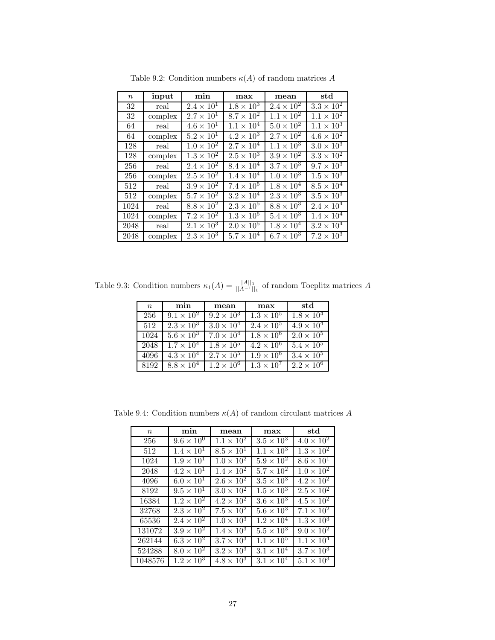| $\boldsymbol{n}$ | input   | min                 | max                 | mean                | std                 |
|------------------|---------|---------------------|---------------------|---------------------|---------------------|
| 32               | real    | $2.4 \times 10^{1}$ | $1.8 \times 10^{3}$ | $2.4 \times 10^{2}$ | $3.3 \times 10^2$   |
| 32               | complex | $2.7 \times 10^1$   | $8.7 \times 10^2$   | $1.1 \times 10^{2}$ | $1.1 \times 10^{2}$ |
| 64               | real    | $4.6 \times 10^{1}$ | $1.1 \times 10^{4}$ | $5.0 \times 10^{2}$ | $1.1 \times 10^{3}$ |
| 64               | complex | $5.2 \times 10^{1}$ | $4.2 \times 10^{3}$ | $2.7 \times 10^{2}$ | $4.6 \times 10^2$   |
| 128              | real    | $1.0 \times 10^{2}$ | $2.7\times10^{4}$   | $1.1 \times 10^{3}$ | $3.0 \times 10^{3}$ |
| 128              | complex | $1.3 \times 10^2$   | $2.5 \times 10^3$   | $3.9 \times 10^2$   | $3.3 \times 10^{2}$ |
| 256              | real    | $2.4 \times 10^{2}$ | $8.4 \times 10^{4}$ | $3.7 \times 10^3$   | $9.7 \times 10^{3}$ |
| 256              | complex | $2.5 \times 10^{2}$ | $1.4 \times 10^{4}$ | $1.0 \times 10^{3}$ | $1.5 \times 10^3$   |
| 512              | real    | $3.9 \times 10^2$   | $7.4 \times 10^{5}$ | $1.8 \times 10^{4}$ | $8.5 \times 10^4$   |
| 512              | complex | $5.7 \times 10^2$   | $3.2 \times 10^4$   | $2.3 \times 10^3$   | $3.5 \times 10^3$   |
| 1024             | real    | $8.8 \times 10^{2}$ | $2.3 \times 10^5$   | $8.8 \times 10^3$   | $2.4 \times 10^{4}$ |
| 1024             | complex | $7.2 \times 10^{2}$ | $1.3 \times 10^{5}$ | $5.4 \times 10^{3}$ | $1.4 \times 10^{4}$ |
| 2048             | real    | $2.1 \times 10^{3}$ | $2.0 \times 10^{5}$ | $1.8 \times 10^{4}$ | $3.2 \times 10^{4}$ |
| 2048             | complex | $2.3 \times 10^3$   | $5.7 \times 10^{4}$ | $6.7 \times 10^3$   | $7.2 \times 10^3$   |

Table 9.2: Condition numbers  $\kappa(A)$  of random matrices  $A$ 

Table 9.3: Condition numbers  $\kappa_1(A) = \frac{||A||_1}{||A^{-1}||_1}$  of random Toeplitz matrices *A* 

| $\boldsymbol{n}$ | min                 | mean                | max                        | std                 |
|------------------|---------------------|---------------------|----------------------------|---------------------|
| 256              | $9.1 \times 10^{2}$ | $9.2 \times 10^3$   | $\overline{1.3\times10^5}$ | $1.8 \times 10^4$   |
| 512              | $2.3 \times 10^{3}$ | $3.0 \times 10^{4}$ | $2.4 \times 10^{5}$        | $4.9 \times 10^{4}$ |
| 1024             | $5.6 \times 10^3$   | $7.0 \times 10^{4}$ | $1.8 \times 10^{6}$        | $2.0 \times 10^{5}$ |
| 2048             | $1.7 \times 10^{4}$ | $1.8 \times 10^5$   | $4.2 \times 10^{6}$        | $5.4 \times 10^5$   |
| 4096             | $4.3 \times 10^4$   | $2.7 \times 10^5$   | $1.9 \times 10^{6}$        | $3.4 \times 10^5$   |
| 8192             | $8.8 \times 10^{4}$ | $1.2 \times 10^{6}$ | $1.3 \times 10^{7}$        | $2.2 \times 10^{6}$ |

Table 9.4: Condition numbers  $\kappa(A)$  of random circulant matrices  $A$ 

| $\boldsymbol{n}$ | min                          | mean                | max                          | std                          |
|------------------|------------------------------|---------------------|------------------------------|------------------------------|
| 256              | $9.6 \times 10^{0}$          | $1.1 \times 10^{2}$ | $3.5 \times 10^3$            | $4.0 \times 10^{2}$          |
| 512              | $1.4 \times 10^{1}$          | $8.5 \times 10^{1}$ | $1.1 \times 10^{3}$          | $1.3 \times 10^{2}$          |
| 1024             | $1.9 \times 10^{1}$          | $1.0 \times 10^{2}$ | $5.9 \times 10^2$            | $8.\overline{6\times10^1}$   |
| 2048             | $4.2 \times 10^{1}$          | $1.4 \times 10^2$   | $5.7 \times 10^2$            | $1.0 \times 10^{2}$          |
| 4096             | $6.0 \times 10^{1}$          | $2.6 \times 10^2$   | $3.5 \times 10^{3}$          | $4.2 \times 10^2$            |
| 8192             | $9.5 \times 10^{1}$          | $3.0 \times 10^{2}$ | $1.5 \times 10^3$            | $2.5 \times 10^2$            |
| 16384            | $1.2 \times 10^{2}$          | $4.2 \times 10^2$   | $3.\overline{6 \times 10^3}$ | $4.5 \times 10^{2}$          |
| 32768            | $2.3 \times 10^{2}$          | $7.5 \times 10^{2}$ | $5.6 \times 10^3$            | $7.1 \times 10^{2}$          |
| 65536            | $2.\overline{4 \times 10^2}$ | $1.0 \times 10^{3}$ | $1.2 \times 10^4$            | $1.\overline{3 \times 10^3}$ |
| 131072           | $3.9 \times 10^2$            | $1.4 \times 10^{3}$ | $5.5 \times 10^3$            | $9.0 \times 10^2$            |
| 262144           | $6.3 \times 10^2$            | $3.7 \times 10^3$   | $1.1 \times 10^{5}$          | $1.1 \times 10^{4}$          |
| 524288           | $8.0 \times 10^{2}$          | $3.2 \times 10^3$   | $3.1 \times 10^{4}$          | $3.7 \times 10^3$            |
| 1048576          | $1.2 \times 10^{3}$          | $4.8 \times 10^3$   | $3.1 \times 10^4$            | $5.1 \times 10^3$            |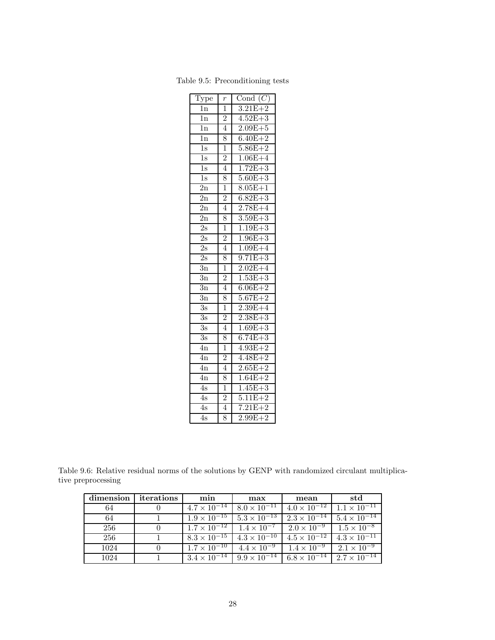| Type             | $\overline{r}$ | Cond $(C)$                 |
|------------------|----------------|----------------------------|
| 1n               | $\overline{1}$ | $3.21E + 2$                |
| $\overline{1}$ n | $\overline{2}$ | $4.52E + 3$                |
| $\overline{1}n$  | $\overline{4}$ | $2.09E + 5$                |
| 1n               | 8              | $6.40E + 2$                |
| $\overline{1s}$  | $\overline{1}$ | $5.86E + 2$                |
| $\overline{1s}$  | $\overline{2}$ | $1.06E + 4$                |
| $\overline{1s}$  | $\overline{4}$ | $1.72E + 3$                |
| $\overline{1s}$  | 8              | $5.60E + 3$                |
| 2n               | $\overline{1}$ | $8.05E + 1$                |
| $\overline{2n}$  | $\overline{c}$ | $6.82E + 3$                |
| 2n               | $\overline{4}$ | $2.78E + 4$                |
| $\overline{2n}$  | 8              | $3.59E + 3$                |
| $\overline{2s}$  | $\overline{1}$ | $1.19E + 3$                |
| 2s               | $\overline{2}$ | $1.96E + 3$                |
| $\overline{2s}$  | $\overline{4}$ | $1.09E + 4$                |
| $\overline{2s}$  | $\overline{8}$ | $9.71E + 3$                |
| $\overline{3}n$  | $\overline{1}$ | $2.02E + 4$                |
| $\overline{3n}$  | $\overline{2}$ | $1.53E + 3$                |
| $\overline{3n}$  | $\overline{4}$ | $6.06E + 2$                |
| $\overline{3n}$  | 8              | $5.67E + 2$                |
| $\overline{3s}$  | $\overline{1}$ | $2.39E + 4$                |
| $\overline{3s}$  | $\overline{2}$ | $2.38E + 3$                |
| $\overline{3s}$  | $\overline{4}$ | $1.69E + 3$                |
| $\overline{3s}$  | 8              | $6.74E + 3$                |
| $\overline{4n}$  | $\overline{1}$ | $4.93E + 2$                |
| 4n               | $\frac{2}{4}$  | $4.48E + 2$                |
| $\overline{4n}$  |                | $2.65E + 2$                |
| 4n               | 8              | $1.64E+$<br>$\overline{2}$ |
| 4s               | ī              | $1.45E + 3$                |
| $\overline{4s}$  | $\overline{2}$ | $5.11E + 2$                |
| 4s               | $\overline{4}$ | $7.21E + 2$                |
| $\overline{4s}$  | 8              | $2.99E + 2$                |

Table 9.5: Preconditioning tests

Table 9.6: Relative residual norms of the solutions by GENP with randomized circulant multiplicative preprocessing

| dimension | iterations | min                   | max                                                                 | mean                  | std                   |
|-----------|------------|-----------------------|---------------------------------------------------------------------|-----------------------|-----------------------|
| 64        |            |                       | $4.7 \times 10^{-14}$ $8.0 \times 10^{-11}$                         | $4.0 \times 10^{-12}$ | $1.1 \times 10^{-11}$ |
| 64        |            |                       | $1.9 \times 10^{-15}$ $5.3 \times 10^{-13}$                         | $2.3 \times 10^{-14}$ | $5.4 \times 10^{-14}$ |
| 256       |            |                       | $1.7 \times 10^{-12}$   $1.4 \times 10^{-7}$   $2.0 \times 10^{-9}$ |                       | $1.5 \times 10^{-8}$  |
| 256       |            |                       | $8.3 \times 10^{-15}$ $4.3 \times 10^{-10}$                         | $4.5 \times 10^{-12}$ | $4.3 \times 10^{-11}$ |
| 1024      |            |                       | $1.7 \times 10^{-10}$ $4.4 \times 10^{-9}$ $1.4 \times 10^{-9}$     |                       | $2.1 \times 10^{-9}$  |
| 1024      |            | $3.4 \times 10^{-14}$ | $9.9 \times 10^{-14}$ 6.8 $\times 10^{-14}$                         |                       | $2.7 \times 10^{-14}$ |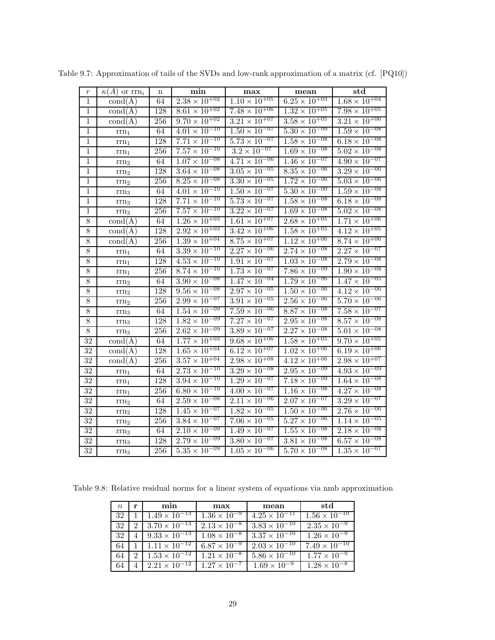| $\,r\,$         | $\kappa(A)$ or $\text{rrn}_i$ | $\mathbf n$      | min                               | max                               | mean                              | $_{std}$                          |
|-----------------|-------------------------------|------------------|-----------------------------------|-----------------------------------|-----------------------------------|-----------------------------------|
| $\,1\,$         | $\text{cond}(A)$              | 64               | $2.38 \times 10^{+02}$            | $1.10 \times 10^{+05}$            | $6.25 \times 10^{+03}$            | $1.68 \times 10^{+04}$            |
| $\mathbf{1}$    | $\text{cond}(A)$              | 128              | $8.61 \times 10^{+02}$            | $7.48 \times 10^{+06}$            | $1.32 \times 10^{+05}$            | $7.98 \times 10^{+05}$            |
| $\mathbf{1}$    | $\text{cond}(A)$              | 256              | $9.70 \times 10^{+02}$            | $3.21 \times 10^{+07}$            | $3.\overline{58} \times 10^{+05}$ | $3.2\overline{1 \times 10^{+06}}$ |
| $\,1$           | $\mathrm{rrn}_1$              | 64               | $4.01 \times 10^{-10}$            | $1.50 \times 10^{-07}$            | $5.30 \times 10^{-09}$            | $1.59 \times 10^{-08}$            |
| $\,1$           | $rm_{1}$                      | 128              | $7.71 \times 10^{-10}$            | $5.73 \times 10^{-07}$            | $1.\overline{58 \times 10^{-08}}$ | $6.18 \times 10^{-08}$            |
| $\,1\,$         | $\rm{rrn}_1$                  | 256              | $7.\overline{57} \times 10^{-10}$ | $3.2 \times 10^{-07}$             | $1.\overline{69} \times 10^{-08}$ | $5.02 \times 10^{-08}$            |
| $\,1$           | $rm_{2}$                      | 64               | $1.07 \times 10^{-08}$            | $4.71 \times 10^{-06}$            | $1.\overline{46 \times 10^{-07}}$ | $4.90 \times 10^{-07}$            |
| $\,1$           | rrn <sub>2</sub>              | 128              | $3.64 \times 10^{-08}$            | $3.\overline{05 \times 10^{-05}}$ | $8.\overline{35} \times 10^{-06}$ | $3.29 \times 10^{-06}$            |
| $\overline{1}$  | $\mathrm{rrn}_2$              | 256              | $8.25 \times 10^{-08}$            | $3.30 \times 10^{-05}$            | $1.72 \times 10^{-06}$            | $5.03 \times 10^{-06}$            |
| $\,1$           | $rm_{3}$                      | 64               | $4.01 \times 10^{-10}$            | $1.50 \times 10^{-07}$            | $5.30 \times 10^{-09}$            | $1.59 \times 10^{-08}$            |
| $\,1\,$         | $\rm{rrn}_3$                  | 128              | $7.71 \times 10^{-10}$            | $5.\overline{73 \times 10^{-07}}$ | $1.58 \times 10^{-08}$            | $6.18 \times 10^{-08}$            |
| $\,1\,$         | $\rm{rrn}_3$                  | 256              | $7.57 \times 10^{-10}$            | $3.\overline{22 \times 10^{-07}}$ | $1.69 \times 10^{-08}$            | $5.02 \times 10^{-08}$            |
| $8\,$           | $\text{cond}(A)$              | 64               | $1.26 \times 10^{+03}$            | $1.\overline{61 \times 10^{+07}}$ | $2.68 \times 10^{+05}$            | $1.71 \times 10^{+06}$            |
| $\overline{8}$  | $\text{cond}(A)$              | 128              | $2.92 \times 10^{+03}$            | $3.42 \times 10^{+06}$            | $1.58 \times 10^{+05}$            | $4.12 \times 10^{+05}$            |
| $\overline{8}$  | $\text{cond}(A)$              | $25\overline{6}$ | $1.39 \times 10^{+04}$            | $8.75 \times 10^{+07}$            | $1.12 \times 10^{+06}$            | $8.74 \times 10^{+06}$            |
| $8\,$           | $rm_{1}$                      | 64               | $3.39 \times 10^{-10}$            | $2.27 \times 10^{-06}$            | $2.74 \times 10^{-08}$            | $2.27 \times 10^{-07}$            |
| 8               | $\rm{rrn}_1$                  | 128              | $4.\overline{53} \times 10^{-10}$ | $1.91 \times 10^{-07}$            | $1.\overline{03 \times 10^{-08}}$ | $2.79 \times 10^{-08}$            |
| $8\,$           | $\mathrm{rrn}_1$              | 256              | $8.74 \times 10^{-10}$            | $1.73 \times 10^{-07}$            | $7.86 \times 10^{-09}$            | $1.90 \times 10^{-08}$            |
| 8               | $rm_{2}$                      | 64               | $3.90 \times 10^{-08}$            | $1.47 \times 10^{-04}$            | $1.79 \times 10^{-06}$            | $1.47 \times 10^{-05}$            |
| $8\,$           | $rm_{2}$                      | 128              | $9.56 \times 10^{-08}$            | $2.97 \times 10^{-05}$            | $1.50 \times 10^{-06}$            | $4.12 \times 10^{-06}$            |
| $8\,$           | $rm_{2}$                      | 256              | $2.99 \times 10^{-07}$            | $3.91 \times 10^{-05}$            | $2.56 \times 10^{-06}$            | $5.70 \times 10^{-06}$            |
| $\overline{8}$  | $rm_{3}$                      | $64\,$           | $1.54 \times 10^{-09}$            | $7.\overline{59 \times 10^{-06}}$ | $8.\overline{87 \times 10^{-08}}$ | $7.58 \times 10^{-07}$            |
| $\overline{8}$  | $\rm{rrn}_3$                  | 128              | $1.82 \times 10^{-09}$            | $7.\overline{27 \times 10^{-07}}$ | $2.95 \times 10^{-08}$            | $8.57 \times 10^{-08}$            |
| $8\,$           | $rm_{3}$                      | 256              | $2.62 \times 10^{-09}$            | $3.89 \times 10^{-07}$            | $2.27 \times 10^{-08}$            | $5.01 \times 10^{-08}$            |
| 32              | $\text{cond}(A)$              | 64               | $1.77 \times 10^{+03}$            | $9.68 \times 10^{+06}$            | $1.58 \times 10^{+05}$            | $9.70 \times 10^{+05}$            |
| $\overline{32}$ | $\text{cond}(A)$              | 128              | $1.\overline{65 \times 10^{+04}}$ | $6.12 \times 10^{+07}$            | $1.02 \times 10^{+06}$            | $6.19 \times 10^{+06}$            |
| 32              | $\text{cond}(A)$              | 256              | $3.\overline{57} \times 10^{+04}$ | $2.98 \times 10^{+08}$            | $4.\overline{12 \times 10^{+06}}$ | $2.98 \times 10^{+07}$            |
| $\overline{32}$ | $rm_{1}$                      | 64               | $2.73 \times 10^{-10}$            | $3.29 \times 10^{-08}$            | $2.95 \times 10^{-09}$            | $4.93 \times 10^{-09}$            |
| $\overline{32}$ | $rm_{1}$                      | 128              | $3.94 \times 10^{-10}$            | $1.29 \times 10^{-07}$            | $7.18 \times 10^{-09}$            | $1.64 \times 10^{-08}$            |
| $\overline{32}$ | $rm_{1}$                      | $256\,$          | $6.80 \times 10^{-10}$            | $4.00 \times 10^{-07}$            | $1.16 \times 10^{-08}$            | $4.27 \times 10^{-08}$            |
| 32              | $\rm{rrn}_2$                  | 64               | $2.59 \times 10^{-08}$            | $2.11 \times 10^{-06}$            | $2.07 \times 10^{-07}$            | $3.29 \times 10^{-07}$            |
| $\overline{32}$ | $\rm{rrn}_2$                  | 128              | $1.\overline{45 \times 10^{-07}}$ | $1.82 \times 10^{-05}$            | $1.50 \times 10^{-06}$            | $2.76 \times 10^{-06}$            |
| $\overline{32}$ | $\rm{rrn}_2$                  | 256              | $3.84 \times 10^{-07}$            | $7.06 \times 10^{-05}$            | $5.27 \times 10^{-06}$            | $1.14 \times 10^{-05}$            |
| $\overline{32}$ | $\rm{rrn}_3$                  | 64               | $2.10 \times 10^{-09}$            | $1.49 \times 10^{-07}$            | $1.\overline{55} \times 10^{-08}$ | $2.18 \times 10^{-08}$            |
| 32              | $\rm{rrn}_3$                  | 128              | $2.79 \times 10^{-09}$            | $3.\overline{80 \times 10^{-07}}$ | $3.81 \times 10^{-08}$            | $6.\overline{57} \times 10^{-08}$ |
| 32              | $rm_{3}$                      | 256              | $5.35 \times 10^{-09}$            | $1.05 \times 10^{-06}$            | $5.70 \times 10^{-08}$            | $1.35 \times 10^{-07}$            |

Table 9.7: Approximation of tails of the SVDs and low-rank approximation of a matrix (cf. [PQ10])

Table 9.8: Relative residual norms for a linear system of equations via nmb approximation

| $n_{\rm c}$ | r                           | min                    | max                          | mean                   | $_{\rm std}$           |
|-------------|-----------------------------|------------------------|------------------------------|------------------------|------------------------|
| 32          |                             | $1.49 \times 10^{-13}$ | $1.36 \times 10^{-9}$        | $4.25 \times 10^{-11}$ | $1.56 \times 10^{-10}$ |
| 32          |                             | $3.70 \times 10^{-13}$ | $2.13 \times 10^{-8}$        | $3.83 \times 10^{-10}$ | $2.35 \times 10^{-9}$  |
| 32          |                             | $9.33 \times 10^{-13}$ | $1.08 \times 10^{-8}$        | $3.37 \times 10^{-10}$ | $1.26 \times 10^{-9}$  |
| 64          |                             | $1.11 \times 10^{-12}$ | $6.87 \times 10^{-9}$        | $2.03 \times 10^{-10}$ | $7.49 \times 10^{-10}$ |
| 64          | $\mathcal{D}_{\mathcal{L}}$ | $1.53 \times 10^{-12}$ | $\sqrt{1.21 \times 10^{-8}}$ | $5.86 \times 10^{-10}$ | $1.77 \times 10^{-9}$  |
|             |                             | $2.21 \times 10^{-12}$ | $1.27 \times 10^{-7}$        | $1.69 \times 10^{-9}$  | $1.28 \times 10^{-8}$  |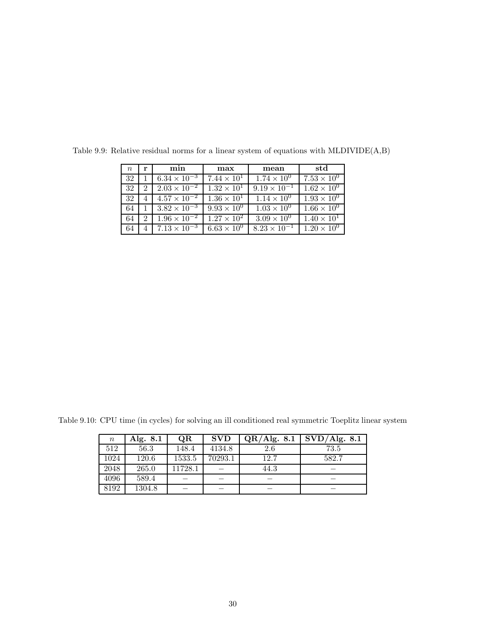| $\, n$ | r                           | min                   | max                  | mean                  | std                  |
|--------|-----------------------------|-----------------------|----------------------|-----------------------|----------------------|
| 32     |                             | $6.34 \times 10^{-3}$ | $7.44 \times 10^{1}$ | $1.74 \times 10^{0}$  | $7.53 \times 10^{0}$ |
| 32     | 2                           | $2.03 \times 10^{-2}$ | $1.32 \times 10^{1}$ | $9.19 \times 10^{-1}$ | $1.62 \times 10^{0}$ |
| 32     | 4                           | $4.57 \times 10^{-2}$ | $1.36 \times 10^{1}$ | $1.14 \times 10^{0}$  | $1.93 \times 10^{0}$ |
| 64     |                             | $3.82 \times 10^{-3}$ | $9.93 \times 10^{0}$ | $1.03 \times 10^{0}$  | $1.66 \times 10^{0}$ |
| 64     | $\mathcal{D}_{\mathcal{L}}$ | $1.96 \times 10^{-2}$ | $1.27 \times 10^{2}$ | $3.09 \times 10^{0}$  | $1.40 \times 10^{1}$ |
| 64     |                             | $7.13 \times 10^{-3}$ | $6.63 \times 10^{0}$ | $8.23 \times 10^{-1}$ | $1.20 \times 10^{0}$ |

Table 9.9: Relative residual norms for a linear system of equations with MLDIVIDE(A,B)

Table 9.10: CPU time (in cycles) for solving an ill conditioned real symmetric Toeplitz linear system

| $\, n \,$ | Alg. 8.1 | QR      | <b>SVD</b> | QR/Alg. 8.1 | SVD/Alg. 8.1 |
|-----------|----------|---------|------------|-------------|--------------|
| 512       | 56.3     | 148.4   | 4134.8     | 2.6         | 73.5         |
| 1024      | 120.6    | 1533.5  | 70293.1    | 12.7        | 582.7        |
| 2048      | 265.0    | 11728.1 |            | 44.3        |              |
| 4096      | 589.4    |         |            |             |              |
| 8192      | 1304.8   |         |            |             |              |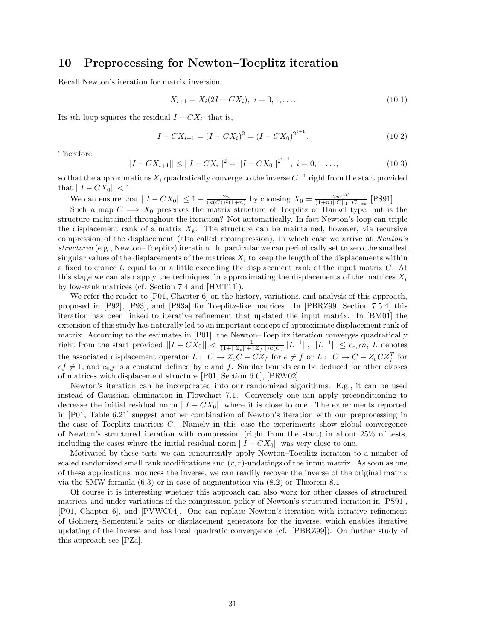## **10 Preprocessing for Newton–Toeplitz iteration**

Recall Newton's iteration for matrix inversion

$$
X_{i+1} = X_i(2I - CX_i), \quad i = 0, 1, \dots
$$
\n<sup>(10.1)</sup>

Its *i*th loop squares the residual  $I - CX_i$ , that is,

$$
I - CX_{i+1} = (I - CX_i)^2 = (I - CX_0)^{2^{i+1}}.
$$
\n(10.2)

Therefore

$$
||I - CX_{i+1}|| \le ||I - CX_i||^2 = ||I - CX_0||^{2^{i+1}}, \quad i = 0, 1, ..., \tag{10.3}
$$

so that the approximations  $X_i$  quadratically converge to the inverse  $C^{-1}$  right from the start provided that  $||I - CX_0|| < 1$ .

We can ensure that  $||I - CX_0|| \le 1 - \frac{2n}{(\kappa(C))^2(1+n)}$  by choosing  $X_0 = \frac{2nC^T}{(1+n)||C||_1||C||_{\infty}}$  [PS91].

Such a map  $C \implies X_0$  preserves the matrix structure of Toeplitz or Hankel type, but is the structure maintained throughout the iteration? Not automatically. In fact Newton's loop can triple the displacement rank of a matrix  $X_k$ . The structure can be maintained, however, via recursive compression of the displacement (also called recompression), in which case we arrive at *Newton's structured* (e.g., Newton–Toeplitz) iteration. In particular we can periodically set to zero the smallest singular values of the displacements of the matrices  $X_i$  to keep the length of the displacements within a fixed tolerance *t*, equal to or a little exceeding the displacement rank of the input matrix *C*. At this stage we can also apply the techniques for approximating the displacements of the matrices  $X_i$ by low-rank matrices (cf. Section 7.4 and [HMT11]).

We refer the reader to [P01, Chapter 6] on the history, variations, and analysis of this approach, proposed in [P92], [P93], and [P93a] for Toeplitz-like matrices. In [PBRZ99, Section 7.5.4] this iteration has been linked to iterative refinement that updated the input matrix. In [BM01] the extension of this study has naturally led to an important concept of approximate displacement rank of matrix. According to the estimates in [P01], the Newton–Toeplitz iteration converges quadratically  $\frac{1}{(1+||Z_{\epsilon}||+||Z_{\epsilon}||+||Z_{\epsilon}||+||Z_{\epsilon}||+||Z_{\epsilon}||})|L^{-1}||,$   $||L^{-1}|| \leq c_{e,f}n, L$  denotes the associated displacement operator  $L: C \to Z_eC - CZ_f$  for  $e \neq f$  or  $L: C \to C - Z_eCZ_f^T$  for  $ef \neq 1$ , and  $c_{e,f}$  is a constant defined by *e* and *f*. Similar bounds can be deduced for other classes of matrices with displacement structure [P01, Section 6.6], [PRW02].

Newton's iteration can be incorporated into our randomized algorithms. E.g., it can be used instead of Gaussian elimination in Flowchart 7.1. Conversely one can apply preconditioning to decrease the initial residual norm  $||I - CX_0||$  where it is close to one. The experiments reported in [P01, Table 6.21] suggest another combination of Newton's iteration with our preprocessing in the case of Toeplitz matrices *C*. Namely in this case the experiments show global convergence of Newton's structured iteration with compression (right from the start) in about 25% of tests, including the cases where the initial residual norm  $||I - CX_0||$  was very close to one.

Motivated by these tests we can concurrently apply Newton–Toeplitz iteration to a number of scaled randomized small rank modifications and (*r, r*)-updatings of the input matrix. As soon as one of these applications produces the inverse, we can readily recover the inverse of the original matrix via the SMW formula (6.3) or in case of augmentation via (8.2) or Theorem 8.1.

Of course it is interesting whether this approach can also work for other classes of structured matrices and under variations of the compression policy of Newton's structured iteration in [PS91], [P01, Chapter 6], and [PVWC04]. One can replace Newton's iteration with iterative refinement of Gohberg–Sementsul's pairs or displacement generators for the inverse, which enables iterative updating of the inverse and has local quadratic convergence (cf. [PBRZ99]). On further study of this approach see [PZa].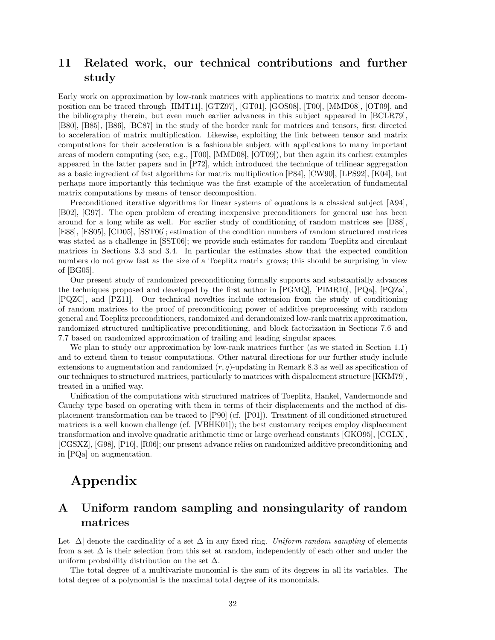## **11 Related work, our technical contributions and further study**

Early work on approximation by low-rank matrices with applications to matrix and tensor decomposition can be traced through [HMT11], [GTZ97], [GT01], [GOS08], [T00], [MMD08], [OT09], and the bibliography therein, but even much earlier advances in this subject appeared in [BCLR79], [B80], [B85], [B86], [BC87] in the study of the border rank for matrices and tensors, first directed to acceleration of matrix multiplication. Likewise, exploiting the link between tensor and matrix computations for their acceleration is a fashionable subject with applications to many important areas of modern computing (see, e.g., [T00], [MMD08], [OT09]), but then again its earliest examples appeared in the latter papers and in [P72], which introduced the technique of trilinear aggregation as a basic ingredient of fast algorithms for matrix multiplication [P84], [CW90], [LPS92], [K04], but perhaps more importantly this technique was the first example of the acceleration of fundamental matrix computations by means of tensor decomposition.

Preconditioned iterative algorithms for linear systems of equations is a classical subject [A94], [B02], [G97]. The open problem of creating inexpensive preconditioners for general use has been around for a long while as well. For earlier study of conditioning of random matrices see [D88], [E88], [ES05], [CD05], [SST06]; estimation of the condition numbers of random structured matrices was stated as a challenge in [SST06]; we provide such estimates for random Toeplitz and circulant matrices in Sections 3.3 and 3.4. In particular the estimates show that the expected condition numbers do not grow fast as the size of a Toeplitz matrix grows; this should be surprising in view of [BG05].

Our present study of randomized preconditioning formally supports and substantially advances the techniques proposed and developed by the first author in [PGMQ], [PIMR10], [PQa], [PQZa], [PQZC], and [PZ11]. Our technical novelties include extension from the study of conditioning of random matrices to the proof of preconditioning power of additive preprocessing with random general and Toeplitz preconditioners, randomized and derandomized low-rank matrix approximation, randomized structured multiplicative preconditioning, and block factorization in Sections 7.6 and 7.7 based on randomized approximation of trailing and leading singular spaces.

We plan to study our approximation by low-rank matrices further (as we stated in Section 1.1) and to extend them to tensor computations. Other natural directions for our further study include extensions to augmentation and randomized (*r, q*)-updating in Remark 8.3 as well as specification of our techniques to structured matrices, particularly to matrices with dispalcement structure [KKM79], treated in a unified way.

Unification of the computations with structured matrices of Toeplitz, Hankel, Vandermonde and Cauchy type based on operating with them in terms of their displacements and the method of displacement transformation can be traced to [P90] (cf. [P01]). Treatment of ill conditioned structured matrices is a well known challenge (cf. [VBHK01]); the best customary recipes employ displacement transformation and involve quadratic arithmetic time or large overhead constants [GKO95], [CGLX], [CGSXZ], [G98], [P10], [R06]; our present advance relies on randomized additive preconditioning and in [PQa] on augmentation.

# **Appendix**

## **A Uniform random sampling and nonsingularity of random matrices**

Let  $|\Delta|$  denote the cardinality of a set  $\Delta$  in any fixed ring. *Uniform random sampling* of elements from a set  $\Delta$  is their selection from this set at random, independently of each other and under the uniform probability distribution on the set  $\Delta$ .

The total degree of a multivariate monomial is the sum of its degrees in all its variables. The total degree of a polynomial is the maximal total degree of its monomials.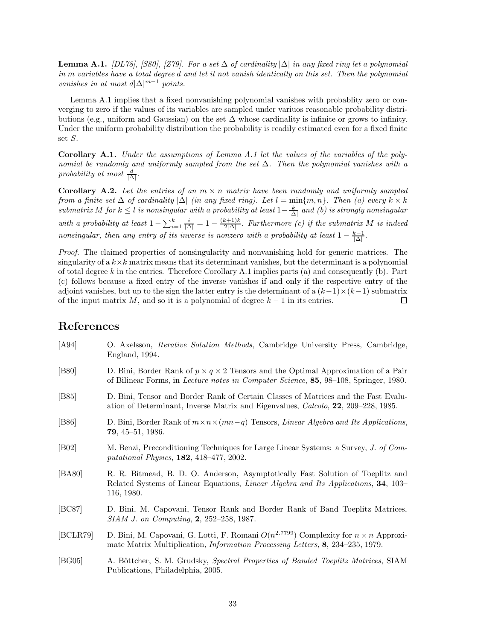**Lemma A.1.** *[DL78], [S80], [Z79]. For a set*  $\Delta$  *of cardinality*  $|\Delta|$  *in any fixed ring let a polynomial in m variables have a total degree d and let it not vanish identically on this set. Then the polynomial vanishes in at most*  $d|\Delta|^{m-1}$  *points.* 

Lemma A.1 implies that a fixed nonvanishing polynomial vanishes with probablity zero or converging to zero if the values of its variables are sampled under variuos reasonable probability distributions (e.g., uniform and Gaussian) on the set  $\Delta$  whose cardinality is infinite or grows to infinity. Under the uniform probability distribution the probability is readily estimated even for a fixed finite set *S*.

**Corollary A.1.** *Under the assumptions of Lemma A.1 let the values of the variables of the polynomial be randomly and uniformly sampled from the set* ∆*. Then the polynomial vanishes with a*  $\frac{d}{\Delta}$ *, probability at most*  $\frac{d}{\Delta}$ *.* 

**Corollary A.2.** Let the entries of an  $m \times n$  matrix have been randomly and uniformly sampled *from a finite set*  $\Delta$  *of cardinality*  $|\Delta|$  *(in any fixed ring). Let*  $l = \min\{m, n\}$ *. Then (a) every*  $k \times k$  $submatrix M$  *for*  $k \leq l$  *is nonsingular with a probability at least*  $1 - \frac{k}{|\Delta|}$  *and (b) is strongly nonsingular with a probability at least*  $1 - \sum_{i=1}^{k} \frac{i}{|\Delta|} = 1 - \frac{(k+1)k}{2|\Delta|}$ . Furthermore (c) if the submatrix M is indeed *nonsingular, then any entry of its inverse is nonzero with a probability at least*  $1 - \frac{k-1}{|\Delta|}$ .

*Proof.* The claimed properties of nonsingularity and nonvanishing hold for generic matrices. The singularity of a  $k \times k$  matrix means that its determinant vanishes, but the determinant is a polynomial of total degree *k* in the entries. Therefore Corollary A.1 implies parts (a) and consequently (b). Part (c) follows because a fixed entry of the inverse vanishes if and only if the respective entry of the adjoint vanishes, but up to the sign the latter entry is the determinant of a  $(k-1)\times(k-1)$  submatrix of the input matrix *M*, and so it is a polynomial of degree  $k-1$  in its entries. 口

## **References**

| [A94]          | O. Axelsson, <i>Iterative Solution Methods</i> , Cambridge University Press, Cambridge,<br>England, 1994.                                                                                             |
|----------------|-------------------------------------------------------------------------------------------------------------------------------------------------------------------------------------------------------|
| [ <b>B80</b> ] | D. Bini, Border Rank of $p \times q \times 2$ Tensors and the Optimal Approximation of a Pair<br>of Bilinear Forms, in <i>Lecture notes in Computer Science</i> , <b>85</b> , 98–108, Springer, 1980. |
| [ <b>B85</b> ] | D. Bini, Tensor and Border Rank of Certain Classes of Matrices and the Fast Evalu-<br>ation of Determinant, Inverse Matrix and Eigenvalues, <i>Calcolo</i> , <b>22</b> , 209–228, 1985.               |
| [ <b>B86</b> ] | D. Bini, Border Rank of $m \times n \times (mn-q)$ Tensors, <i>Linear Algebra and Its Applications</i> ,<br>$79, 45-51, 1986.$                                                                        |
| [ <b>B02</b> ] | M. Benzi, Preconditioning Techniques for Large Linear Systems: a Survey, J. of Com-<br>putational Physics, $182, 418-477, 2002$ .                                                                     |
| [BA80]         | R. R. Bitmead, B. D. O. Anderson, Asymptotically Fast Solution of Toeplitz and<br>Related Systems of Linear Equations, <i>Linear Algebra and Its Applications</i> , <b>34</b> , 103–<br>116, 1980.    |
| [BC87]         | D. Bini, M. Capovani, Tensor Rank and Border Rank of Band Toeplitz Matrices,<br>SIAM J. on Computing, 2, 252-258, 1987.                                                                               |
| [BCLR79]       | D. Bini, M. Capovani, G. Lotti, F. Romani $O(n^{2.7799})$ Complexity for $n \times n$ Approxi-<br>mate Matrix Multiplication, <i>Information Processing Letters</i> , 8, 234–235, 1979.               |
| [BG05]         | A. Böttcher, S. M. Grudsky, Spectral Properties of Banded Toeplitz Matrices, SIAM<br>Publications, Philadelphia, 2005.                                                                                |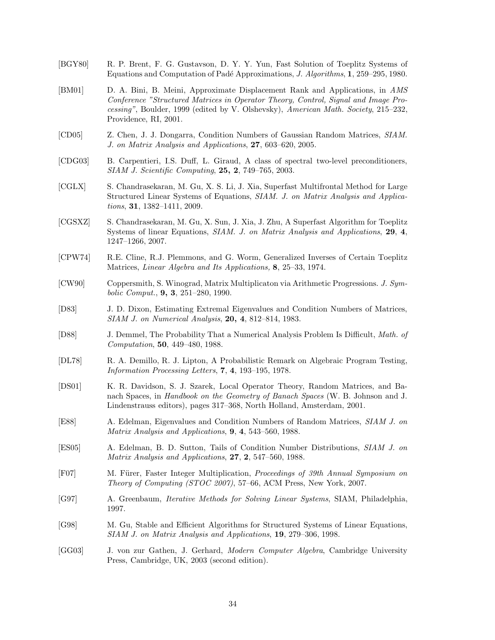- [BGY80] R. P. Brent, F. G. Gustavson, D. Y. Y. Yun, Fast Solution of Toeplitz Systems of Equations and Computation of Pad´e Approximations, *J. Algorithms*, **1**, 259–295, 1980.
- [BM01] D. A. Bini, B. Meini, Approximate Displacement Rank and Applications, in *AMS Conference "Structured Matrices in Operator Theory, Control, Signal and Image Processing"*, Boulder, 1999 (edited by V. Olshevsky), *American Math. Society*, 215–232, Providence, RI, 2001.
- [CD05] Z. Chen, J. J. Dongarra, Condition Numbers of Gaussian Random Matrices, *SIAM. J. on Matrix Analysis and Applications*, **27**, 603–620, 2005.
- [CDG03] B. Carpentieri, I.S. Duff, L. Giraud, A class of spectral two-level preconditioners, *SIAM J. Scientific Computing*, **25, 2**, 749–765, 2003.
- [CGLX] S. Chandrasekaran, M. Gu, X. S. Li, J. Xia, Superfast Multifrontal Method for Large Structured Linear Systems of Equations, *SIAM. J. on Matrix Analysis and Applications*, **31**, 1382–1411, 2009.
- [CGSXZ] S. Chandrasekaran, M. Gu, X. Sun, J. Xia, J. Zhu, A Superfast Algorithm for Toeplitz Systems of linear Equations, *SIAM. J. on Matrix Analysis and Applications*, **29**, **4**, 1247–1266, 2007.
- [CPW74] R.E. Cline, R.J. Plemmons, and G. Worm, Generalized Inverses of Certain Toeplitz Matrices, *Linear Algebra and Its Applications,* **8**, 25–33, 1974.
- [CW90] Coppersmith, S. Winograd, Matrix Multiplicaton via Arithmetic Progressions. *J. Symbolic Comput.*, **9, 3**, 251–280, 1990.
- [D83] J. D. Dixon, Estimating Extremal Eigenvalues and Condition Numbers of Matrices, *SIAM J. on Numerical Analysis*, **20, 4**, 812–814, 1983.
- [D88] J. Demmel, The Probability That a Numerical Analysis Problem Is Difficult, *Math. of Computation*, **50**, 449–480, 1988.
- [DL78] R. A. Demillo, R. J. Lipton, A Probabilistic Remark on Algebraic Program Testing, *Information Processing Letters*, **7**, **4**, 193–195, 1978.
- [DS01] K. R. Davidson, S. J. Szarek, Local Operator Theory, Random Matrices, and Banach Spaces, in *Handbook on the Geometry of Banach Spaces* (W. B. Johnson and J. Lindenstrauss editors), pages 317–368, North Holland, Amsterdam, 2001.
- [E88] A. Edelman, Eigenvalues and Condition Numbers of Random Matrices, *SIAM J. on Matrix Analysis and Applications*, **9**, **4**, 543–560, 1988.
- [ES05] A. Edelman, B. D. Sutton, Tails of Condition Number Distributions, *SIAM J. on Matrix Analysis and Applications*, **27**, **2**, 547–560, 1988.
- [F07] M. Fürer, Faster Integer Multiplication, *Proceedings of 39th Annual Symposium on Theory of Computing (STOC 2007)*, 57–66, ACM Press, New York, 2007.
- [G97] A. Greenbaum, *Iterative Methods for Solving Linear Systems*, SIAM, Philadelphia, 1997.
- [G98] M. Gu, Stable and Efficient Algorithms for Structured Systems of Linear Equations, *SIAM J. on Matrix Analysis and Applications*, **19**, 279–306, 1998.
- [GG03] J. von zur Gathen, J. Gerhard, *Modern Computer Algebra*, Cambridge University Press, Cambridge, UK, 2003 (second edition).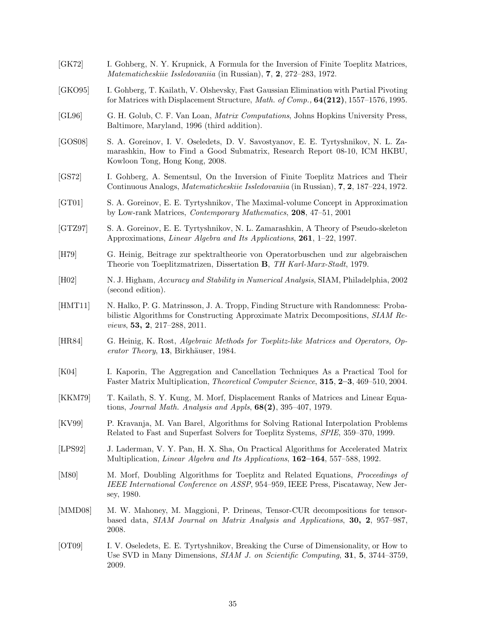[GK72] I. Gohberg, N. Y. Krupnick, A Formula for the Inversion of Finite Toeplitz Matrices, *Matematicheskiie Issledovaniia* (in Russian), **7**, **2**, 272–283, 1972. [GKO95] I. Gohberg, T. Kailath, V. Olshevsky, Fast Gaussian Elimination with Partial Pivoting for Matrices with Displacement Structure, *Math. of Comp.,* **64(212)**, 1557–1576, 1995. [GL96] G. H. Golub, C. F. Van Loan, *Matrix Computations*, Johns Hopkins University Press, Baltimore, Maryland, 1996 (third addition). [GOS08] S. A. Goreinov, I. V. Oseledets, D. V. Savostyanov, E. E. Tyrtyshnikov, N. L. Zamarashkin, How to Find a Good Submatrix, Research Report 08-10, ICM HKBU, Kowloon Tong, Hong Kong, 2008. [GS72] I. Gohberg, A. Sementsul, On the Inversion of Finite Toeplitz Matrices and Their Continuous Analogs, *Matematicheskiie Issledovaniia* (in Russian), **7**, **2**, 187–224, 1972. [GT01] S. A. Goreinov, E. E. Tyrtyshnikov, The Maximal-volume Concept in Approximation by Low-rank Matrices, *Contemporary Mathematics*, **208**, 47–51, 2001 [GTZ97] S. A. Goreinov, E. E. Tyrtyshnikov, N. L. Zamarashkin, A Theory of Pseudo-skeleton Approximations, *Linear Algebra and Its Applications*, **261**, 1–22, 1997. [H79] G. Heinig, Beitrage zur spektraltheorie von Operatorbuschen und zur algebraischen Theorie von Toeplitzmatrizen, Dissertation **B**, *TH Karl-Marx-Stadt*, 1979. [H02] N. J. Higham, *Accuracy and Stability in Numerical Analysis*, SIAM, Philadelphia, 2002 (second edition). [HMT11] N. Halko, P. G. Matrinsson, J. A. Tropp, Finding Structure with Randomness: Probabilistic Algorithms for Constructing Approximate Matrix Decompositions, *SIAM Reviews*, **53, 2**, 217–288, 2011. [HR84] G. Heinig, K. Rost, *Algebraic Methods for Toeplitz-like Matrices and Operators, Operator Theory*, 13, Birkhäuser, 1984. [K04] I. Kaporin, The Aggregation and Cancellation Techniques As a Practical Tool for Faster Matrix Multiplication, *Theoretical Computer Science*, **315**, **2–3**, 469–510, 2004. [KKM79] T. Kailath, S. Y. Kung, M. Morf, Displacement Ranks of Matrices and Linear Equations, *Journal Math. Analysis and Appls*, **68(2)**, 395–407, 1979. [KV99] P. Kravanja, M. Van Barel, Algorithms for Solving Rational Interpolation Problems Related to Fast and Superfast Solvers for Toeplitz Systems, *SPIE*, 359–370, 1999. [LPS92] J. Laderman, V. Y. Pan, H. X. Sha, On Practical Algorithms for Accelerated Matrix Multiplication, *Linear Algebra and Its Applications*, **162–164**, 557–588, 1992. [M80] M. Morf, Doubling Algorithms for Toeplitz and Related Equations, *Proceedings of IEEE International Conference on ASSP*, 954–959, IEEE Press, Piscataway, New Jersey, 1980. [MMD08] M. W. Mahoney, M. Maggioni, P. Drineas, Tensor-CUR decompositions for tensorbased data, *SIAM Journal on Matrix Analysis and Applications*, **30, 2**, 957–987, 2008. [OT09] I. V. Oseledets, E. E. Tyrtyshnikov, Breaking the Curse of Dimensionality, or How to Use SVD in Many Dimensions, *SIAM J. on Scientific Computing*, **31**, **5**, 3744–3759, 2009.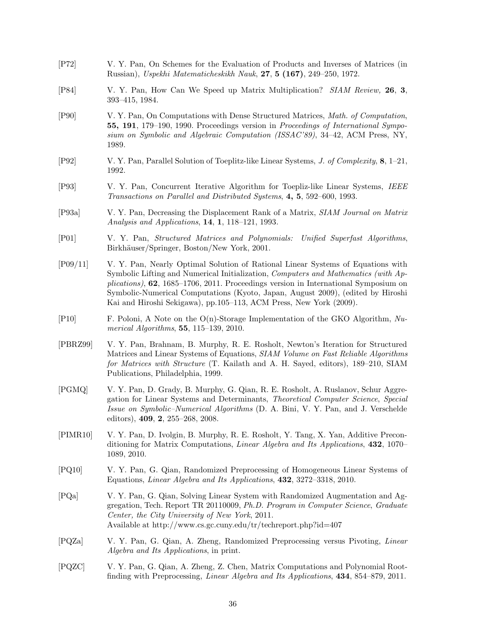- [P72] V. Y. Pan, On Schemes for the Evaluation of Products and Inverses of Matrices (in Russian), *Uspekhi Matematicheskikh Nauk*, **27**, **5 (167)**, 249–250, 1972.
- [P84] V. Y. Pan, How Can We Speed up Matrix Multiplication? *SIAM Review,* **26**, **3**, 393–415, 1984.
- [P90] V. Y. Pan, On Computations with Dense Structured Matrices, *Math. of Computation*, **55, 191**, 179–190, 1990. Proceedings version in *Proceedings of International Symposium on Symbolic and Algebraic Computation (ISSAC'89)*, 34–42, ACM Press, NY, 1989.
- [P92] V. Y. Pan, Parallel Solution of Toeplitz-like Linear Systems, *J. of Complexity*, **8**, 1–21, 1992.
- [P93] V. Y. Pan, Concurrent Iterative Algorithm for Toepliz-like Linear Systems, *IEEE Transactions on Parallel and Distributed Systems*, **4, 5**, 592–600, 1993.
- [P93a] V. Y. Pan, Decreasing the Displacement Rank of a Matrix, *SIAM Journal on Matrix Analysis and Applications*, **14**, **1**, 118–121, 1993.
- [P01] V. Y. Pan, *Structured Matrices and Polynomials: Unified Superfast Algorithms*, Birkhäuser/Springer, Boston/New York, 2001.
- [P09/11] V. Y. Pan, Nearly Optimal Solution of Rational Linear Systems of Equations with Symbolic Lifting and Numerical Initialization, *Computers and Mathematics (with Applications)*, **62**, 1685–1706, 2011. Proceedings version in International Symposium on Symbolic-Numerical Computations (Kyoto, Japan, August 2009), (edited by Hiroshi Kai and Hiroshi Sekigawa), pp.105–113, ACM Press, New York (2009).
- [P10] F. Poloni, A Note on the O(n)-Storage Implementation of the GKO Algorithm, *Numerical Algorithms*, **55**, 115–139, 2010.
- [PBRZ99] V. Y. Pan, Brahnam, B. Murphy, R. E. Rosholt, Newton's Iteration for Structured Matrices and Linear Systems of Equations, *SIAM Volume on Fast Reliable Algorithms for Matrices with Structure* (T. Kailath and A. H. Sayed, editors), 189–210, SIAM Publications, Philadelphia, 1999.
- [PGMQ] V. Y. Pan, D. Grady, B. Murphy, G. Qian, R. E. Rosholt, A. Ruslanov, Schur Aggregation for Linear Systems and Determinants, *Theoretical Computer Science*, *Special Issue on Symbolic–Numerical Algorithms* (D. A. Bini, V. Y. Pan, and J. Verschelde editors), **409**, **2**, 255–268, 2008.
- [PIMR10] V. Y. Pan, D. Ivolgin, B. Murphy, R. E. Rosholt, Y. Tang, X. Yan, Additive Preconditioning for Matrix Computations, *Linear Algebra and Its Applications*, **432**, 1070– 1089, 2010.
- [PQ10] V. Y. Pan, G. Qian, Randomized Preprocessing of Homogeneous Linear Systems of Equations, *Linear Algebra and Its Applications*, **432**, 3272–3318, 2010.
- [PQa] V. Y. Pan, G. Qian, Solving Linear System with Randomized Augmentation and Aggregation, Tech. Report TR 20110009, *Ph.D. Program in Computer Science*, *Graduate Center, the City University of New York*, 2011. Available at http://www.cs.gc.cuny.edu/tr/techreport.php?id=407
- [PQZa] V. Y. Pan, G. Qian, A. Zheng, Randomized Preprocessing versus Pivoting, *Linear Algebra and Its Applications*, in print.
- [PQZC] V. Y. Pan, G. Qian, A. Zheng, Z. Chen, Matrix Computations and Polynomial Rootfinding with Preprocessing, *Linear Algebra and Its Applications*, **434**, 854–879, 2011.